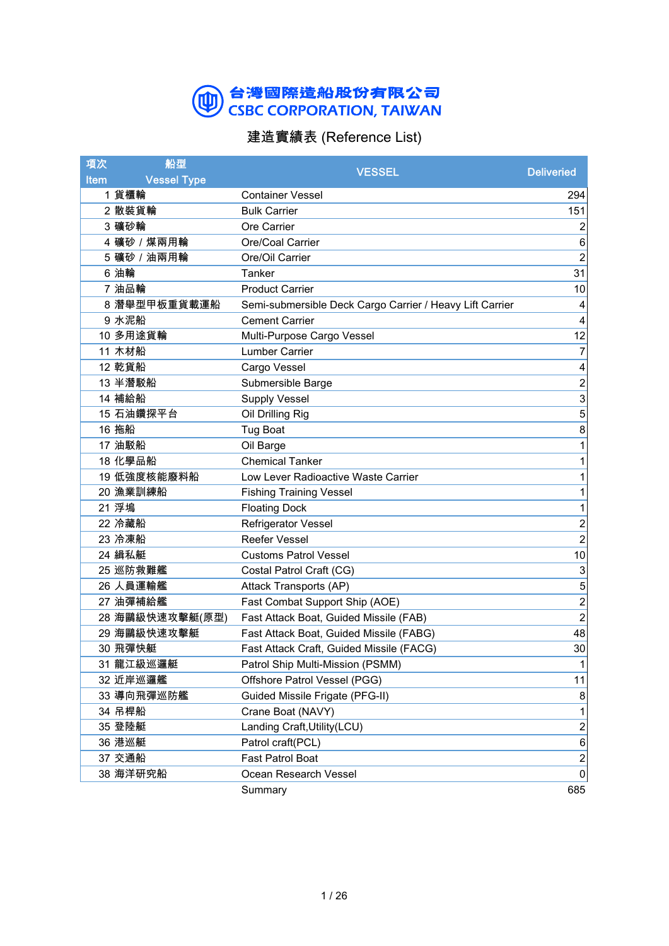### 台灣國際造船股份有限公司<br>CSBC CORPORATION, TAIWAN  $\circledR$

## 建造實績表 (Reference List)

| 項次          | 船型                 | <b>VESSEL</b>                                            | <b>Deliveried</b>       |
|-------------|--------------------|----------------------------------------------------------|-------------------------|
| <b>Item</b> | <b>Vessel Type</b> |                                                          |                         |
|             | 1 貨櫃輪              | <b>Container Vessel</b>                                  | 294                     |
|             | 2 散裝貨輪             | <b>Bulk Carrier</b>                                      | 151                     |
|             | 3 礦砂輪              | <b>Ore Carrier</b>                                       | 2                       |
|             | 4 礦砂 / 煤兩用輪        | Ore/Coal Carrier                                         | 6                       |
|             | 5 礦砂 / 油兩用輪        | Ore/Oil Carrier                                          | $\overline{c}$          |
|             | 6 油輪               | Tanker                                                   | 31                      |
|             | 7 油品輪              | <b>Product Carrier</b>                                   | 10                      |
|             | 8 潛舉型甲板重貨載運船       | Semi-submersible Deck Cargo Carrier / Heavy Lift Carrier | 4                       |
|             | 9 水泥船              | <b>Cement Carrier</b>                                    | 4                       |
|             | 10 多用途貨輪           | Multi-Purpose Cargo Vessel                               | 12                      |
|             | 11 木材船             | Lumber Carrier                                           | 7                       |
|             | 12 乾貨船             | Cargo Vessel                                             | 4                       |
|             | 13 半潛駁船            | Submersible Barge                                        | $\overline{c}$          |
|             | 14 補給船             | <b>Supply Vessel</b>                                     | 3                       |
|             | 15 石油鑽探平台          | Oil Drilling Rig                                         | 5                       |
|             | 16 拖船              | <b>Tug Boat</b>                                          | 8                       |
|             | 17 油駁船             | Oil Barge                                                | 1                       |
|             | 18 化學品船            | <b>Chemical Tanker</b>                                   | 1                       |
|             | 19 低強度核能廢料船        | Low Lever Radioactive Waste Carrier                      | 1                       |
|             | 20 漁業訓練船           | <b>Fishing Training Vessel</b>                           | 1                       |
|             | 21 浮塢              | <b>Floating Dock</b>                                     | 1                       |
|             | 22 冷藏船             | Refrigerator Vessel                                      | $\overline{\mathbf{c}}$ |
|             | 23 冷凍船             | Reefer Vessel                                            | $\overline{2}$          |
|             | 24 緝私艇             | <b>Customs Patrol Vessel</b>                             | 10                      |
|             | 25 巡防救難艦           | Costal Patrol Craft (CG)                                 | 3                       |
|             | 26 人員運輸艦           | Attack Transports (AP)                                   | 5                       |
|             | 27 油彈補給艦           | Fast Combat Support Ship (AOE)                           | $\overline{a}$          |
|             | 28 海鷗級快速攻擊艇(原型)    | Fast Attack Boat, Guided Missile (FAB)                   | $\overline{c}$          |
|             | 29 海鷗級快速攻擊艇        | Fast Attack Boat, Guided Missile (FABG)                  | 48                      |
|             | 30 飛彈快艇            | Fast Attack Craft, Guided Missile (FACG)                 | 30                      |
|             | 31 龍江級巡邏艇          | Patrol Ship Multi-Mission (PSMM)                         | 1                       |
|             | 32 近岸巡邏艦           | Offshore Patrol Vessel (PGG)                             | 11                      |
|             | 33 導向飛彈巡防艦         | Guided Missile Frigate (PFG-II)                          | 8                       |
|             | 34 吊桿船             | Crane Boat (NAVY)                                        |                         |
|             | 35 登陸艇             | Landing Craft, Utility (LCU)                             | $\overline{c}$          |
|             | 36 港巡艇             | Patrol craft(PCL)                                        | $\,6$                   |
|             | 37 交通船             | Fast Patrol Boat                                         | $\overline{c}$          |
|             | 38 海洋研究船           | Ocean Research Vessel                                    | $\mathbf 0$             |
|             |                    | Summary                                                  | 685                     |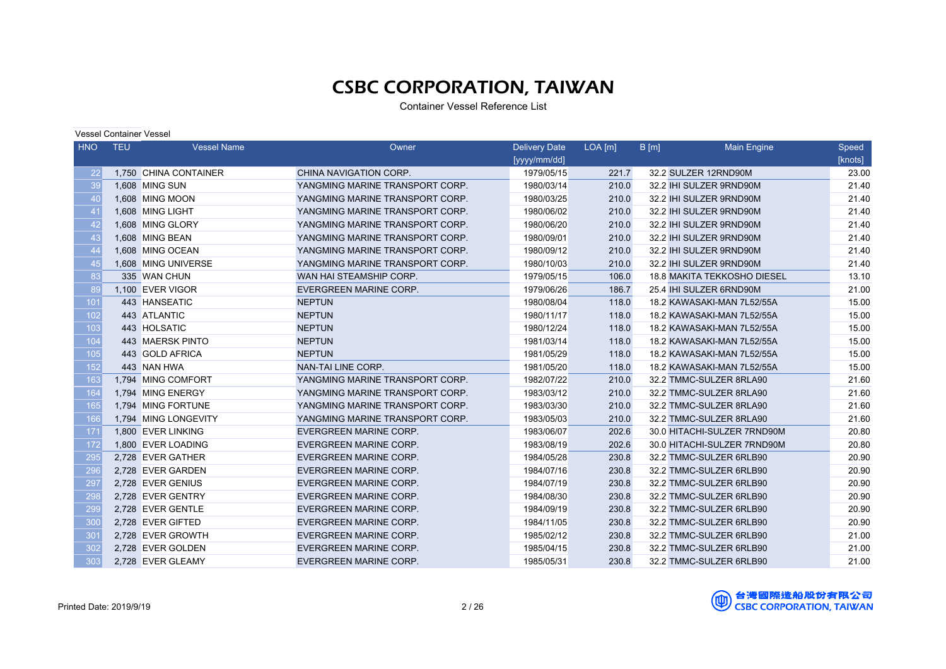| <b>HNO</b> | <b>TEU</b> | <b>Vessel Name</b>    | Owner                           | <b>Delivery Date</b> | $LOA$ [m] | $B$ [m]<br><b>Main Engine</b> | Speed   |
|------------|------------|-----------------------|---------------------------------|----------------------|-----------|-------------------------------|---------|
|            |            |                       |                                 | [yyyy/mm/dd]         |           |                               | [knots] |
| 22         |            | 1,750 CHINA CONTAINER | CHINA NAVIGATION CORP.          | 1979/05/15           | 221.7     | 32.2 SULZER 12RND90M          | 23.00   |
| 39         |            | 1,608 MING SUN        | YANGMING MARINE TRANSPORT CORP. | 1980/03/14           | 210.0     | 32.2 IHI SULZER 9RND90M       | 21.40   |
| 40         |            | 1.608 MING MOON       | YANGMING MARINE TRANSPORT CORP. | 1980/03/25           | 210.0     | 32.2 IHI SULZER 9RND90M       | 21.40   |
| 41         |            | 1,608 MING LIGHT      | YANGMING MARINE TRANSPORT CORP. | 1980/06/02           | 210.0     | 32.2 IHI SULZER 9RND90M       | 21.40   |
| 42         |            | 1.608 MING GLORY      | YANGMING MARINE TRANSPORT CORP. | 1980/06/20           | 210.0     | 32.2 IHI SULZER 9RND90M       | 21.40   |
| 43         |            | 1.608 MING BEAN       | YANGMING MARINE TRANSPORT CORP. | 1980/09/01           | 210.0     | 32.2 IHI SULZER 9RND90M       | 21.40   |
| 44         |            | 1,608 MING OCEAN      | YANGMING MARINE TRANSPORT CORP. | 1980/09/12           | 210.0     | 32.2 IHI SULZER 9RND90M       | 21.40   |
| 45         |            | 1.608 MING UNIVERSE   | YANGMING MARINE TRANSPORT CORP. | 1980/10/03           | 210.0     | 32.2 IHI SULZER 9RND90M       | 21.40   |
| 83         |            | 335 WAN CHUN          | WAN HAI STEAMSHIP CORP.         | 1979/05/15           | 106.0     | 18.8 MAKITA TEKKOSHO DIESEL   | 13.10   |
| 89         |            | 1.100 EVER VIGOR      | <b>EVERGREEN MARINE CORP.</b>   | 1979/06/26           | 186.7     | 25.4 IHI SULZER 6RND90M       | 21.00   |
| 101        |            | 443 HANSEATIC         | <b>NEPTUN</b>                   | 1980/08/04           | 118.0     | 18.2 KAWASAKI-MAN 7L52/55A    | 15.00   |
| 102        |            | 443 ATLANTIC          | <b>NEPTUN</b>                   | 1980/11/17           | 118.0     | 18.2 KAWASAKI-MAN 7L52/55A    | 15.00   |
| 103        |            | 443 HOLSATIC          | <b>NEPTUN</b>                   | 1980/12/24           | 118.0     | 18.2 KAWASAKI-MAN 7L52/55A    | 15.00   |
| 104        |            | 443 MAERSK PINTO      | <b>NEPTUN</b>                   | 1981/03/14           | 118.0     | 18.2 KAWASAKI-MAN 7L52/55A    | 15.00   |
| 105        |            | 443 GOLD AFRICA       | <b>NEPTUN</b>                   | 1981/05/29           | 118.0     | 18.2 KAWASAKI-MAN 7L52/55A    | 15.00   |
| 152        |            | 443 NAN HWA           | NAN-TAI LINE CORP.              | 1981/05/20           | 118.0     | 18.2 KAWASAKI-MAN 7L52/55A    | 15.00   |
| 163        |            | 1,794 MING COMFORT    | YANGMING MARINE TRANSPORT CORP. | 1982/07/22           | 210.0     | 32.2 TMMC-SULZER 8RLA90       | 21.60   |
| 164        |            | 1.794 MING ENERGY     | YANGMING MARINE TRANSPORT CORP. | 1983/03/12           | 210.0     | 32.2 TMMC-SULZER 8RLA90       | 21.60   |
| 165        |            | 1,794 MING FORTUNE    | YANGMING MARINE TRANSPORT CORP. | 1983/03/30           | 210.0     | 32.2 TMMC-SULZER 8RLA90       | 21.60   |
| 166        |            | 1,794 MING LONGEVITY  | YANGMING MARINE TRANSPORT CORP. | 1983/05/03           | 210.0     | 32.2 TMMC-SULZER 8RLA90       | 21.60   |
| 171        |            | 1.800 EVER LINKING    | <b>EVERGREEN MARINE CORP.</b>   | 1983/06/07           | 202.6     | 30.0 HITACHI-SULZER 7RND90M   | 20.80   |
| 172        |            | 1,800 EVER LOADING    | EVERGREEN MARINE CORP.          | 1983/08/19           | 202.6     | 30.0 HITACHI-SULZER 7RND90M   | 20.80   |
| 295        |            | 2.728 EVER GATHER     | <b>EVERGREEN MARINE CORP.</b>   | 1984/05/28           | 230.8     | 32.2 TMMC-SULZER 6RLB90       | 20.90   |
| 296        |            | 2,728 EVER GARDEN     | <b>EVERGREEN MARINE CORP.</b>   | 1984/07/16           | 230.8     | 32.2 TMMC-SULZER 6RLB90       | 20.90   |
| 297        |            | 2,728 EVER GENIUS     | EVERGREEN MARINE CORP.          | 1984/07/19           | 230.8     | 32.2 TMMC-SULZER 6RLB90       | 20.90   |
| 298        |            | 2,728 EVER GENTRY     | <b>EVERGREEN MARINE CORP.</b>   | 1984/08/30           | 230.8     | 32.2 TMMC-SULZER 6RLB90       | 20.90   |
| 299        |            | 2,728 EVER GENTLE     | <b>EVERGREEN MARINE CORP.</b>   | 1984/09/19           | 230.8     | 32.2 TMMC-SULZER 6RLB90       | 20.90   |
| <b>300</b> |            | 2,728 EVER GIFTED     | <b>EVERGREEN MARINE CORP.</b>   | 1984/11/05           | 230.8     | 32.2 TMMC-SULZER 6RLB90       | 20.90   |
| 301        |            | 2,728 EVER GROWTH     | <b>EVERGREEN MARINE CORP.</b>   | 1985/02/12           | 230.8     | 32.2 TMMC-SULZER 6RLB90       | 21.00   |
| 302        |            | 2,728 EVER GOLDEN     | EVERGREEN MARINE CORP.          | 1985/04/15           | 230.8     | 32.2 TMMC-SULZER 6RLB90       | 21.00   |
| 303        |            | 2.728 EVER GLEAMY     | <b>EVERGREEN MARINE CORP.</b>   | 1985/05/31           | 230.8     | 32.2 TMMC-SULZER 6RLB90       | 21.00   |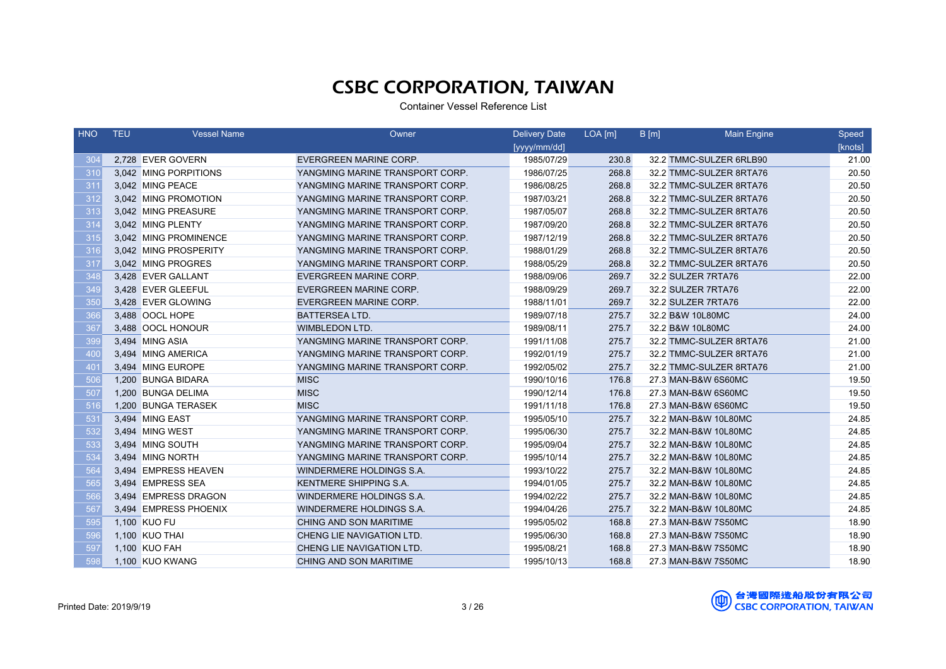| <b>HNO</b>      | <b>TEU</b> | <b>Vessel Name</b>    | Owner                           | <b>Delivery Date</b> | $LOA$ [m] | B[m] | <b>Main Engine</b>      | Speed   |
|-----------------|------------|-----------------------|---------------------------------|----------------------|-----------|------|-------------------------|---------|
|                 |            |                       |                                 | [yyyy/mm/dd]         |           |      |                         | [knots] |
| 30<             |            | 2.728 EVER GOVERN     | EVERGREEN MARINE CORP.          | 1985/07/29           | 230.8     |      | 32.2 TMMC-SULZER 6RLB90 | 21.00   |
| 310             |            | 3,042 MING PORPITIONS | YANGMING MARINE TRANSPORT CORP. | 1986/07/25           | 268.8     |      | 32.2 TMMC-SULZER 8RTA76 | 20.50   |
| 311             |            | 3.042 MING PEACE      | YANGMING MARINE TRANSPORT CORP. | 1986/08/25           | 268.8     |      | 32.2 TMMC-SULZER 8RTA76 | 20.50   |
| 312             |            | 3,042 MING PROMOTION  | YANGMING MARINE TRANSPORT CORP. | 1987/03/21           | 268.8     |      | 32.2 TMMC-SULZER 8RTA76 | 20.50   |
| 313             |            | 3,042 MING PREASURE   | YANGMING MARINE TRANSPORT CORP. | 1987/05/07           | 268.8     |      | 32.2 TMMC-SULZER 8RTA76 | 20.50   |
| 314             |            | 3.042 MING PLENTY     | YANGMING MARINE TRANSPORT CORP. | 1987/09/20           | 268.8     |      | 32.2 TMMC-SULZER 8RTA76 | 20.50   |
| 315             |            | 3,042 MING PROMINENCE | YANGMING MARINE TRANSPORT CORP. | 1987/12/19           | 268.8     |      | 32.2 TMMC-SULZER 8RTA76 | 20.50   |
| 316             |            | 3.042 MING PROSPERITY | YANGMING MARINE TRANSPORT CORP. | 1988/01/29           | 268.8     |      | 32.2 TMMC-SULZER 8RTA76 | 20.50   |
| 317             |            | 3,042 MING PROGRES    | YANGMING MARINE TRANSPORT CORP. | 1988/05/29           | 268.8     |      | 32.2 TMMC-SULZER 8RTA76 | 20.50   |
| 348             |            | 3,428 EVER GALLANT    | EVERGREEN MARINE CORP.          | 1988/09/06           | 269.7     |      | 32.2 SULZER 7RTA76      | 22.00   |
| 349             |            | 3,428 EVER GLEEFUL    | EVERGREEN MARINE CORP.          | 1988/09/29           | 269.7     |      | 32.2 SULZER 7RTA76      | 22.00   |
| 350             |            | 3,428 EVER GLOWING    | <b>EVERGREEN MARINE CORP.</b>   | 1988/11/01           | 269.7     |      | 32.2 SULZER 7RTA76      | 22.00   |
| 366             |            | 3,488 OOCL HOPE       | <b>BATTERSEA LTD.</b>           | 1989/07/18           | 275.7     |      | 32.2 B&W 10L80MC        | 24.00   |
| 367             |            | 3,488 OOCL HONOUR     | <b>WIMBLEDON LTD.</b>           | 1989/08/11           | 275.7     |      | 32.2 B&W 10L80MC        | 24.00   |
| 399             |            | 3,494 MING ASIA       | YANGMING MARINE TRANSPORT CORP. | 1991/11/08           | 275.7     |      | 32.2 TMMC-SULZER 8RTA76 | 21.00   |
| 400             |            | 3,494 MING AMERICA    | YANGMING MARINE TRANSPORT CORP. | 1992/01/19           | 275.7     |      | 32.2 TMMC-SULZER 8RTA76 | 21.00   |
| 40 <sup>′</sup> |            | 3,494 MING EUROPE     | YANGMING MARINE TRANSPORT CORP. | 1992/05/02           | 275.7     |      | 32.2 TMMC-SULZER 8RTA76 | 21.00   |
| 506             |            | 1,200 BUNGA BIDARA    | <b>MISC</b>                     | 1990/10/16           | 176.8     |      | 27.3 MAN-B&W 6S60MC     | 19.50   |
| 507             |            | 1,200 BUNGA DELIMA    | <b>MISC</b>                     | 1990/12/14           | 176.8     |      | 27.3 MAN-B&W 6S60MC     | 19.50   |
| 516             |            | 1,200 BUNGA TERASEK   | <b>MISC</b>                     | 1991/11/18           | 176.8     |      | 27.3 MAN-B&W 6S60MC     | 19.50   |
| 53 <sup>′</sup> |            | 3,494 MING EAST       | YANGMING MARINE TRANSPORT CORP. | 1995/05/10           | 275.7     |      | 32.2 MAN-B&W 10L80MC    | 24.85   |
| 532             |            | 3,494 MING WEST       | YANGMING MARINE TRANSPORT CORP. | 1995/06/30           | 275.7     |      | 32.2 MAN-B&W 10L80MC    | 24.85   |
| 533             |            | 3,494 MING SOUTH      | YANGMING MARINE TRANSPORT CORP. | 1995/09/04           | 275.7     |      | 32.2 MAN-B&W 10L80MC    | 24.85   |
| 534             |            | 3,494 MING NORTH      | YANGMING MARINE TRANSPORT CORP. | 1995/10/14           | 275.7     |      | 32.2 MAN-B&W 10L80MC    | 24.85   |
| 564             |            | 3,494 EMPRESS HEAVEN  | WINDERMERE HOLDINGS S.A.        | 1993/10/22           | 275.7     |      | 32.2 MAN-B&W 10L80MC    | 24.85   |
| 565             |            | 3,494 EMPRESS SEA     | KENTMERE SHIPPING S.A.          | 1994/01/05           | 275.7     |      | 32.2 MAN-B&W 10L80MC    | 24.85   |
| 566             |            | 3,494 EMPRESS DRAGON  | WINDERMERE HOLDINGS S.A.        | 1994/02/22           | 275.7     |      | 32.2 MAN-B&W 10L80MC    | 24.85   |
| 567             |            | 3,494 EMPRESS PHOENIX | WINDERMERE HOLDINGS S.A.        | 1994/04/26           | 275.7     |      | 32.2 MAN-B&W 10L80MC    | 24.85   |
| 595             |            | 1,100 KUO FU          | CHING AND SON MARITIME          | 1995/05/02           | 168.8     |      | 27.3 MAN-B&W 7S50MC     | 18.90   |
| 596             |            | 1,100 KUO THAI        | CHENG LIE NAVIGATION LTD.       | 1995/06/30           | 168.8     |      | 27.3 MAN-B&W 7S50MC     | 18.90   |
| 597             |            | 1,100 KUO FAH         | CHENG LIE NAVIGATION LTD.       | 1995/08/21           | 168.8     |      | 27.3 MAN-B&W 7S50MC     | 18.90   |
| 598             |            | 1,100 KUO KWANG       | <b>CHING AND SON MARITIME</b>   | 1995/10/13           | 168.8     |      | 27.3 MAN-B&W 7S50MC     | 18.90   |

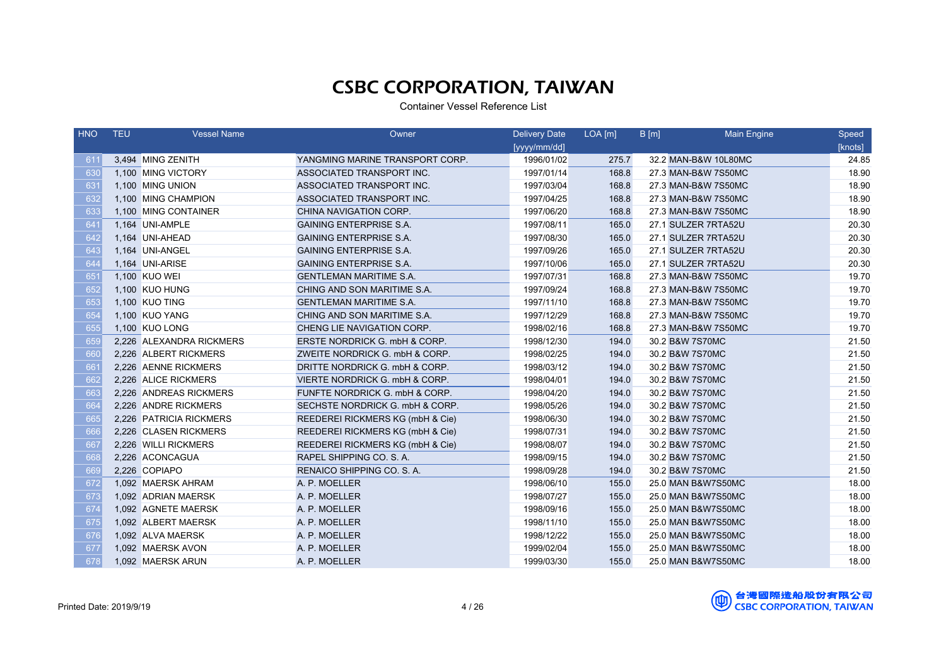| <b>HNO</b>      | <b>TEU</b> | <b>Vessel Name</b>       | Owner                            | <b>Delivery Date</b> | $LOA$ [m] | B[m] | <b>Main Engine</b>   | Speed   |
|-----------------|------------|--------------------------|----------------------------------|----------------------|-----------|------|----------------------|---------|
|                 |            |                          |                                  | [yyyy/mm/dd]         |           |      |                      | [knots] |
| 61 <sup>′</sup> |            | 3,494 MING ZENITH        | YANGMING MARINE TRANSPORT CORP.  | 1996/01/02           | 275.7     |      | 32.2 MAN-B&W 10L80MC | 24.85   |
| 630             |            | 1,100 MING VICTORY       | ASSOCIATED TRANSPORT INC.        | 1997/01/14           | 168.8     |      | 27.3 MAN-B&W 7S50MC  | 18.90   |
| 631             |            | 1,100 MING UNION         | ASSOCIATED TRANSPORT INC.        | 1997/03/04           | 168.8     |      | 27.3 MAN-B&W 7S50MC  | 18.90   |
| 632             |            | 1,100 MING CHAMPION      | ASSOCIATED TRANSPORT INC.        | 1997/04/25           | 168.8     |      | 27.3 MAN-B&W 7S50MC  | 18.90   |
| 633             |            | 1,100 MING CONTAINER     | CHINA NAVIGATION CORP.           | 1997/06/20           | 168.8     |      | 27.3 MAN-B&W 7S50MC  | 18.90   |
| 641             |            | 1,164 UNI-AMPLE          | <b>GAINING ENTERPRISE S.A.</b>   | 1997/08/11           | 165.0     |      | 27.1 SULZER 7RTA52U  | 20.30   |
| 642             |            | 1,164 UNI-AHEAD          | <b>GAINING ENTERPRISE S.A.</b>   | 1997/08/30           | 165.0     |      | 27.1 SULZER 7RTA52U  | 20.30   |
| 643             |            | 1,164 UNI-ANGEL          | <b>GAINING ENTERPRISE S.A.</b>   | 1997/09/26           | 165.0     |      | 27.1 SULZER 7RTA52U  | 20.30   |
| 644             |            | 1,164 UNI-ARISE          | <b>GAINING ENTERPRISE S.A.</b>   | 1997/10/06           | 165.0     |      | 27.1 SULZER 7RTA52U  | 20.30   |
| 651             |            | 1,100 KUO WEI            | <b>GENTLEMAN MARITIME S.A.</b>   | 1997/07/31           | 168.8     |      | 27.3 MAN-B&W 7S50MC  | 19.70   |
| 652             |            | 1,100 KUO HUNG           | CHING AND SON MARITIME S.A.      | 1997/09/24           | 168.8     |      | 27.3 MAN-B&W 7S50MC  | 19.70   |
| 653             |            | 1,100 KUO TING           | <b>GENTLEMAN MARITIME S.A.</b>   | 1997/11/10           | 168.8     |      | 27.3 MAN-B&W 7S50MC  | 19.70   |
| 654             |            | 1,100 KUO YANG           | CHING AND SON MARITIME S.A.      | 1997/12/29           | 168.8     |      | 27.3 MAN-B&W 7S50MC  | 19.70   |
| 655             |            | 1,100 KUO LONG           | CHENG LIE NAVIGATION CORP.       | 1998/02/16           | 168.8     |      | 27.3 MAN-B&W 7S50MC  | 19.70   |
| 65 <sup>c</sup> |            | 2,226 ALEXANDRA RICKMERS | ERSTE NORDRICK G. mbH & CORP.    | 1998/12/30           | 194.0     |      | 30.2 B&W 7S70MC      | 21.50   |
| 660             |            | 2,226 ALBERT RICKMERS    | ZWEITE NORDRICK G. mbH & CORP.   | 1998/02/25           | 194.0     |      | 30.2 B&W 7S70MC      | 21.50   |
| 661             |            | 2,226 AENNE RICKMERS     | DRITTE NORDRICK G. mbH & CORP.   | 1998/03/12           | 194.0     |      | 30.2 B&W 7S70MC      | 21.50   |
| 662             |            | 2,226 ALICE RICKMERS     | VIERTE NORDRICK G. mbH & CORP.   | 1998/04/01           | 194.0     |      | 30.2 B&W 7S70MC      | 21.50   |
| 663             |            | 2,226 ANDREAS RICKMERS   | FUNFTE NORDRICK G. mbH & CORP.   | 1998/04/20           | 194.0     |      | 30.2 B&W 7S70MC      | 21.50   |
| 664             |            | 2,226 ANDRE RICKMERS     | SECHSTE NORDRICK G. mbH & CORP.  | 1998/05/26           | 194.0     |      | 30.2 B&W 7S70MC      | 21.50   |
| 665             |            | 2,226 PATRICIA RICKMERS  | REEDEREI RICKMERS KG (mbH & Cie) | 1998/06/30           | 194.0     |      | 30.2 B&W 7S70MC      | 21.50   |
| 666             |            | 2,226 CLASEN RICKMERS    | REEDEREI RICKMERS KG (mbH & Cie) | 1998/07/31           | 194.0     |      | 30.2 B&W 7S70MC      | 21.50   |
| 667             |            | 2,226 WILLI RICKMERS     | REEDEREI RICKMERS KG (mbH & Cie) | 1998/08/07           | 194.0     |      | 30.2 B&W 7S70MC      | 21.50   |
| 668             |            | 2,226 ACONCAGUA          | RAPEL SHIPPING CO. S. A.         | 1998/09/15           | 194.0     |      | 30.2 B&W 7S70MC      | 21.50   |
| 669             |            | 2,226 COPIAPO            | RENAICO SHIPPING CO. S. A.       | 1998/09/28           | 194.0     |      | 30.2 B&W 7S70MC      | 21.50   |
| 672             |            | 1.092 MAERSK AHRAM       | A. P. MOELLER                    | 1998/06/10           | 155.0     |      | 25.0 MAN B&W7S50MC   | 18.00   |
| 673             |            | 1,092 ADRIAN MAERSK      | A. P. MOELLER                    | 1998/07/27           | 155.0     |      | 25.0 MAN B&W7S50MC   | 18.00   |
| 674             |            | 1,092 AGNETE MAERSK      | A. P. MOELLER                    | 1998/09/16           | 155.0     |      | 25.0 MAN B&W7S50MC   | 18.00   |
| 675             |            | 1,092 ALBERT MAERSK      | A. P. MOELLER                    | 1998/11/10           | 155.0     |      | 25.0 MAN B&W7S50MC   | 18.00   |
| 676             |            | 1,092 ALVA MAERSK        | A. P. MOELLER                    | 1998/12/22           | 155.0     |      | 25.0 MAN B&W7S50MC   | 18.00   |
| 677             |            | 1,092 MAERSK AVON        | A. P. MOELLER                    | 1999/02/04           | 155.0     |      | 25.0 MAN B&W7S50MC   | 18.00   |
| 678             |            | 1,092 MAERSK ARUN        | A. P. MOELLER                    | 1999/03/30           | 155.0     |      | 25.0 MAN B&W7S50MC   | 18.00   |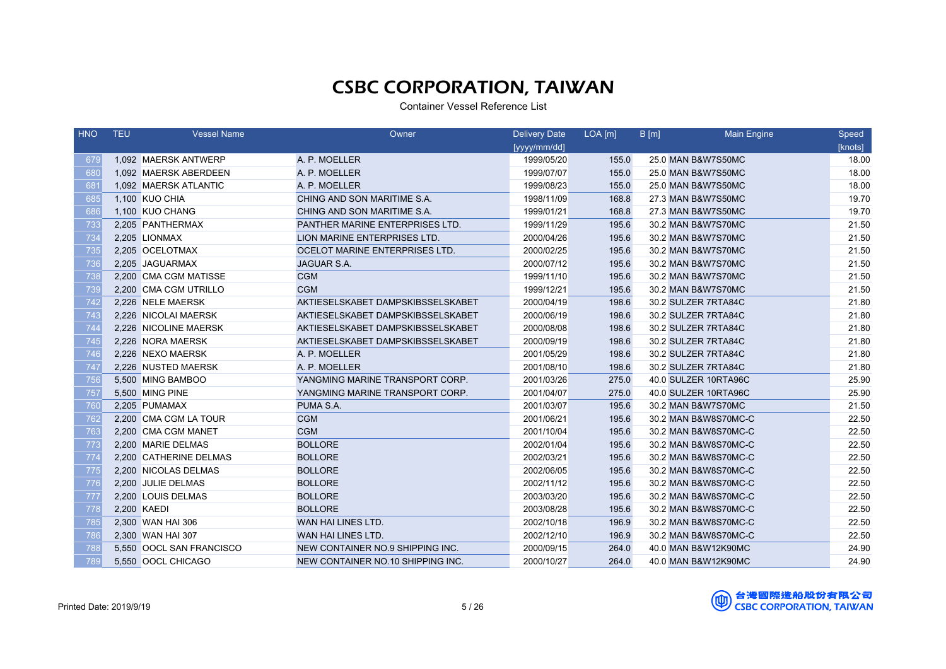| <b>HNO</b> | <b>TEU</b> | <b>Vessel Name</b>       | Owner                             | <b>Delivery Date</b> | $LOA$ [m] | B[m] | <b>Main Engine</b>   | Speed   |
|------------|------------|--------------------------|-----------------------------------|----------------------|-----------|------|----------------------|---------|
|            |            |                          |                                   | [yyyy/mm/dd]         |           |      |                      | [knots] |
| 679        |            | 1,092 MAERSK ANTWERP     | A. P. MOELLER                     | 1999/05/20           | 155.0     |      | 25.0 MAN B&W7S50MC   | 18.00   |
| 680        |            | 1,092 MAERSK ABERDEEN    | A. P. MOELLER                     | 1999/07/07           | 155.0     |      | 25.0 MAN B&W7S50MC   | 18.00   |
| 681        |            | 1,092 MAERSK ATLANTIC    | A. P. MOELLER                     | 1999/08/23           | 155.0     |      | 25.0 MAN B&W7S50MC   | 18.00   |
| 685        |            | 1,100 KUO CHIA           | CHING AND SON MARITIME S.A.       | 1998/11/09           | 168.8     |      | 27.3 MAN B&W7S50MC   | 19.70   |
| 686        |            | 1,100 KUO CHANG          | CHING AND SON MARITIME S.A.       | 1999/01/21           | 168.8     |      | 27.3 MAN B&W7S50MC   | 19.70   |
| 733        |            | 2,205 PANTHERMAX         | PANTHER MARINE ENTERPRISES LTD.   | 1999/11/29           | 195.6     |      | 30.2 MAN B&W7S70MC   | 21.50   |
| 734        |            | 2,205 LIONMAX            | LION MARINE ENTERPRISES LTD.      | 2000/04/26           | 195.6     |      | 30.2 MAN B&W7S70MC   | 21.50   |
| 735        |            | 2.205 OCELOTMAX          | OCELOT MARINE ENTERPRISES LTD.    | 2000/02/25           | 195.6     |      | 30.2 MAN B&W7S70MC   | 21.50   |
| 736        |            | 2,205 JAGUARMAX          | JAGUAR S.A.                       | 2000/07/12           | 195.6     |      | 30.2 MAN B&W7S70MC   | 21.50   |
| 738        |            | 2,200 CMA CGM MATISSE    | <b>CGM</b>                        | 1999/11/10           | 195.6     |      | 30.2 MAN B&W7S70MC   | 21.50   |
| 739        |            | 2,200 CMA CGM UTRILLO    | <b>CGM</b>                        | 1999/12/21           | 195.6     |      | 30.2 MAN B&W7S70MC   | 21.50   |
| 742        |            | 2,226 NELE MAERSK        | AKTIESELSKABET DAMPSKIBSSELSKABET | 2000/04/19           | 198.6     |      | 30.2 SULZER 7RTA84C  | 21.80   |
| 743        |            | 2,226 NICOLAI MAERSK     | AKTIESELSKABET DAMPSKIBSSELSKABET | 2000/06/19           | 198.6     |      | 30.2 SULZER 7RTA84C  | 21.80   |
| 744        |            | 2,226 NICOLINE MAERSK    | AKTIESELSKABET DAMPSKIBSSELSKABET | 2000/08/08           | 198.6     |      | 30.2 SULZER 7RTA84C  | 21.80   |
| 745        |            | 2,226 NORA MAERSK        | AKTIESELSKABET DAMPSKIBSSELSKABET | 2000/09/19           | 198.6     |      | 30.2 SULZER 7RTA84C  | 21.80   |
| 746        |            | 2,226 NEXO MAERSK        | A. P. MOELLER                     | 2001/05/29           | 198.6     |      | 30.2 SULZER 7RTA84C  | 21.80   |
| 747        |            | 2.226 NUSTED MAERSK      | A. P. MOELLER                     | 2001/08/10           | 198.6     |      | 30.2 SULZER 7RTA84C  | 21.80   |
| 756        |            | 5,500 MING BAMBOO        | YANGMING MARINE TRANSPORT CORP.   | 2001/03/26           | 275.0     |      | 40.0 SULZER 10RTA96C | 25.90   |
| 757        |            | 5,500 MING PINE          | YANGMING MARINE TRANSPORT CORP.   | 2001/04/07           | 275.0     |      | 40.0 SULZER 10RTA96C | 25.90   |
| 760        |            | 2,205 PUMAMAX            | PUMA S.A.                         | 2001/03/07           | 195.6     |      | 30.2 MAN B&W7S70MC   | 21.50   |
| 762        |            | 2,200 CMA CGM LA TOUR    | <b>CGM</b>                        | 2001/06/21           | 195.6     |      | 30.2 MAN B&W8S70MC-C | 22.50   |
| 763        |            | 2.200 CMA CGM MANET      | <b>CGM</b>                        | 2001/10/04           | 195.6     |      | 30.2 MAN B&W8S70MC-C | 22.50   |
| 773        |            | 2,200 MARIE DELMAS       | <b>BOLLORE</b>                    | 2002/01/04           | 195.6     |      | 30.2 MAN B&W8S70MC-C | 22.50   |
| 774        |            | 2,200 CATHERINE DELMAS   | <b>BOLLORE</b>                    | 2002/03/21           | 195.6     |      | 30.2 MAN B&W8S70MC-C | 22.50   |
| 775        |            | 2,200 NICOLAS DELMAS     | <b>BOLLORE</b>                    | 2002/06/05           | 195.6     |      | 30.2 MAN B&W8S70MC-C | 22.50   |
| 776        |            | 2,200 JULIE DELMAS       | <b>BOLLORE</b>                    | 2002/11/12           | 195.6     |      | 30.2 MAN B&W8S70MC-C | 22.50   |
| 777        |            | 2,200 LOUIS DELMAS       | <b>BOLLORE</b>                    | 2003/03/20           | 195.6     |      | 30.2 MAN B&W8S70MC-C | 22.50   |
| 778        |            | 2,200 KAEDI              | <b>BOLLORE</b>                    | 2003/08/28           | 195.6     |      | 30.2 MAN B&W8S70MC-C | 22.50   |
| 785        |            | 2,300 WAN HAI 306        | WAN HAI LINES LTD.                | 2002/10/18           | 196.9     |      | 30.2 MAN B&W8S70MC-C | 22.50   |
| 786        |            | 2,300 WAN HAI 307        | WAN HAI LINES LTD.                | 2002/12/10           | 196.9     |      | 30.2 MAN B&W8S70MC-C | 22.50   |
| 788        |            | 5,550 OOCL SAN FRANCISCO | NEW CONTAINER NO.9 SHIPPING INC.  | 2000/09/15           | 264.0     |      | 40.0 MAN B&W12K90MC  | 24.90   |
| 789        |            | 5,550 OOCL CHICAGO       | NEW CONTAINER NO.10 SHIPPING INC. | 2000/10/27           | 264.0     |      | 40.0 MAN B&W12K90MC  | 24.90   |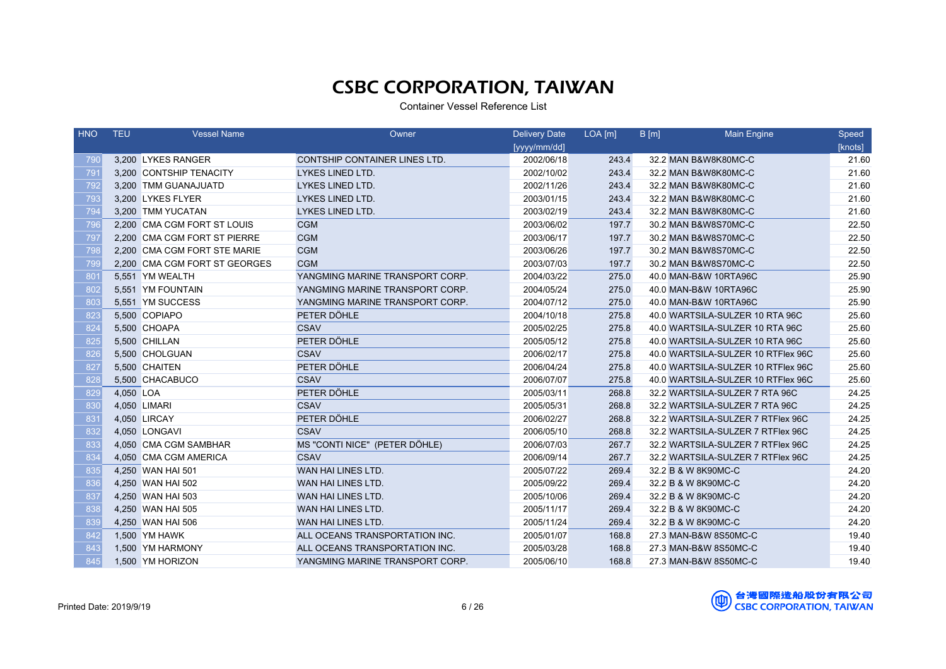| <b>HNO</b> | <b>TEU</b> | <b>Vessel Name</b>            | Owner                           | <b>Delivery Date</b> | $LOA$ [m] | B[m] | <b>Main Engine</b>                 | Speed   |
|------------|------------|-------------------------------|---------------------------------|----------------------|-----------|------|------------------------------------|---------|
|            |            |                               |                                 | [yyyy/mm/dd]         |           |      |                                    | [knots] |
| 790        |            | 3,200 LYKES RANGER            | CONTSHIP CONTAINER LINES LTD.   | 2002/06/18           | 243.4     |      | 32.2 MAN B&W8K80MC-C               | 21.60   |
| 791        |            | 3,200 CONTSHIP TENACITY       | LYKES LINED LTD.                | 2002/10/02           | 243.4     |      | 32.2 MAN B&W8K80MC-C               | 21.60   |
| 792        |            | 3,200 TMM GUANAJUATD          | LYKES LINED LTD.                | 2002/11/26           | 243.4     |      | 32.2 MAN B&W8K80MC-C               | 21.60   |
| 793        |            | 3,200 LYKES FLYER             | LYKES LINED LTD.                | 2003/01/15           | 243.4     |      | 32.2 MAN B&W8K80MC-C               | 21.60   |
| 794        |            | 3.200 TMM YUCATAN             | <b>LYKES LINED LTD.</b>         | 2003/02/19           | 243.4     |      | 32.2 MAN B&W8K80MC-C               | 21.60   |
| 796        |            | 2,200 CMA CGM FORT ST LOUIS   | <b>CGM</b>                      | 2003/06/02           | 197.7     |      | 30.2 MAN B&W8S70MC-C               | 22.50   |
| 797        |            | 2,200 CMA CGM FORT ST PIERRE  | <b>CGM</b>                      | 2003/06/17           | 197.7     |      | 30.2 MAN B&W8S70MC-C               | 22.50   |
| 798        |            | 2,200 CMA CGM FORT STE MARIE  | <b>CGM</b>                      | 2003/06/26           | 197.7     |      | 30.2 MAN B&W8S70MC-C               | 22.50   |
| 799        |            | 2,200 CMA CGM FORT ST GEORGES | <b>CGM</b>                      | 2003/07/03           | 197.7     |      | 30.2 MAN B&W8S70MC-C               | 22.50   |
| 801        |            | 5,551 YM WEALTH               | YANGMING MARINE TRANSPORT CORP. | 2004/03/22           | 275.0     |      | 40.0 MAN-B&W 10RTA96C              | 25.90   |
| 802        |            | 5,551 YM FOUNTAIN             | YANGMING MARINE TRANSPORT CORP. | 2004/05/24           | 275.0     |      | 40.0 MAN-B&W 10RTA96C              | 25.90   |
| 803        |            | 5,551 YM SUCCESS              | YANGMING MARINE TRANSPORT CORP. | 2004/07/12           | 275.0     |      | 40.0 MAN-B&W 10RTA96C              | 25.90   |
| 823        |            | 5,500 COPIAPO                 | PETER DÖHLE                     | 2004/10/18           | 275.8     |      | 40.0 WARTSILA-SULZER 10 RTA 96C    | 25.60   |
| 824        |            | 5,500 CHOAPA                  | <b>CSAV</b>                     | 2005/02/25           | 275.8     |      | 40.0 WARTSILA-SULZER 10 RTA 96C    | 25.60   |
| 825        |            | 5,500 CHILLAN                 | PETER DÖHLE                     | 2005/05/12           | 275.8     |      | 40.0 WARTSILA-SULZER 10 RTA 96C    | 25.60   |
| 826        |            | 5,500 CHOLGUAN                | <b>CSAV</b>                     | 2006/02/17           | 275.8     |      | 40.0 WARTSILA-SULZER 10 RTFlex 96C | 25.60   |
| 827        |            | 5,500 CHAITEN                 | PETER DÖHLE                     | 2006/04/24           | 275.8     |      | 40.0 WARTSILA-SULZER 10 RTFlex 96C | 25.60   |
| 828        |            | 5,500 CHACABUCO               | <b>CSAV</b>                     | 2006/07/07           | 275.8     |      | 40.0 WARTSILA-SULZER 10 RTFlex 96C | 25.60   |
| 829        | 4,050 LOA  |                               | PETER DÖHLE                     | 2005/03/11           | 268.8     |      | 32.2 WARTSILA-SULZER 7 RTA 96C     | 24.25   |
| 830        |            | 4,050 LIMARI                  | <b>CSAV</b>                     | 2005/05/31           | 268.8     |      | 32.2 WARTSILA-SULZER 7 RTA 96C     | 24.25   |
| 831        |            | 4,050 LIRCAY                  | PETER DÖHLE                     | 2006/02/27           | 268.8     |      | 32.2 WARTSILA-SULZER 7 RTFlex 96C  | 24.25   |
| 832        |            | 4,050 LONGAVI                 | <b>CSAV</b>                     | 2006/05/10           | 268.8     |      | 32.2 WARTSILA-SULZER 7 RTFlex 96C  | 24.25   |
| 833        |            | 4,050 CMA CGM SAMBHAR         | MS "CONTI NICE" (PETER DÖHLE)   | 2006/07/03           | 267.7     |      | 32.2 WARTSILA-SULZER 7 RTFlex 96C  | 24.25   |
| 834        |            | 4,050 CMA CGM AMERICA         | <b>CSAV</b>                     | 2006/09/14           | 267.7     |      | 32.2 WARTSILA-SULZER 7 RTFlex 96C  | 24.25   |
| 835        |            | 4,250 WAN HAI 501             | WAN HAI LINES LTD.              | 2005/07/22           | 269.4     |      | 32.2 B & W 8K90MC-C                | 24.20   |
| 836        |            | 4,250 WAN HAI 502             | WAN HAI LINES LTD.              | 2005/09/22           | 269.4     |      | 32.2 B & W 8K90MC-C                | 24.20   |
| 837        |            | 4,250 WAN HAI 503             | WAN HAI LINES LTD.              | 2005/10/06           | 269.4     |      | 32.2 B & W 8K90MC-C                | 24.20   |
| 838        |            | 4,250 WAN HAI 505             | WAN HAI LINES LTD.              | 2005/11/17           | 269.4     |      | 32.2 B & W 8K90MC-C                | 24.20   |
| 839        |            | 4,250 WAN HAI 506             | WAN HAI LINES LTD.              | 2005/11/24           | 269.4     |      | 32.2 B & W 8K90MC-C                | 24.20   |
| 842        |            | 1,500 YM HAWK                 | ALL OCEANS TRANSPORTATION INC.  | 2005/01/07           | 168.8     |      | 27.3 MAN-B&W 8S50MC-C              | 19.40   |
| 843        |            | 1,500 YM HARMONY              | ALL OCEANS TRANSPORTATION INC.  | 2005/03/28           | 168.8     |      | 27.3 MAN-B&W 8S50MC-C              | 19.40   |
| 845        |            | 1,500 YM HORIZON              | YANGMING MARINE TRANSPORT CORP. | 2005/06/10           | 168.8     |      | 27.3 MAN-B&W 8S50MC-C              | 19.40   |

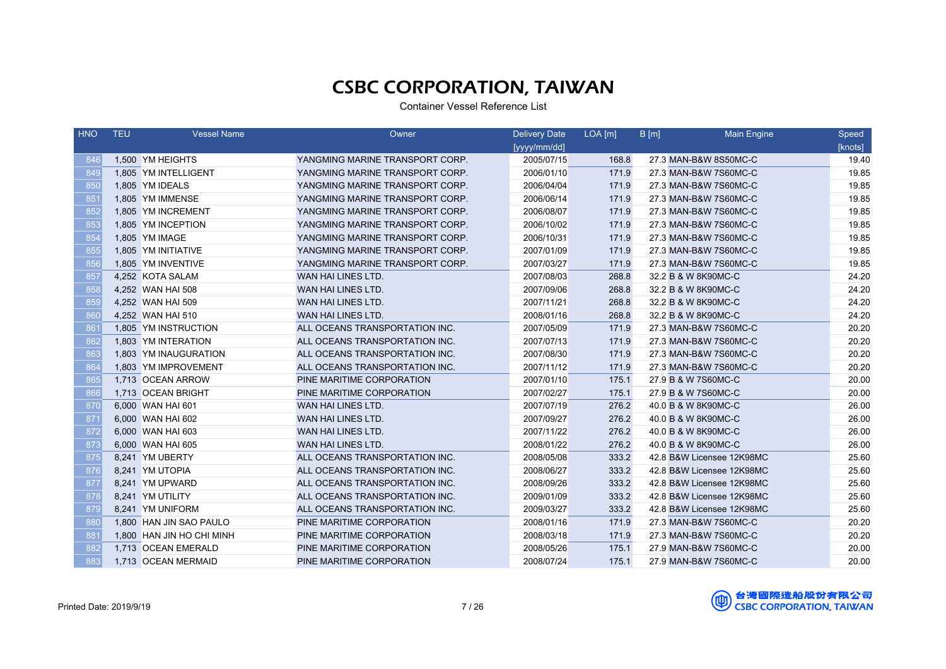| <b>HNO</b> | <b>TEU</b> | <b>Vessel Name</b>        | Owner                           | <b>Delivery Date</b> | $LOA$ [m] | B[m] | <b>Main Engine</b>        | Speed   |
|------------|------------|---------------------------|---------------------------------|----------------------|-----------|------|---------------------------|---------|
|            |            |                           |                                 | [yyyy/mm/dd]         |           |      |                           | [knots] |
| 846        |            | 1.500 YM HEIGHTS          | YANGMING MARINE TRANSPORT CORP. | 2005/07/15           | 168.8     |      | 27.3 MAN-B&W 8S50MC-C     | 19.40   |
| 849        |            | 1,805 YM INTELLIGENT      | YANGMING MARINE TRANSPORT CORP. | 2006/01/10           | 171.9     |      | 27.3 MAN-B&W 7S60MC-C     | 19.85   |
| 850        |            | 1,805 YM IDEALS           | YANGMING MARINE TRANSPORT CORP. | 2006/04/04           | 171.9     |      | 27.3 MAN-B&W 7S60MC-C     | 19.85   |
| 851        |            | 1,805 YM IMMENSE          | YANGMING MARINE TRANSPORT CORP. | 2006/06/14           | 171.9     |      | 27.3 MAN-B&W 7S60MC-C     | 19.85   |
| 852        |            | 1,805 YM INCREMENT        | YANGMING MARINE TRANSPORT CORP. | 2006/08/07           | 171.9     |      | 27.3 MAN-B&W 7S60MC-C     | 19.85   |
| 853        |            | 1,805 YM INCEPTION        | YANGMING MARINE TRANSPORT CORP. | 2006/10/02           | 171.9     |      | 27.3 MAN-B&W 7S60MC-C     | 19.85   |
| 854        |            | 1,805 YM IMAGE            | YANGMING MARINE TRANSPORT CORP. | 2006/10/31           | 171.9     |      | 27.3 MAN-B&W 7S60MC-C     | 19.85   |
| 855        |            | 1.805 YM INITIATIVE       | YANGMING MARINE TRANSPORT CORP. | 2007/01/09           | 171.9     |      | 27.3 MAN-B&W 7S60MC-C     | 19.85   |
| 856        |            | 1,805 YM INVENTIVE        | YANGMING MARINE TRANSPORT CORP. | 2007/03/27           | 171.9     |      | 27.3 MAN-B&W 7S60MC-C     | 19.85   |
| 857        |            | 4,252 KOTA SALAM          | WAN HAI LINES LTD.              | 2007/08/03           | 268.8     |      | 32.2 B & W 8K90MC-C       | 24.20   |
| 858        |            | 4,252 WAN HAI 508         | WAN HAI LINES LTD.              | 2007/09/06           | 268.8     |      | 32.2 B & W 8K90MC-C       | 24.20   |
| 859        |            | 4,252 WAN HAI 509         | WAN HAI LINES LTD.              | 2007/11/21           | 268.8     |      | 32.2 B & W 8K90MC-C       | 24.20   |
| 860        |            | 4,252 WAN HAI 510         | WAN HAI LINES LTD.              | 2008/01/16           | 268.8     |      | 32.2 B & W 8K90MC-C       | 24.20   |
| 861        |            | 1,805 YM INSTRUCTION      | ALL OCEANS TRANSPORTATION INC.  | 2007/05/09           | 171.9     |      | 27.3 MAN-B&W 7S60MC-C     | 20.20   |
| 862        |            | 1,803 YM INTERATION       | ALL OCEANS TRANSPORTATION INC.  | 2007/07/13           | 171.9     |      | 27.3 MAN-B&W 7S60MC-C     | 20.20   |
| 863        |            | 1,803 YM INAUGURATION     | ALL OCEANS TRANSPORTATION INC.  | 2007/08/30           | 171.9     |      | 27.3 MAN-B&W 7S60MC-C     | 20.20   |
| 864        |            | 1,803 YM IMPROVEMENT      | ALL OCEANS TRANSPORTATION INC.  | 2007/11/12           | 171.9     |      | 27.3 MAN-B&W 7S60MC-C     | 20.20   |
| 865        |            | 1.713 OCEAN ARROW         | PINE MARITIME CORPORATION       | 2007/01/10           | 175.1     |      | 27.9 B & W 7S60MC-C       | 20.00   |
| 866        |            | 1,713 OCEAN BRIGHT        | PINE MARITIME CORPORATION       | 2007/02/27           | 175.1     |      | 27.9 B & W 7S60MC-C       | 20.00   |
| 870        |            | 6,000 WAN HAI 601         | WAN HAI LINES LTD.              | 2007/07/19           | 276.2     |      | 40.0 B & W 8K90MC-C       | 26.00   |
| 871        |            | 6,000 WAN HAI 602         | WAN HAI LINES LTD.              | 2007/09/27           | 276.2     |      | 40.0 B & W 8K90MC-C       | 26.00   |
| 872        |            | 6,000 WAN HAI 603         | WAN HAI LINES LTD.              | 2007/11/22           | 276.2     |      | 40.0 B & W 8K90MC-C       | 26.00   |
| 873        |            | 6,000 WAN HAI 605         | WAN HAI LINES LTD.              | 2008/01/22           | 276.2     |      | 40.0 B & W 8K90MC-C       | 26.00   |
| 875        |            | 8,241 YM UBERTY           | ALL OCEANS TRANSPORTATION INC.  | 2008/05/08           | 333.2     |      | 42.8 B&W Licensee 12K98MC | 25.60   |
| 876        |            | 8,241 YM UTOPIA           | ALL OCEANS TRANSPORTATION INC.  | 2008/06/27           | 333.2     |      | 42.8 B&W Licensee 12K98MC | 25.60   |
| 877        |            | 8,241 YM UPWARD           | ALL OCEANS TRANSPORTATION INC.  | 2008/09/26           | 333.2     |      | 42.8 B&W Licensee 12K98MC | 25.60   |
| 878        |            | 8,241 YM UTILITY          | ALL OCEANS TRANSPORTATION INC.  | 2009/01/09           | 333.2     |      | 42.8 B&W Licensee 12K98MC | 25.60   |
| 879        |            | 8,241 YM UNIFORM          | ALL OCEANS TRANSPORTATION INC.  | 2009/03/27           | 333.2     |      | 42.8 B&W Licensee 12K98MC | 25.60   |
| 880        |            | 1,800 HAN JIN SAO PAULO   | PINE MARITIME CORPORATION       | 2008/01/16           | 171.9     |      | 27.3 MAN-B&W 7S60MC-C     | 20.20   |
| 881        |            | 1,800 HAN JIN HO CHI MINH | PINE MARITIME CORPORATION       | 2008/03/18           | 171.9     |      | 27.3 MAN-B&W 7S60MC-C     | 20.20   |
| 882        |            | 1,713 OCEAN EMERALD       | PINE MARITIME CORPORATION       | 2008/05/26           | 175.1     |      | 27.9 MAN-B&W 7S60MC-C     | 20.00   |
| 883        |            | 1,713 OCEAN MERMAID       | PINE MARITIME CORPORATION       | 2008/07/24           | 175.1     |      | 27.9 MAN-B&W 7S60MC-C     | 20.00   |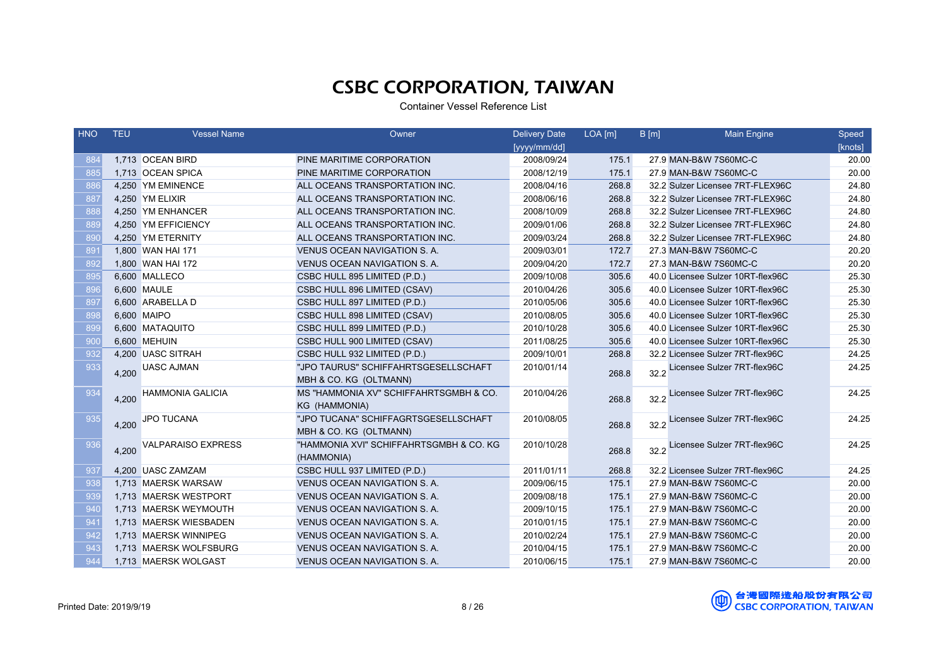| HNO | <b>TEU</b> | <b>Vessel Name</b>      | Owner                                   | <b>Delivery Date</b> | $LOA$ [m] | B[m] | <b>Main Engine</b>                | Speed   |
|-----|------------|-------------------------|-----------------------------------------|----------------------|-----------|------|-----------------------------------|---------|
|     |            |                         |                                         | [yyyy/mm/dd]         |           |      |                                   | [knots] |
| 884 |            | 1,713 OCEAN BIRD        | PINE MARITIME CORPORATION               | 2008/09/24           | 175.1     |      | 27.9 MAN-B&W 7S60MC-C             | 20.00   |
| 885 |            | 1,713 OCEAN SPICA       | PINE MARITIME CORPORATION               | 2008/12/19           | 175.1     |      | 27.9 MAN-B&W 7S60MC-C             | 20.00   |
| 886 |            | 4,250 YM EMINENCE       | ALL OCEANS TRANSPORTATION INC.          | 2008/04/16           | 268.8     |      | 32.2 Sulzer Licensee 7RT-FLEX96C  | 24.80   |
| 887 |            | 4,250 YM ELIXIR         | ALL OCEANS TRANSPORTATION INC.          | 2008/06/16           | 268.8     |      | 32.2 Sulzer Licensee 7RT-FLEX96C  | 24.80   |
| 888 |            | 4,250 YM ENHANCER       | ALL OCEANS TRANSPORTATION INC.          | 2008/10/09           | 268.8     |      | 32.2 Sulzer Licensee 7RT-FLEX96C  | 24.80   |
| 889 |            | 4,250 YM EFFICIENCY     | ALL OCEANS TRANSPORTATION INC.          | 2009/01/06           | 268.8     |      | 32.2 Sulzer Licensee 7RT-FLEX96C  | 24.80   |
| 890 |            | 4,250 YM ETERNITY       | ALL OCEANS TRANSPORTATION INC.          | 2009/03/24           | 268.8     |      | 32.2 Sulzer Licensee 7RT-FLEX96C  | 24.80   |
| 891 |            | 1,800 WAN HAI 171       | VENUS OCEAN NAVIGATION S. A.            | 2009/03/01           | 172.7     |      | 27.3 MAN-B&W 7S60MC-C             | 20.20   |
| 892 |            | 1,800 WAN HAI 172       | VENUS OCEAN NAVIGATION S. A.            | 2009/04/20           | 172.7     |      | 27.3 MAN-B&W 7S60MC-C             | 20.20   |
| 895 |            | 6,600 MALLECO           | CSBC HULL 895 LIMITED (P.D.)            | 2009/10/08           | 305.6     |      | 40.0 Licensee Sulzer 10RT-flex96C | 25.30   |
| 896 |            | 6.600 MAULE             | CSBC HULL 896 LIMITED (CSAV)            | 2010/04/26           | 305.6     |      | 40.0 Licensee Sulzer 10RT-flex96C | 25.30   |
| 897 |            | 6,600 ARABELLA D        | CSBC HULL 897 LIMITED (P.D.)            | 2010/05/06           | 305.6     |      | 40.0 Licensee Sulzer 10RT-flex96C | 25.30   |
| 898 |            | 6,600 MAIPO             | CSBC HULL 898 LIMITED (CSAV)            | 2010/08/05           | 305.6     |      | 40.0 Licensee Sulzer 10RT-flex96C | 25.30   |
| 899 |            | 6,600 MATAQUITO         | CSBC HULL 899 LIMITED (P.D.)            | 2010/10/28           | 305.6     |      | 40.0 Licensee Sulzer 10RT-flex96C | 25.30   |
| 900 |            | 6,600 MEHUIN            | CSBC HULL 900 LIMITED (CSAV)            | 2011/08/25           | 305.6     |      | 40.0 Licensee Sulzer 10RT-flex96C | 25.30   |
| 932 |            | 4.200 UASC SITRAH       | CSBC HULL 932 LIMITED (P.D.)            | 2009/10/01           | 268.8     |      | 32.2 Licensee Sulzer 7RT-flex96C  | 24.25   |
| 933 | 4,200      | <b>UASC AJMAN</b>       | "JPO TAURUS" SCHIFFAHRTSGESELLSCHAFT    | 2010/01/14           | 268.8     | 32.2 | Licensee Sulzer 7RT-flex96C       | 24.25   |
|     |            |                         | MBH & CO. KG (OLTMANN)                  |                      |           |      |                                   |         |
| 934 | 4,200      | <b>HAMMONIA GALICIA</b> | MS "HAMMONIA XV" SCHIFFAHRTSGMBH & CO.  | 2010/04/26           | 268.8     |      | 32.2 Licensee Sulzer 7RT-flex96C  | 24.25   |
|     |            |                         | KG (HAMMONIA)                           |                      |           |      |                                   |         |
| 935 | 4,200      | JPO TUCANA              | "JPO TUCANA" SCHIFFAGRTSGESELLSCHAFT    | 2010/08/05           | 268.8     |      | 32.2 Licensee Sulzer 7RT-flex96C  | 24.25   |
|     |            |                         | MBH & CO. KG (OLTMANN)                  |                      |           |      |                                   |         |
| 936 | 4,200      | VALPARAISO EXPRESS      | "HAMMONIA XVI" SCHIFFAHRTSGMBH & CO. KG | 2010/10/28           | 268.8     | 32.2 | Licensee Sulzer 7RT-flex96C       | 24.25   |
|     |            |                         | (HAMMONIA)                              |                      |           |      |                                   |         |
| 937 |            | 4,200 UASC ZAMZAM       | CSBC HULL 937 LIMITED (P.D.)            | 2011/01/11           | 268.8     |      | 32.2 Licensee Sulzer 7RT-flex96C  | 24.25   |
| 938 |            | 1.713 MAERSK WARSAW     | <b>VENUS OCEAN NAVIGATION S.A.</b>      | 2009/06/15           | 175.1     |      | 27.9 MAN-B&W 7S60MC-C             | 20.00   |
| 939 |            | 1,713 MAERSK WESTPORT   | <b>VENUS OCEAN NAVIGATION S.A.</b>      | 2009/08/18           | 175.1     |      | 27.9 MAN-B&W 7S60MC-C             | 20.00   |
| 940 |            | 1,713 MAERSK WEYMOUTH   | VENUS OCEAN NAVIGATION S. A.            | 2009/10/15           | 175.1     |      | 27.9 MAN-B&W 7S60MC-C             | 20.00   |
| 941 |            | 1,713 MAERSK WIESBADEN  | VENUS OCEAN NAVIGATION S.A.             | 2010/01/15           | 175.1     |      | 27.9 MAN-B&W 7S60MC-C             | 20.00   |
| 942 |            | 1,713 MAERSK WINNIPEG   | VENUS OCEAN NAVIGATION S. A.            | 2010/02/24           | 175.1     |      | 27.9 MAN-B&W 7S60MC-C             | 20.00   |
| 943 |            | 1.713 MAERSK WOLFSBURG  | <b>VENUS OCEAN NAVIGATION S. A.</b>     | 2010/04/15           | 175.1     |      | 27.9 MAN-B&W 7S60MC-C             | 20.00   |
| 944 |            | 1,713 MAERSK WOLGAST    | VENUS OCEAN NAVIGATION S. A.            | 2010/06/15           | 175.1     |      | 27.9 MAN-B&W 7S60MC-C             | 20.00   |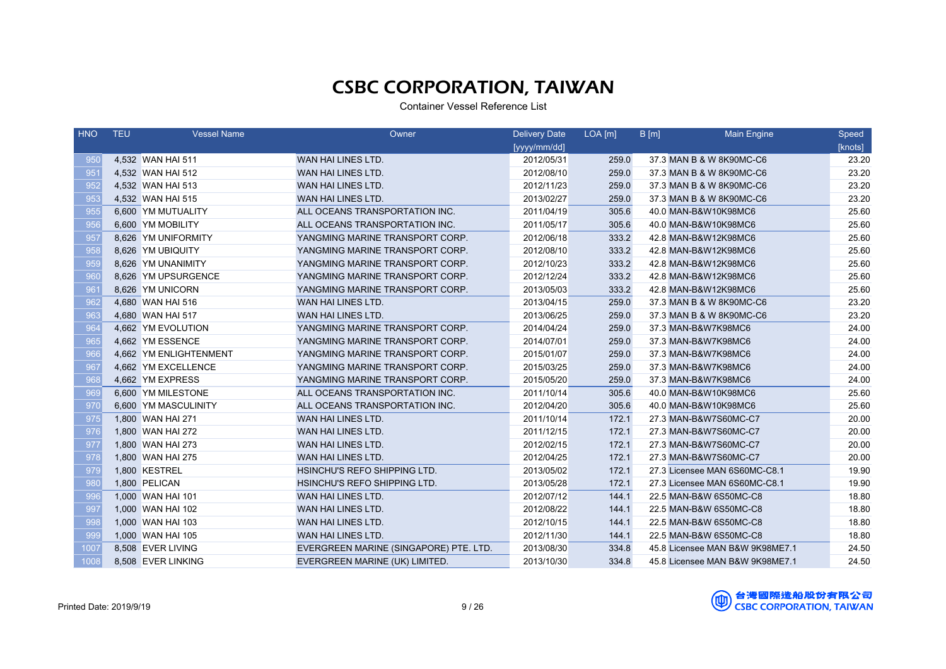| <b>HNO</b> | <b>TEU</b> | <b>Vessel Name</b>     | Owner                                  | <b>Delivery Date</b> | $LOA$ [m] | B[m] | <b>Main Engine</b>              | Speed   |
|------------|------------|------------------------|----------------------------------------|----------------------|-----------|------|---------------------------------|---------|
|            |            |                        |                                        | [yyyy/mm/dd]         |           |      |                                 | [knots] |
| 950        |            | 4,532 WAN HAI 511      | WAN HAI LINES LTD.                     | 2012/05/31           | 259.0     |      | 37.3 MAN B & W 8K90MC-C6        | 23.20   |
| 951        |            | 4,532 WAN HAI 512      | WAN HAI LINES LTD.                     | 2012/08/10           | 259.0     |      | 37.3 MAN B & W 8K90MC-C6        | 23.20   |
| 952        |            | 4,532 WAN HAI 513      | WAN HAI LINES LTD.                     | 2012/11/23           | 259.0     |      | 37.3 MAN B & W 8K90MC-C6        | 23.20   |
| 953        |            | 4,532 WAN HAI 515      | WAN HAI LINES LTD.                     | 2013/02/27           | 259.0     |      | 37.3 MAN B & W 8K90MC-C6        | 23.20   |
| 955        |            | 6,600 YM MUTUALITY     | ALL OCEANS TRANSPORTATION INC.         | 2011/04/19           | 305.6     |      | 40.0 MAN-B&W10K98MC6            | 25.60   |
| 956        |            | 6,600 YM MOBILITY      | ALL OCEANS TRANSPORTATION INC.         | 2011/05/17           | 305.6     |      | 40.0 MAN-B&W10K98MC6            | 25.60   |
| 957        |            | 8,626 YM UNIFORMITY    | YANGMING MARINE TRANSPORT CORP.        | 2012/06/18           | 333.2     |      | 42.8 MAN-B&W12K98MC6            | 25.60   |
| 958        |            | 8,626 YM UBIQUITY      | YANGMING MARINE TRANSPORT CORP.        | 2012/08/10           | 333.2     |      | 42.8 MAN-B&W12K98MC6            | 25.60   |
| 959        |            | 8,626 YM UNANIMITY     | YANGMING MARINE TRANSPORT CORP.        | 2012/10/23           | 333.2     |      | 42.8 MAN-B&W12K98MC6            | 25.60   |
| 960        |            | 8,626 YM UPSURGENCE    | YANGMING MARINE TRANSPORT CORP.        | 2012/12/24           | 333.2     |      | 42.8 MAN-B&W12K98MC6            | 25.60   |
| 961        |            | 8,626 YM UNICORN       | YANGMING MARINE TRANSPORT CORP.        | 2013/05/03           | 333.2     |      | 42.8 MAN-B&W12K98MC6            | 25.60   |
| 962        |            | 4,680 WAN HAI 516      | WAN HAI LINES LTD.                     | 2013/04/15           | 259.0     |      | 37.3 MAN B & W 8K90MC-C6        | 23.20   |
| 963        |            | 4,680 WAN HAI 517      | WAN HAI LINES LTD.                     | 2013/06/25           | 259.0     |      | 37.3 MAN B & W 8K90MC-C6        | 23.20   |
| 964        |            | 4,662 YM EVOLUTION     | YANGMING MARINE TRANSPORT CORP.        | 2014/04/24           | 259.0     |      | 37.3 MAN-B&W7K98MC6             | 24.00   |
| 965        |            | 4,662 YM ESSENCE       | YANGMING MARINE TRANSPORT CORP.        | 2014/07/01           | 259.0     |      | 37.3 MAN-B&W7K98MC6             | 24.00   |
| 966        |            | 4,662 YM ENLIGHTENMENT | YANGMING MARINE TRANSPORT CORP.        | 2015/01/07           | 259.0     |      | 37.3 MAN-B&W7K98MC6             | 24.00   |
| 967        |            | 4,662 YM EXCELLENCE    | YANGMING MARINE TRANSPORT CORP.        | 2015/03/25           | 259.0     |      | 37.3 MAN-B&W7K98MC6             | 24.00   |
| 968        |            | 4,662 YM EXPRESS       | YANGMING MARINE TRANSPORT CORP.        | 2015/05/20           | 259.0     |      | 37.3 MAN-B&W7K98MC6             | 24.00   |
| 969        |            | 6,600 YM MILESTONE     | ALL OCEANS TRANSPORTATION INC.         | 2011/10/14           | 305.6     |      | 40.0 MAN-B&W10K98MC6            | 25.60   |
| 970        |            | 6,600 YM MASCULINITY   | ALL OCEANS TRANSPORTATION INC.         | 2012/04/20           | 305.6     |      | 40.0 MAN-B&W10K98MC6            | 25.60   |
| 975        |            | 1,800 WAN HAI 271      | WAN HAI LINES LTD.                     | 2011/10/14           | 172.1     |      | 27.3 MAN-B&W7S60MC-C7           | 20.00   |
| 976        |            | 1,800 WAN HAI 272      | WAN HAI LINES LTD.                     | 2011/12/15           | 172.1     |      | 27.3 MAN-B&W7S60MC-C7           | 20.00   |
| 977        |            | 1,800 WAN HAI 273      | WAN HAI LINES LTD.                     | 2012/02/15           | 172.1     |      | 27.3 MAN-B&W7S60MC-C7           | 20.00   |
| 978        |            | 1,800 WAN HAI 275      | WAN HAI LINES LTD.                     | 2012/04/25           | 172.1     |      | 27.3 MAN-B&W7S60MC-C7           | 20.00   |
| 979        |            | 1,800 KESTREL          | HSINCHU'S REFO SHIPPING LTD.           | 2013/05/02           | 172.1     |      | 27.3 Licensee MAN 6S60MC-C8.1   | 19.90   |
| 980        |            | 1,800 PELICAN          | HSINCHU'S REFO SHIPPING LTD.           | 2013/05/28           | 172.1     |      | 27.3 Licensee MAN 6S60MC-C8.1   | 19.90   |
| 996        |            | 1,000 WAN HAI 101      | WAN HAI LINES LTD.                     | 2012/07/12           | 144.1     |      | 22.5 MAN-B&W 6S50MC-C8          | 18.80   |
| 997        |            | 1,000 WAN HAI 102      | WAN HAI LINES LTD.                     | 2012/08/22           | 144.1     |      | 22.5 MAN-B&W 6S50MC-C8          | 18.80   |
| 998        |            | 1,000 WAN HAI 103      | WAN HAI LINES LTD.                     | 2012/10/15           | 144.1     |      | 22.5 MAN-B&W 6S50MC-C8          | 18.80   |
| 999        |            | 1,000 WAN HAI 105      | WAN HAI LINES LTD.                     | 2012/11/30           | 144.1     |      | 22.5 MAN-B&W 6S50MC-C8          | 18.80   |
| 1007       |            | 8,508 EVER LIVING      | EVERGREEN MARINE (SINGAPORE) PTE. LTD. | 2013/08/30           | 334.8     |      | 45.8 Licensee MAN B&W 9K98ME7.1 | 24.50   |
| 1008       |            | 8,508 EVER LINKING     | EVERGREEN MARINE (UK) LIMITED.         | 2013/10/30           | 334.8     |      | 45.8 Licensee MAN B&W 9K98ME7.1 | 24.50   |

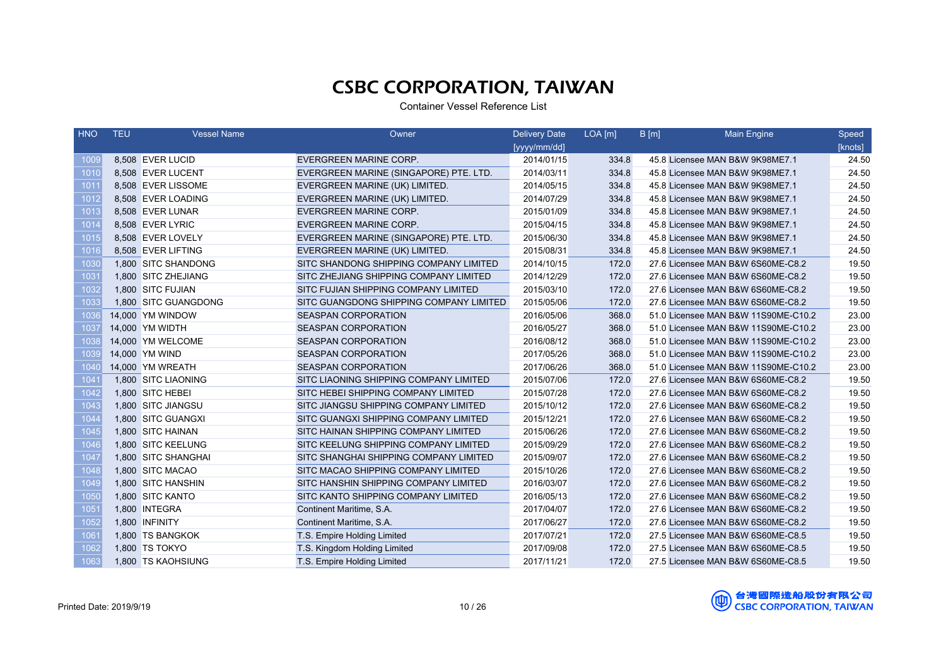| <b>HNO</b>       | <b>TEU</b> | <b>Vessel Name</b>   | Owner                                   | <b>Delivery Date</b> | $LOA$ [m] | B[m] | <b>Main Engine</b>                  | Speed   |
|------------------|------------|----------------------|-----------------------------------------|----------------------|-----------|------|-------------------------------------|---------|
|                  |            |                      |                                         | [yyyy/mm/dd]         |           |      |                                     | [knots] |
| 1009             |            | 8,508 EVER LUCID     | <b>EVERGREEN MARINE CORP.</b>           | 2014/01/15           | 334.8     |      | 45.8 Licensee MAN B&W 9K98ME7.1     | 24.50   |
| 1010             |            | 8,508 EVER LUCENT    | EVERGREEN MARINE (SINGAPORE) PTE. LTD.  | 2014/03/11           | 334.8     |      | 45.8 Licensee MAN B&W 9K98ME7.1     | 24.50   |
| 1011             |            | 8,508 EVER LISSOME   | EVERGREEN MARINE (UK) LIMITED.          | 2014/05/15           | 334.8     |      | 45.8 Licensee MAN B&W 9K98ME7.1     | 24.50   |
| 1012             |            | 8,508 EVER LOADING   | EVERGREEN MARINE (UK) LIMITED.          | 2014/07/29           | 334.8     |      | 45.8 Licensee MAN B&W 9K98ME7.1     | 24.50   |
| 1013             |            | 8,508 EVER LUNAR     | EVERGREEN MARINE CORP.                  | 2015/01/09           | 334.8     |      | 45.8 Licensee MAN B&W 9K98ME7.1     | 24.50   |
| 1014             |            | 8,508 EVER LYRIC     | <b>EVERGREEN MARINE CORP.</b>           | 2015/04/15           | 334.8     |      | 45.8 Licensee MAN B&W 9K98ME7.1     | 24.50   |
| 1015             |            | 8,508 EVER LOVELY    | EVERGREEN MARINE (SINGAPORE) PTE. LTD.  | 2015/06/30           | 334.8     |      | 45.8 Licensee MAN B&W 9K98ME7.1     | 24.50   |
| 1016             |            | 8.508 EVER LIFTING   | EVERGREEN MARINE (UK) LIMITED.          | 2015/08/31           | 334.8     |      | 45.8 Licensee MAN B&W 9K98ME7.1     | 24.50   |
| 1030             |            | 1,800 SITC SHANDONG  | SITC SHANDONG SHIPPING COMPANY LIMITED  | 2014/10/15           | 172.0     |      | 27.6 Licensee MAN B&W 6S60ME-C8.2   | 19.50   |
| 103 <sup>2</sup> |            | 1,800 SITC ZHEJIANG  | SITC ZHEJIANG SHIPPING COMPANY LIMITED  | 2014/12/29           | 172.0     |      | 27.6 Licensee MAN B&W 6S60ME-C8.2   | 19.50   |
| 1032             |            | 1,800 SITC FUJIAN    | SITC FUJIAN SHIPPING COMPANY LIMITED    | 2015/03/10           | 172.0     |      | 27.6 Licensee MAN B&W 6S60ME-C8.2   | 19.50   |
| 1033             |            | 1.800 SITC GUANGDONG | SITC GUANGDONG SHIPPING COMPANY LIMITED | 2015/05/06           | 172.0     |      | 27.6 Licensee MAN B&W 6S60ME-C8.2   | 19.50   |
| 1036             |            | 14,000 YM WINDOW     | <b>SEASPAN CORPORATION</b>              | 2016/05/06           | 368.0     |      | 51.0 Licensee MAN B&W 11S90ME-C10.2 | 23.00   |
| 1037             |            | 14,000 YM WIDTH      | <b>SEASPAN CORPORATION</b>              | 2016/05/27           | 368.0     |      | 51.0 Licensee MAN B&W 11S90ME-C10.2 | 23.00   |
| 1038             |            | 14,000 YM WELCOME    | <b>SEASPAN CORPORATION</b>              | 2016/08/12           | 368.0     |      | 51.0 Licensee MAN B&W 11S90ME-C10.2 | 23.00   |
| 1039             |            | 14,000 YM WIND       | <b>SEASPAN CORPORATION</b>              | 2017/05/26           | 368.0     |      | 51.0 Licensee MAN B&W 11S90ME-C10.2 | 23.00   |
| 1040             |            | 14,000 YM WREATH     | <b>SEASPAN CORPORATION</b>              | 2017/06/26           | 368.0     |      | 51.0 Licensee MAN B&W 11S90ME-C10.2 | 23.00   |
| 104'             |            | 1,800 SITC LIAONING  | SITC LIAONING SHIPPING COMPANY LIMITED  | 2015/07/06           | 172.0     |      | 27.6 Licensee MAN B&W 6S60ME-C8.2   | 19.50   |
| 1042             |            | 1,800 SITC HEBEI     | SITC HEBEI SHIPPING COMPANY LIMITED     | 2015/07/28           | 172.0     |      | 27.6 Licensee MAN B&W 6S60ME-C8.2   | 19.50   |
| 1043             |            | 1.800 SITC JIANGSU   | SITC JIANGSU SHIPPING COMPANY LIMITED   | 2015/10/12           | 172.0     |      | 27.6 Licensee MAN B&W 6S60ME-C8.2   | 19.50   |
| 1044             |            | 1,800 SITC GUANGXI   | SITC GUANGXI SHIPPING COMPANY LIMITED   | 2015/12/21           | 172.0     |      | 27.6 Licensee MAN B&W 6S60ME-C8.2   | 19.50   |
| 1045             |            | 1,800 SITC HAINAN    | SITC HAINAN SHIPPING COMPANY LIMITED    | 2015/06/26           | 172.0     |      | 27.6 Licensee MAN B&W 6S60ME-C8.2   | 19.50   |
| 1046             |            | 1,800 SITC KEELUNG   | SITC KEELUNG SHIPPING COMPANY LIMITED   | 2015/09/29           | 172.0     |      | 27.6 Licensee MAN B&W 6S60ME-C8.2   | 19.50   |
| 1047             |            | 1,800 SITC SHANGHAI  | SITC SHANGHAI SHIPPING COMPANY LIMITED  | 2015/09/07           | 172.0     |      | 27.6 Licensee MAN B&W 6S60ME-C8.2   | 19.50   |
| 1048             |            | 1,800 SITC MACAO     | SITC MACAO SHIPPING COMPANY LIMITED     | 2015/10/26           | 172.0     |      | 27.6 Licensee MAN B&W 6S60ME-C8.2   | 19.50   |
| 1049             |            | 1,800 SITC HANSHIN   | SITC HANSHIN SHIPPING COMPANY LIMITED   | 2016/03/07           | 172.0     |      | 27.6 Licensee MAN B&W 6S60ME-C8.2   | 19.50   |
| 1050             |            | 1,800 SITC KANTO     | SITC KANTO SHIPPING COMPANY LIMITED     | 2016/05/13           | 172.0     |      | 27.6 Licensee MAN B&W 6S60ME-C8.2   | 19.50   |
| 1051             |            | 1,800 INTEGRA        | Continent Maritime, S.A.                | 2017/04/07           | 172.0     |      | 27.6 Licensee MAN B&W 6S60ME-C8.2   | 19.50   |
| 1052             |            | 1,800 INFINITY       | Continent Maritime, S.A.                | 2017/06/27           | 172.0     |      | 27.6 Licensee MAN B&W 6S60ME-C8.2   | 19.50   |
| 106'             |            | 1,800 TS BANGKOK     | T.S. Empire Holding Limited             | 2017/07/21           | 172.0     |      | 27.5 Licensee MAN B&W 6S60ME-C8.5   | 19.50   |
| 1062             |            | 1,800 TS TOKYO       | T.S. Kingdom Holding Limited            | 2017/09/08           | 172.0     |      | 27.5 Licensee MAN B&W 6S60ME-C8.5   | 19.50   |
| 1063             |            | 1,800 TS KAOHSIUNG   | T.S. Empire Holding Limited             | 2017/11/21           | 172.0     |      | 27.5 Licensee MAN B&W 6S60ME-C8.5   | 19.50   |

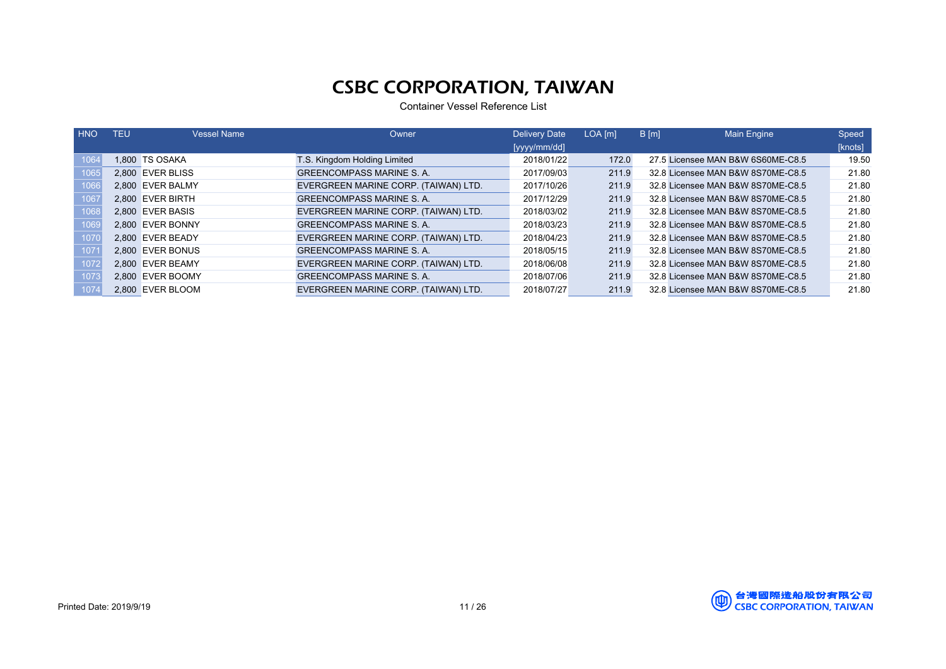| <b>HNO</b> | TEU | <b>Vessel Name</b> | Owner                                | <b>Delivery Date</b> | LOA [m] | $B$ [m] | Main Engine                       | Speed   |
|------------|-----|--------------------|--------------------------------------|----------------------|---------|---------|-----------------------------------|---------|
|            |     |                    |                                      | [yyyy/mm/dd]         |         |         |                                   | [knots] |
| 1064       |     | 1.800 TS OSAKA     | T.S. Kingdom Holding Limited         | 2018/01/22           | 172.0   |         | 27.5 Licensee MAN B&W 6S60ME-C8.5 | 19.50   |
| 1065       |     | 2.800 EVER BLISS   | <b>GREENCOMPASS MARINE S. A.</b>     | 2017/09/03           | 211.9   |         | 32.8 Licensee MAN B&W 8S70ME-C8.5 | 21.80   |
| 1066       |     | 2.800 EVER BALMY   | EVERGREEN MARINE CORP. (TAIWAN) LTD. | 2017/10/26           | 211.9   |         | 32.8 Licensee MAN B&W 8S70ME-C8.5 | 21.80   |
| 1067       |     | 2.800 EVER BIRTH   | <b>GREENCOMPASS MARINE S. A.</b>     | 2017/12/29           | 211.9   |         | 32.8 Licensee MAN B&W 8S70ME-C8.5 | 21.80   |
| 1068       |     | 2.800 EVER BASIS   | EVERGREEN MARINE CORP. (TAIWAN) LTD. | 2018/03/02           | 211.9   |         | 32.8 Licensee MAN B&W 8S70ME-C8.5 | 21.80   |
| 1069       |     | 2.800 EVER BONNY   | <b>GREENCOMPASS MARINE S. A.</b>     | 2018/03/23           | 211.9   |         | 32.8 Licensee MAN B&W 8S70ME-C8.5 | 21.80   |
| 1070       |     | 2.800 EVER BEADY   | EVERGREEN MARINE CORP. (TAIWAN) LTD. | 2018/04/23           | 211.9   |         | 32.8 Licensee MAN B&W 8S70ME-C8.5 | 21.80   |
| 107        |     | 2.800 EVER BONUS   | <b>GREENCOMPASS MARINE S. A.</b>     | 2018/05/15           | 211.9   |         | 32.8 Licensee MAN B&W 8S70ME-C8.5 | 21.80   |
| 1072       |     | 2.800 EVER BEAMY   | EVERGREEN MARINE CORP. (TAIWAN) LTD. | 2018/06/08           | 211.9   |         | 32.8 Licensee MAN B&W 8S70ME-C8.5 | 21.80   |
| 1073       |     | 2.800 EVER BOOMY   | <b>GREENCOMPASS MARINE S. A.</b>     | 2018/07/06           | 211.9   |         | 32.8 Licensee MAN B&W 8S70ME-C8.5 | 21.80   |
| 107        |     | 2.800 EVER BLOOM   | EVERGREEN MARINE CORP. (TAIWAN) LTD. | 2018/07/27           | 211.9   |         | 32.8 Licensee MAN B&W 8S70ME-C8.5 | 21.80   |

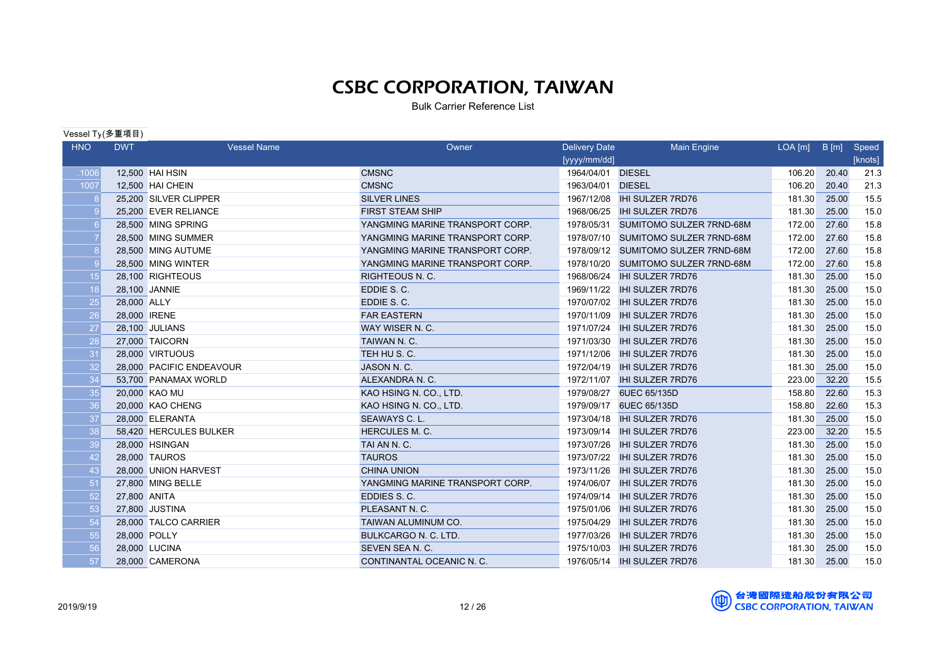Bulk Carrier Reference List

#### Vessel Ty(多重項目)

| <b>HNO</b> | <b>DWT</b>   | <b>Vessel Name</b>       | Owner                           | <b>Delivery Date</b> | <b>Main Engine</b>              | LOA[m] | B[m]  | Speed   |
|------------|--------------|--------------------------|---------------------------------|----------------------|---------------------------------|--------|-------|---------|
|            |              |                          |                                 | [yyyy/mm/dd]         |                                 |        |       | [knots] |
| .1006      |              | 12,500 HAI HSIN          | <b>CMSNC</b>                    | 1964/04/01 DIESEL    |                                 | 106.20 | 20.40 | 21.3    |
| 1007       |              | 12,500 HAI CHEIN         | <b>CMSNC</b>                    | 1963/04/01 DIESEL    |                                 | 106.20 | 20.40 | 21.3    |
|            |              | 25,200 SILVER CLIPPER    | <b>SILVER LINES</b>             | 1967/12/08           | <b>IHI SULZER 7RD76</b>         | 181.30 | 25.00 | 15.5    |
|            |              | 25,200 EVER RELIANCE     | <b>FIRST STEAM SHIP</b>         | 1968/06/25           | <b>IHI SULZER 7RD76</b>         | 181.30 | 25.00 | 15.0    |
|            |              | 28,500 MING SPRING       | YANGMING MARINE TRANSPORT CORP. | 1978/05/31           | SUMITOMO SULZER 7RND-68M        | 172.00 | 27.60 | 15.8    |
|            |              | 28,500 MING SUMMER       | YANGMING MARINE TRANSPORT CORP. | 1978/07/10           | <b>SUMITOMO SULZER 7RND-68M</b> | 172.00 | 27.60 | 15.8    |
|            |              | 28,500 MING AUTUME       | YANGMING MARINE TRANSPORT CORP. | 1978/09/12           | SUMITOMO SULZER 7RND-68M        | 172.00 | 27.60 | 15.8    |
|            |              | 28,500 MING WINTER       | YANGMING MARINE TRANSPORT CORP. | 1978/10/20           | <b>SUMITOMO SULZER 7RND-68M</b> | 172.00 | 27.60 | 15.8    |
| 15         |              | 28,100 RIGHTEOUS         | <b>RIGHTEOUS N. C.</b>          | 1968/06/24           | <b>IHI SULZER 7RD76</b>         | 181.30 | 25.00 | 15.0    |
| 18         |              | 28,100 JANNIE            | EDDIE S.C.                      | 1969/11/22           | <b>IHI SULZER 7RD76</b>         | 181.30 | 25.00 | 15.0    |
| 25         | 28,000 ALLY  |                          | EDDIE S.C.                      | 1970/07/02           | <b>IHI SULZER 7RD76</b>         | 181.30 | 25.00 | 15.0    |
| 26         | 28,000 IRENE |                          | <b>FAR EASTERN</b>              | 1970/11/09           | <b>IHI SULZER 7RD76</b>         | 181.30 | 25.00 | 15.0    |
| 27         |              | 28,100 JULIANS           | WAY WISER N.C.                  | 1971/07/24           | <b>IHI SULZER 7RD76</b>         | 181.30 | 25.00 | 15.0    |
| 28         |              | 27,000 TAICORN           | TAIWAN N. C.                    | 1971/03/30           | <b>IHI SULZER 7RD76</b>         | 181.30 | 25.00 | 15.0    |
| 31         |              | 28,000 VIRTUOUS          | TEH HU S. C.                    | 1971/12/06           | <b>IHI SULZER 7RD76</b>         | 181.30 | 25.00 | 15.0    |
| 32         |              | 28,000 PACIFIC ENDEAVOUR | JASON N. C.                     | 1972/04/19           | <b>IHI SULZER 7RD76</b>         | 181.30 | 25.00 | 15.0    |
| 34         |              | 53,700 PANAMAX WORLD     | ALEXANDRA N. C.                 | 1972/11/07           | <b>IHI SULZER 7RD76</b>         | 223.00 | 32.20 | 15.5    |
| 35         |              | 20,000 KAO MU            | KAO HSING N. CO., LTD.          | 1979/08/27           | 6UEC 65/135D                    | 158.80 | 22.60 | 15.3    |
| 36         |              | 20,000 KAO CHENG         | KAO HSING N. CO., LTD.          | 1979/09/17           | 6UEC 65/135D                    | 158.80 | 22.60 | 15.3    |
| 37         |              | 28,000 ELERANTA          | SEAWAYS C. L.                   | 1973/04/18           | <b>IHI SULZER 7RD76</b>         | 181.30 | 25.00 | 15.0    |
| 38         |              | 58,420 HERCULES BULKER   | <b>HERCULES M. C.</b>           | 1973/09/14           | <b>IHI SULZER 7RD76</b>         | 223.00 | 32.20 | 15.5    |
| 39         |              | 28,000 HSINGAN           | TAI AN N. C.                    | 1973/07/26           | <b>IHI SULZER 7RD76</b>         | 181.30 | 25.00 | 15.0    |
| 42         |              | 28,000 TAUROS            | <b>TAUROS</b>                   | 1973/07/22           | <b>IHI SULZER 7RD76</b>         | 181.30 | 25.00 | 15.0    |
| 43         |              | 28,000 UNION HARVEST     | <b>CHINA UNION</b>              | 1973/11/26           | <b>IHI SULZER 7RD76</b>         | 181.30 | 25.00 | 15.0    |
| 51         |              | 27,800 MING BELLE        | YANGMING MARINE TRANSPORT CORP. | 1974/06/07           | <b>IHI SULZER 7RD76</b>         | 181.30 | 25.00 | 15.0    |
| 52         | 27,800 ANITA |                          | EDDIES S. C.                    | 1974/09/14           | IHI SULZER 7RD76                | 181.30 | 25.00 | 15.0    |
| 53         |              | 27,800 JUSTINA           | PLEASANT N. C.                  | 1975/01/06           | <b>IHI SULZER 7RD76</b>         | 181.30 | 25.00 | 15.0    |
| 54         |              | 28,000 TALCO CARRIER     | TAIWAN ALUMINUM CO.             | 1975/04/29           | <b>IHI SULZER 7RD76</b>         | 181.30 | 25.00 | 15.0    |
| 55         | 28,000 POLLY |                          | <b>BULKCARGO N. C. LTD.</b>     | 1977/03/26           | <b>IHI SULZER 7RD76</b>         | 181.30 | 25.00 | 15.0    |
| 56         |              | 28,000 LUCINA            | SEVEN SEA N. C.                 | 1975/10/03           | <b>IHI SULZER 7RD76</b>         | 181.30 | 25.00 | 15.0    |
| 57         |              | 28,000 CAMERONA          | CONTINANTAL OCEANIC N. C.       |                      |                                 | 181.30 | 25.00 | 15.0    |

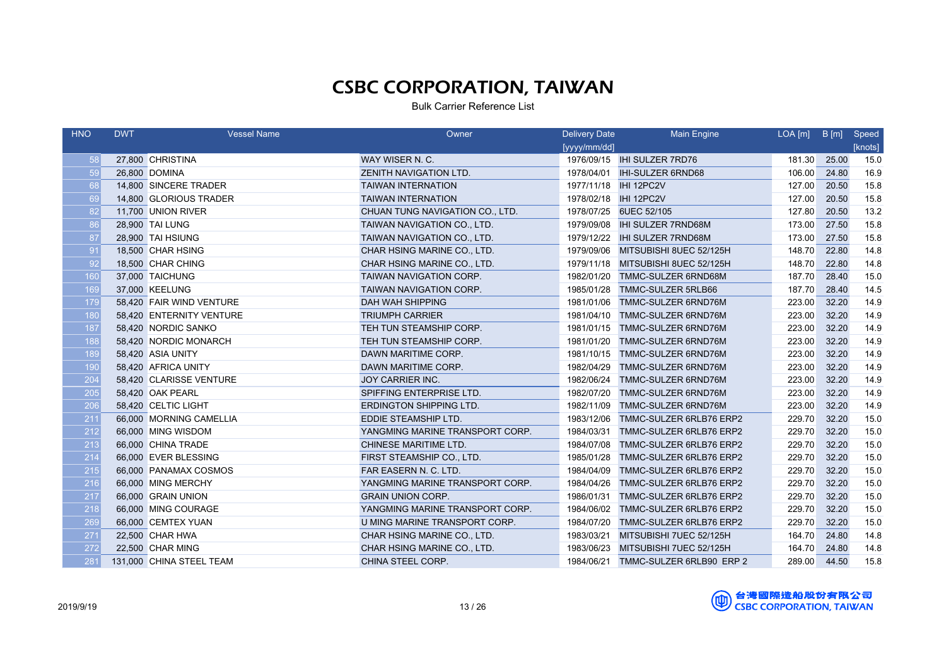| <b>HNO</b> | <b>DWT</b> | <b>Vessel Name</b>       | Owner                           | <b>Delivery Date</b>  | Main Engine                 | $LOA[m]$ B $[m]$ |       | Speed   |
|------------|------------|--------------------------|---------------------------------|-----------------------|-----------------------------|------------------|-------|---------|
|            |            |                          |                                 | [yyyy/mm/dd]          |                             |                  |       | [knots] |
| 58         |            | 27,800 CHRISTINA         | WAY WISER N. C.                 |                       | 1976/09/15 IHI SULZER 7RD76 | 181.30           | 25.00 | 15.0    |
| 59         |            | 26,800 DOMINA            | ZENITH NAVIGATION LTD.          | 1978/04/01            | <b>IHI-SULZER 6RND68</b>    | 106.00           | 24.80 | 16.9    |
| 68         |            | 14,800 SINCERE TRADER    | <b>TAIWAN INTERNATION</b>       | 1977/11/18 IHI 12PC2V |                             | 127.00           | 20.50 | 15.8    |
| 69         |            | 14,800 GLORIOUS TRADER   | <b>TAIWAN INTERNATION</b>       |                       |                             | 127.00           | 20.50 | 15.8    |
| 82         |            | 11,700 UNION RIVER       | CHUAN TUNG NAVIGATION CO., LTD. |                       | 1978/07/25 6UEC 52/105      | 127.80           | 20.50 | 13.2    |
| 86         |            | 28,900 TAI LUNG          | TAIWAN NAVIGATION CO., LTD.     | 1979/09/08            | <b>IHI SULZER 7RND68M</b>   | 173.00           | 27.50 | 15.8    |
| 87         |            | 28,900 TAI HSIUNG        | TAIWAN NAVIGATION CO., LTD.     | 1979/12/22            | <b>IHI SULZER 7RND68M</b>   | 173.00           | 27.50 | 15.8    |
| 91         |            | 18,500 CHAR HSING        | CHAR HSING MARINE CO., LTD.     | 1979/09/06            | MITSUBISHI 8UEC 52/125H     | 148.70           | 22.80 | 14.8    |
| 92         |            | 18,500 CHAR CHING        | CHAR HSING MARINE CO., LTD.     | 1979/11/18            | MITSUBISHI 8UEC 52/125H     | 148.70           | 22.80 | 14.8    |
| 160        |            | 37,000 TAICHUNG          | TAIWAN NAVIGATION CORP.         | 1982/01/20            | TMMC-SULZER 6RND68M         | 187.70           | 28.40 | 15.0    |
| 169        |            | 37,000 KEELUNG           | TAIWAN NAVIGATION CORP.         | 1985/01/28            | TMMC-SULZER 5RLB66          | 187.70           | 28.40 | 14.5    |
| 179        |            | 58,420 FAIR WIND VENTURE | <b>DAH WAH SHIPPING</b>         | 1981/01/06            | TMMC-SULZER 6RND76M         | 223.00           | 32.20 | 14.9    |
| 180        |            | 58,420 ENTERNITY VENTURE | <b>TRIUMPH CARRIER</b>          | 1981/04/10            | TMMC-SULZER 6RND76M         | 223.00           | 32.20 | 14.9    |
| 187        |            | 58,420 NORDIC SANKO      | TEH TUN STEAMSHIP CORP.         | 1981/01/15            | TMMC-SULZER 6RND76M         | 223.00           | 32.20 | 14.9    |
| 188        |            | 58,420 NORDIC MONARCH    | TEH TUN STEAMSHIP CORP.         | 1981/01/20            | TMMC-SULZER 6RND76M         | 223.00           | 32.20 | 14.9    |
| 189        |            | 58,420 ASIA UNITY        | DAWN MARITIME CORP.             | 1981/10/15            | TMMC-SULZER 6RND76M         | 223.00           | 32.20 | 14.9    |
| 190        |            | 58,420 AFRICA UNITY      | DAWN MARITIME CORP.             | 1982/04/29            | TMMC-SULZER 6RND76M         | 223.00           | 32.20 | 14.9    |
| 204        |            | 58,420 CLARISSE VENTURE  | <b>JOY CARRIER INC.</b>         | 1982/06/24            | TMMC-SULZER 6RND76M         | 223.00           | 32.20 | 14.9    |
| 205        |            | 58,420 OAK PEARL         | SPIFFING ENTERPRISE LTD.        | 1982/07/20            | TMMC-SULZER 6RND76M         | 223.00           | 32.20 | 14.9    |
| 206        |            | 58,420 CELTIC LIGHT      | <b>ERDINGTON SHIPPING LTD.</b>  | 1982/11/09            | TMMC-SULZER 6RND76M         | 223.00           | 32.20 | 14.9    |
| 211        |            | 66,000 MORNING CAMELLIA  | EDDIE STEAMSHIP LTD.            | 1983/12/06            | TMMC-SULZER 6RLB76 ERP2     | 229.70           | 32.20 | 15.0    |
| 212        |            | 66,000 MING WISDOM       | YANGMING MARINE TRANSPORT CORP. | 1984/03/31            | TMMC-SULZER 6RLB76 ERP2     | 229.70           | 32.20 | 15.0    |
| 213        |            | 66,000 CHINA TRADE       | CHINESE MARITIME LTD.           | 1984/07/08            | TMMC-SULZER 6RLB76 ERP2     | 229.70           | 32.20 | 15.0    |
| 214        |            | 66,000 EVER BLESSING     | FIRST STEAMSHIP CO., LTD.       | 1985/01/28            | TMMC-SULZER 6RLB76 ERP2     | 229.70           | 32.20 | 15.0    |
| 215        |            | 66,000 PANAMAX COSMOS    | FAR EASERN N. C. LTD.           | 1984/04/09            | TMMC-SULZER 6RLB76 ERP2     | 229.70           | 32.20 | 15.0    |
| 216        |            | 66,000 MING MERCHY       | YANGMING MARINE TRANSPORT CORP. | 1984/04/26            | TMMC-SULZER 6RLB76 ERP2     | 229.70           | 32.20 | 15.0    |
| 217        |            | 66,000 GRAIN UNION       | <b>GRAIN UNION CORP.</b>        | 1986/01/31            | TMMC-SULZER 6RLB76 ERP2     | 229.70           | 32.20 | 15.0    |
| 218        |            | 66,000 MING COURAGE      | YANGMING MARINE TRANSPORT CORP. | 1984/06/02            | TMMC-SULZER 6RLB76 ERP2     | 229.70           | 32.20 | 15.0    |
| 269        |            | 66,000 CEMTEX YUAN       | U MING MARINE TRANSPORT CORP.   | 1984/07/20            | TMMC-SULZER 6RLB76 ERP2     | 229.70           | 32.20 | 15.0    |
| 271        |            | 22,500 CHAR HWA          | CHAR HSING MARINE CO., LTD.     | 1983/03/21            | MITSUBISHI 7UEC 52/125H     | 164.70           | 24.80 | 14.8    |
| 272        |            | 22,500 CHAR MING         | CHAR HSING MARINE CO., LTD.     | 1983/06/23            | MITSUBISHI 7UEC 52/125H     | 164.70           | 24.80 | 14.8    |
| 281        |            | 131,000 CHINA STEEL TEAM | CHINA STEEL CORP.               | 1984/06/21            | TMMC-SULZER 6RLB90 ERP 2    | 289.00           | 44.50 | 15.8    |

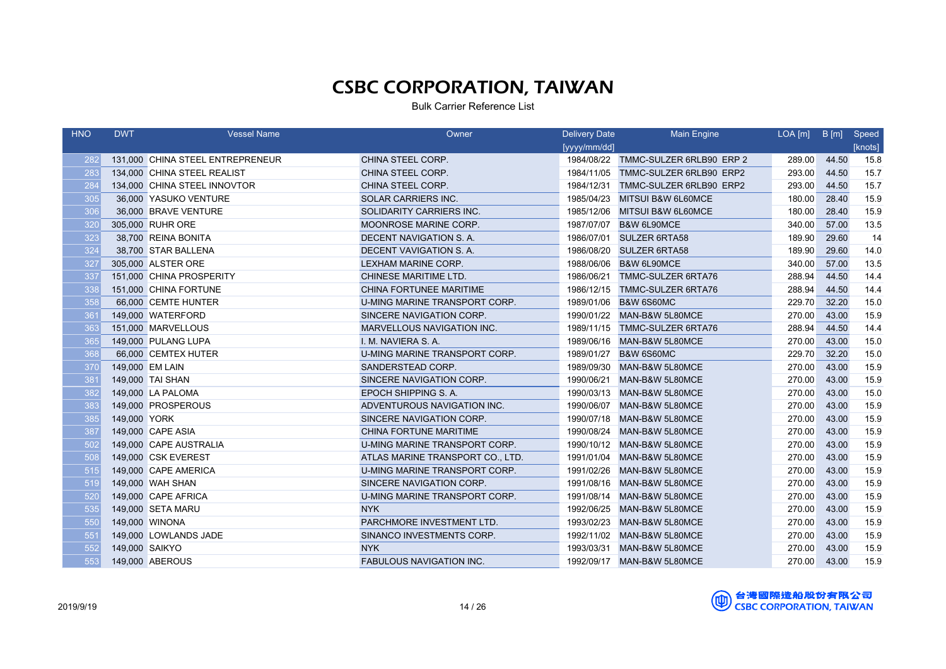| <b>HNO</b> | <b>DWT</b>     | <b>Vessel Name</b>               | Owner                            | Delivery Date | Main Engine                         | $LOA$ $[m]$ | B[m]  | Speed   |
|------------|----------------|----------------------------------|----------------------------------|---------------|-------------------------------------|-------------|-------|---------|
|            |                |                                  |                                  | [yyyy/mm/dd]  |                                     |             |       | [knots] |
| 282        |                | 131,000 CHINA STEEL ENTREPRENEUR | CHINA STEEL CORP.                |               | 1984/08/22 TMMC-SULZER 6RLB90 ERP 2 | 289.00      | 44.50 | 15.8    |
| 283        |                | 134,000 CHINA STEEL REALIST      | CHINA STEEL CORP.                | 1984/11/05    | TMMC-SULZER 6RLB90 ERP2             | 293.00      | 44.50 | 15.7    |
| 284        |                | 134,000 CHINA STEEL INNOVTOR     | CHINA STEEL CORP.                | 1984/12/31    | TMMC-SULZER 6RLB90 ERP2             | 293.00      | 44.50 | 15.7    |
| 305        |                | 36,000 YASUKO VENTURE            | <b>SOLAR CARRIERS INC.</b>       | 1985/04/23    | <b>MITSUI B&amp;W 6L60MCE</b>       | 180.00      | 28.40 | 15.9    |
| 306        |                | 36,000 BRAVE VENTURE             | SOLIDARITY CARRIERS INC.         | 1985/12/06    | MITSUI B&W 6L60MCE                  | 180.00      | 28.40 | 15.9    |
| 320        |                | 305,000 RUHR ORE                 | MOONROSE MARINE CORP.            | 1987/07/07    | <b>B&amp;W 6L90MCE</b>              | 340.00      | 57.00 | 13.5    |
| 323        |                | 38,700 REINA BONITA              | DECENT NAVIGATION S. A.          | 1986/07/01    | <b>SULZER 6RTA58</b>                | 189.90      | 29.60 | 14      |
| 324        |                | 38,700 STAR BALLENA              | DECENT VAVIGATION S.A.           | 1986/08/20    | <b>SULZER 6RTA58</b>                | 189.90      | 29.60 | 14.0    |
| 327        |                | 305,000 ALSTER ORE               | <b>LEXHAM MARINE CORP.</b>       | 1988/06/06    | <b>B&amp;W 6L90MCE</b>              | 340.00      | 57.00 | 13.5    |
| 337        |                | 151,000 CHINA PROSPERITY         | CHINESE MARITIME LTD.            | 1986/06/21    | TMMC-SULZER 6RTA76                  | 288.94      | 44.50 | 14.4    |
| 338        |                | 151,000 CHINA FORTUNE            | CHINA FORTUNEE MARITIME          | 1986/12/15    | TMMC-SULZER 6RTA76                  | 288.94      | 44.50 | 14.4    |
| 358        |                | 66,000 CEMTE HUNTER              | U-MING MARINE TRANSPORT CORP.    | 1989/01/06    | <b>B&amp;W 6S60MC</b>               | 229.70      | 32.20 | 15.0    |
| 361        |                | 149,000 WATERFORD                | SINCERE NAVIGATION CORP.         | 1990/01/22    | MAN-B&W 5L80MCE                     | 270.00      | 43.00 | 15.9    |
| 363        |                | 151,000 MARVELLOUS               | MARVELLOUS NAVIGATION INC.       | 1989/11/15    | TMMC-SULZER 6RTA76                  | 288.94      | 44.50 | 14.4    |
| 365        |                | 149,000 PULANG LUPA              | I. M. NAVIERA S. A.              | 1989/06/16    | MAN-B&W 5L80MCE                     | 270.00      | 43.00 | 15.0    |
| 368        |                | 66,000 CEMTEX HUTER              | U-MING MARINE TRANSPORT CORP.    | 1989/01/27    | <b>B&amp;W 6S60MC</b>               | 229.70      | 32.20 | 15.0    |
| 370        |                | 149,000 EM LAIN                  | SANDERSTEAD CORP.                | 1989/09/30    | MAN-B&W 5L80MCE                     | 270.00      | 43.00 | 15.9    |
| 381        |                | 149,000 TAI SHAN                 | SINCERE NAVIGATION CORP.         | 1990/06/21    | MAN-B&W 5L80MCE                     | 270.00      | 43.00 | 15.9    |
| 382        |                | 149,000 LA PALOMA                | EPOCH SHIPPING S.A.              | 1990/03/13    | MAN-B&W 5L80MCE                     | 270.00      | 43.00 | 15.0    |
| 383        |                | 149,000 PROSPEROUS               | ADVENTUROUS NAVIGATION INC.      | 1990/06/07    | MAN-B&W 5L80MCE                     | 270.00      | 43.00 | 15.9    |
| 385        | 149,000 YORK   |                                  | SINCERE NAVIGATION CORP.         | 1990/07/18    | MAN-B&W 5L80MCE                     | 270.00      | 43.00 | 15.9    |
| 387        |                | 149,000 CAPE ASIA                | CHINA FORTUNE MARITIME           | 1990/08/24    | MAN-B&W 5L80MCE                     | 270.00      | 43.00 | 15.9    |
| 502        |                | 149,000 CAPE AUSTRALIA           | U-MING MARINE TRANSPORT CORP.    |               | 1990/10/12 MAN-B&W 5L80MCE          | 270.00      | 43.00 | 15.9    |
| 508        |                | 149,000 CSK EVEREST              | ATLAS MARINE TRANSPORT CO., LTD. | 1991/01/04    | MAN-B&W 5L80MCE                     | 270.00      | 43.00 | 15.9    |
| 515        |                | 149,000 CAPE AMERICA             | U-MING MARINE TRANSPORT CORP.    | 1991/02/26    | MAN-B&W 5L80MCE                     | 270.00      | 43.00 | 15.9    |
| 519        |                | 149,000 WAH SHAN                 | SINCERE NAVIGATION CORP.         | 1991/08/16    | MAN-B&W 5L80MCE                     | 270.00      | 43.00 | 15.9    |
| 520        |                | 149,000 CAPE AFRICA              | U-MING MARINE TRANSPORT CORP.    | 1991/08/14    | MAN-B&W 5L80MCE                     | 270.00      | 43.00 | 15.9    |
| 535        |                | 149,000 SETA MARU                | <b>NYK</b>                       | 1992/06/25    | MAN-B&W 5L80MCE                     | 270.00      | 43.00 | 15.9    |
| 550        |                | 149,000 WINONA                   | PARCHMORE INVESTMENT LTD.        | 1993/02/23    | MAN-B&W 5L80MCE                     | 270.00      | 43.00 | 15.9    |
| 551        |                | 149,000 LOWLANDS JADE            | SINANCO INVESTMENTS CORP.        |               | 1992/11/02 MAN-B&W 5L80MCE          | 270.00      | 43.00 | 15.9    |
| 552        | 149,000 SAIKYO |                                  | <b>NYK</b>                       | 1993/03/31    | MAN-B&W 5L80MCE                     | 270.00      | 43.00 | 15.9    |
| 553        |                | 149,000 ABEROUS                  | <b>FABULOUS NAVIGATION INC.</b>  |               | 1992/09/17 MAN-B&W 5L80MCE          | 270.00      | 43.00 | 15.9    |

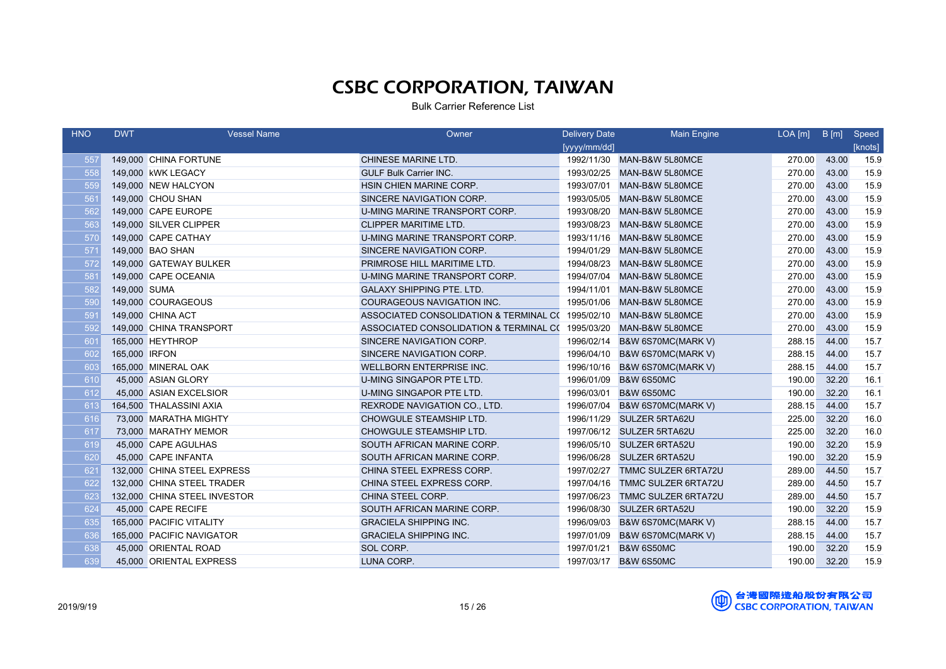| <b>HNO</b> | <b>DWT</b>    | <b>Vessel Name</b>           | Owner                                             | <b>Delivery Date</b> | <b>Main Engine</b>         | $LOA$ [m] | B[m]  | Speed   |
|------------|---------------|------------------------------|---------------------------------------------------|----------------------|----------------------------|-----------|-------|---------|
|            |               |                              |                                                   | [yyyy/mm/dd]         |                            |           |       | [knots] |
| 557        |               | 149,000 CHINA FORTUNE        | CHINESE MARINE LTD.                               |                      | 1992/11/30 MAN-B&W 5L80MCE | 270.00    | 43.00 | 15.9    |
| 558        |               | 149,000 KWK LEGACY           | <b>GULF Bulk Carrier INC.</b>                     | 1993/02/25           | MAN-B&W 5L80MCE            | 270.00    | 43.00 | 15.9    |
| 559        |               | 149,000 NEW HALCYON          | HSIN CHIEN MARINE CORP.                           | 1993/07/01           | MAN-B&W 5L80MCE            | 270.00    | 43.00 | 15.9    |
| 561        |               | 149,000 CHOU SHAN            | SINCERE NAVIGATION CORP.                          | 1993/05/05           | MAN-B&W 5L80MCE            | 270.00    | 43.00 | 15.9    |
| 562        |               | 149,000 CAPE EUROPE          | U-MING MARINE TRANSPORT CORP.                     | 1993/08/20           | MAN-B&W 5L80MCE            | 270.00    | 43.00 | 15.9    |
| 563        |               | 149,000 SILVER CLIPPER       | <b>CLIPPER MARITIME LTD.</b>                      | 1993/08/23           | MAN-B&W 5L80MCE            | 270.00    | 43.00 | 15.9    |
| 570        |               | 149,000 CAPE CATHAY          | U-MING MARINE TRANSPORT CORP.                     | 1993/11/16           | MAN-B&W 5L80MCE            | 270.00    | 43.00 | 15.9    |
| 571        |               | 149,000 BAO SHAN             | SINCERE NAVIGATION CORP.                          | 1994/01/29           | MAN-B&W 5L80MCE            | 270.00    | 43.00 | 15.9    |
| 572        |               | 149,000 GATEWAY BULKER       | PRIMROSE HILL MARITIME LTD.                       | 1994/08/23           | MAN-B&W 5L80MCE            | 270.00    | 43.00 | 15.9    |
| 581        |               | 149,000 CAPE OCEANIA         | U-MING MARINE TRANSPORT CORP.                     | 1994/07/04           | MAN-B&W 5L80MCE            | 270.00    | 43.00 | 15.9    |
| 582        | 149,000 SUMA  |                              | <b>GALAXY SHIPPING PTE, LTD.</b>                  | 1994/11/01           | MAN-B&W 5L80MCE            | 270.00    | 43.00 | 15.9    |
| 590        |               | 149,000 COURAGEOUS           | <b>COURAGEOUS NAVIGATION INC.</b>                 | 1995/01/06           | MAN-B&W 5L80MCE            | 270.00    | 43.00 | 15.9    |
| 591        |               | 149,000 CHINA ACT            | ASSOCIATED CONSOLIDATION & TERMINAL C( 1995/02/10 |                      | MAN-B&W 5L80MCE            | 270.00    | 43.00 | 15.9    |
| 592        |               | 149,000 CHINA TRANSPORT      | ASSOCIATED CONSOLIDATION & TERMINAL C( 1995/03/20 |                      | MAN-B&W 5L80MCE            | 270.00    | 43.00 | 15.9    |
| 601        |               | 165,000 HEYTHROP             | SINCERE NAVIGATION CORP.                          | 1996/02/14           | B&W 6S70MC(MARK V)         | 288.15    | 44.00 | 15.7    |
| 602        | 165,000 IRFON |                              | SINCERE NAVIGATION CORP.                          | 1996/04/10           | B&W 6S70MC(MARK V)         | 288.15    | 44.00 | 15.7    |
| 603        |               | 165,000 MINERAL OAK          | <b>WELLBORN ENTERPRISE INC.</b>                   | 1996/10/16           | B&W 6S70MC(MARK V)         | 288.15    | 44.00 | 15.7    |
| 610        |               | 45,000 ASIAN GLORY           | U-MING SINGAPOR PTE LTD.                          | 1996/01/09           | <b>B&amp;W 6S50MC</b>      | 190.00    | 32.20 | 16.1    |
| 612        |               | 45,000 ASIAN EXCELSIOR       | U-MING SINGAPOR PTE LTD.                          | 1996/03/01           | <b>B&amp;W 6S50MC</b>      | 190.00    | 32.20 | 16.1    |
| 613        |               | 164,500 THALASSINI AXIA      | REXRODE NAVIGATION CO., LTD.                      | 1996/07/04           | B&W 6S70MC(MARK V)         | 288.15    | 44.00 | 15.7    |
| 616        |               | 73,000 MARATHA MIGHTY        | CHOWGULE STEAMSHIP LTD.                           | 1996/11/29           | <b>SULZER 5RTA62U</b>      | 225.00    | 32.20 | 16.0    |
| 617        |               | 73,000 MARATHY MEMOR         | CHOWGULE STEAMSHIP LTD.                           |                      | 1997/06/12 SULZER 5RTA62U  | 225.00    | 32.20 | 16.0    |
| 619        |               | 45,000 CAPE AGULHAS          | SOUTH AFRICAN MARINE CORP.                        | 1996/05/10           | <b>SULZER 6RTA52U</b>      | 190.00    | 32.20 | 15.9    |
| 620        |               | 45,000 CAPE INFANTA          | SOUTH AFRICAN MARINE CORP.                        | 1996/06/28           | <b>SULZER 6RTA52U</b>      | 190.00    | 32.20 | 15.9    |
| 621        |               | 132,000 CHINA STEEL EXPRESS  | CHINA STEEL EXPRESS CORP.                         | 1997/02/27           | TMMC SULZER 6RTA72U        | 289.00    | 44.50 | 15.7    |
| 622        |               | 132,000 CHINA STEEL TRADER   | CHINA STEEL EXPRESS CORP.                         | 1997/04/16           | TMMC SULZER 6RTA72U        | 289.00    | 44.50 | 15.7    |
| 623        |               | 132,000 CHINA STEEL INVESTOR | CHINA STEEL CORP.                                 | 1997/06/23           | <b>TMMC SULZER 6RTA72U</b> | 289.00    | 44.50 | 15.7    |
| 624        |               | 45,000 CAPE RECIFE           | SOUTH AFRICAN MARINE CORP.                        | 1996/08/30           | <b>SULZER 6RTA52U</b>      | 190.00    | 32.20 | 15.9    |
| 635        |               | 165,000 PACIFIC VITALITY     | <b>GRACIELA SHIPPING INC.</b>                     | 1996/09/03           | B&W 6S70MC(MARK V)         | 288.15    | 44.00 | 15.7    |
| 636        |               | 165,000 PACIFIC NAVIGATOR    | <b>GRACIELA SHIPPING INC.</b>                     | 1997/01/09           | B&W 6S70MC(MARK V)         | 288.15    | 44.00 | 15.7    |
| 638        |               | 45,000 ORIENTAL ROAD         | SOL CORP.                                         | 1997/01/21           | <b>B&amp;W 6S50MC</b>      | 190.00    | 32.20 | 15.9    |
| 639        |               | 45,000 ORIENTAL EXPRESS      | LUNA CORP.                                        |                      | 1997/03/17 B&W 6S50MC      | 190.00    | 32.20 | 15.9    |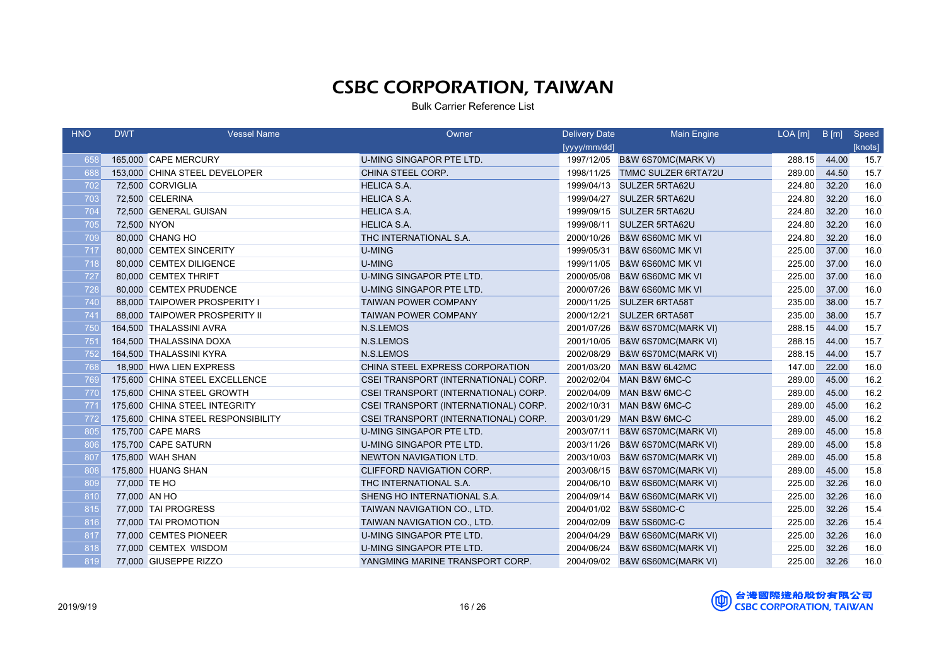| <b>HNO</b> | <b>DWT</b>   | <b>Vessel Name</b>                 | Owner                                | <b>Delivery Date</b> | <b>Main Engine</b>             | $LOA$ [m] | B[m]  | Speed   |
|------------|--------------|------------------------------------|--------------------------------------|----------------------|--------------------------------|-----------|-------|---------|
|            |              |                                    |                                      | [yyyy/mm/dd]         |                                |           |       | [knots] |
| 658        |              | 165,000 CAPE MERCURY               | U-MING SINGAPOR PTE LTD.             |                      | 1997/12/05 B&W 6S70MC(MARK V)  | 288.15    | 44.00 | 15.7    |
| 688        |              | 153,000 CHINA STEEL DEVELOPER      | CHINA STEEL CORP.                    | 1998/11/25           | <b>TMMC SULZER 6RTA72U</b>     | 289.00    | 44.50 | 15.7    |
| 702        |              | 72,500 CORVIGLIA                   | <b>HELICA S.A.</b>                   | 1999/04/13           | <b>SULZER 5RTA62U</b>          | 224.80    | 32.20 | 16.0    |
| 703        |              | 72,500 CELERINA                    | <b>HELICA S.A.</b>                   | 1999/04/27           | <b>SULZER 5RTA62U</b>          | 224.80    | 32.20 | 16.0    |
| 704        |              | 72,500 GENERAL GUISAN              | <b>HELICA S.A.</b>                   | 1999/09/15           | <b>SULZER 5RTA62U</b>          | 224.80    | 32.20 | 16.0    |
| 705        | 72,500 NYON  |                                    | <b>HELICA S.A.</b>                   | 1999/08/11           | <b>SULZER 5RTA62U</b>          | 224.80    | 32.20 | 16.0    |
| 709        |              | 80,000 CHANG HO                    | THC INTERNATIONAL S.A.               | 2000/10/26           | <b>B&amp;W 6S60MC MK VI</b>    | 224.80    | 32.20 | 16.0    |
| 717        |              | 80,000 CEMTEX SINCERITY            | <b>U-MING</b>                        | 1999/05/31           | <b>B&amp;W 6S60MC MK VI</b>    | 225.00    | 37.00 | 16.0    |
| 718        |              | 80,000 CEMTEX DILIGENCE            | <b>U-MING</b>                        | 1999/11/05           | <b>B&amp;W 6S60MC MK VI</b>    | 225.00    | 37.00 | 16.0    |
| 727        |              | 80,000 CEMTEX THRIFT               | U-MING SINGAPOR PTE LTD.             | 2000/05/08           | <b>B&amp;W 6S60MC MK VI</b>    | 225.00    | 37.00 | 16.0    |
| 728        |              | 80,000 CEMTEX PRUDENCE             | U-MING SINGAPOR PTE LTD.             | 2000/07/26           | <b>B&amp;W 6S60MC MK VI</b>    | 225.00    | 37.00 | 16.0    |
| 740        |              | 88,000 TAIPOWER PROSPERITY I       | <b>TAIWAN POWER COMPANY</b>          | 2000/11/25           | <b>SULZER 6RTA58T</b>          | 235.00    | 38.00 | 15.7    |
| 741        |              | 88,000 TAIPOWER PROSPERITY II      | <b>TAIWAN POWER COMPANY</b>          | 2000/12/21           | <b>SULZER 6RTA58T</b>          | 235.00    | 38.00 | 15.7    |
| 750        |              | 164,500 THALASSINI AVRA            | N.S.LEMOS                            | 2001/07/26           | B&W 6S70MC(MARK VI)            | 288.15    | 44.00 | 15.7    |
| 751        |              | 164,500 THALASSINA DOXA            | N.S.LEMOS                            | 2001/10/05           | B&W 6S70MC(MARK VI)            | 288.15    | 44.00 | 15.7    |
| 752        |              | 164,500 THALASSINI KYRA            | N.S.LEMOS                            | 2002/08/29           | B&W 6S70MC(MARK VI)            | 288.15    | 44.00 | 15.7    |
| 768        |              | 18,900 HWA LIEN EXPRESS            | CHINA STEEL EXPRESS CORPORATION      | 2001/03/20           | MAN B&W 6L42MC                 | 147.00    | 22.00 | 16.0    |
| 769        |              | 175,600 CHINA STEEL EXCELLENCE     | CSEI TRANSPORT (INTERNATIONAL) CORP. | 2002/02/04           | MAN B&W 6MC-C                  | 289.00    | 45.00 | 16.2    |
| 770        |              | 175,600 CHINA STEEL GROWTH         | CSEI TRANSPORT (INTERNATIONAL) CORP. | 2002/04/09           | MAN B&W 6MC-C                  | 289.00    | 45.00 | 16.2    |
| 771        |              | 175,600 CHINA STEEL INTEGRITY      | CSEI TRANSPORT (INTERNATIONAL) CORP. | 2002/10/31           | MAN B&W 6MC-C                  | 289.00    | 45.00 | 16.2    |
| 772        |              | 175,600 CHINA STEEL RESPONSIBILITY | CSEI TRANSPORT (INTERNATIONAL) CORP. | 2003/01/29           | MAN B&W 6MC-C                  | 289.00    | 45.00 | 16.2    |
| 805        |              | 175,700 CAPE MARS                  | U-MING SINGAPOR PTE LTD.             | 2003/07/11           | <b>B&amp;W 6S70MC(MARK VI)</b> | 289.00    | 45.00 | 15.8    |
| 806        |              | 175,700 CAPE SATURN                | U-MING SINGAPOR PTE LTD.             | 2003/11/26           | B&W 6S70MC(MARK VI)            | 289.00    | 45.00 | 15.8    |
| 807        |              | 175,800 WAH SHAN                   | NEWTON NAVIGATION LTD.               | 2003/10/03           | <b>B&amp;W 6S70MC(MARK VI)</b> | 289.00    | 45.00 | 15.8    |
| 808        |              | 175,800 HUANG SHAN                 | CLIFFORD NAVIGATION CORP.            | 2003/08/15           | <b>B&amp;W 6S70MC(MARK VI)</b> | 289.00    | 45.00 | 15.8    |
| 809        | 77,000 TE HO |                                    | THC INTERNATIONAL S.A.               | 2004/06/10           | B&W 6S60MC(MARK VI)            | 225.00    | 32.26 | 16.0    |
| 810        | 77,000 AN HO |                                    | SHENG HO INTERNATIONAL S.A.          | 2004/09/14           | B&W 6S60MC(MARK VI)            | 225.00    | 32.26 | 16.0    |
| 815        |              | 77,000 TAI PROGRESS                | TAIWAN NAVIGATION CO., LTD.          | 2004/01/02           | <b>B&amp;W 5S60MC-C</b>        | 225.00    | 32.26 | 15.4    |
| 816        |              | 77,000 TAI PROMOTION               | TAIWAN NAVIGATION CO., LTD.          | 2004/02/09           | <b>B&amp;W 5S60MC-C</b>        | 225.00    | 32.26 | 15.4    |
| 817        |              | 77,000 CEMTES PIONEER              | U-MING SINGAPOR PTE LTD.             | 2004/04/29           | B&W 6S60MC(MARK VI)            | 225.00    | 32.26 | 16.0    |
| 818        |              | 77,000 CEMTEX WISDOM               | U-MING SINGAPOR PTE LTD.             | 2004/06/24           | B&W 6S60MC(MARK VI)            | 225.00    | 32.26 | 16.0    |
| 819        |              | 77,000 GIUSEPPE RIZZO              | YANGMING MARINE TRANSPORT CORP.      |                      | 2004/09/02 B&W 6S60MC(MARK VI) | 225.00    | 32.26 | 16.0    |

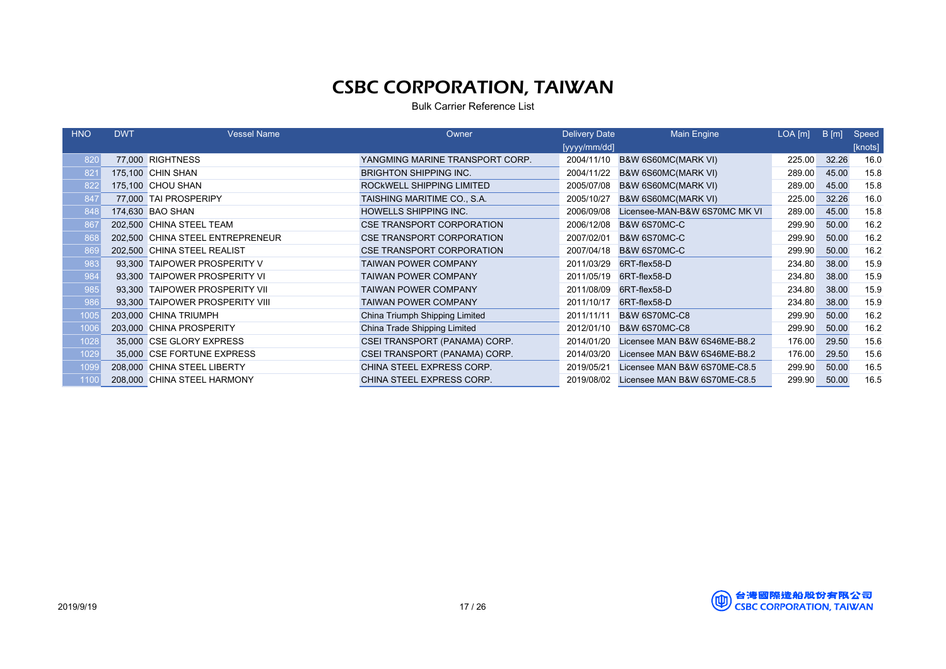| <b>HNO</b> | <b>DWT</b> | <b>Vessel Name</b>               | Owner                            | <b>Delivery Date</b> | <b>Main Engine</b>             | $LOA$ $[m]$ | B[m]  | Speed   |
|------------|------------|----------------------------------|----------------------------------|----------------------|--------------------------------|-------------|-------|---------|
|            |            |                                  |                                  | [yyyy/mm/dd]         |                                |             |       | [knots] |
| 820        |            | 77,000 RIGHTNESS                 | YANGMING MARINE TRANSPORT CORP.  | 2004/11/10           | B&W 6S60MC(MARK VI)            | 225.00      | 32.26 | 16.0    |
| 821        |            | 175,100 CHIN SHAN                | <b>BRIGHTON SHIPPING INC.</b>    | 2004/11/22           | B&W 6S60MC(MARK VI)            | 289.00      | 45.00 | 15.8    |
| 822        |            | 175,100 CHOU SHAN                | ROCKWELL SHIPPING LIMITED        | 2005/07/08           | B&W 6S60MC(MARK VI)            | 289.00      | 45.00 | 15.8    |
| 847        |            | 77,000 TAI PROSPERIPY            | TAISHING MARITIME CO., S.A.      | 2005/10/27           | <b>B&amp;W 6S60MC(MARK VI)</b> | 225.00      | 32.26 | 16.0    |
| 848        |            | 174,630 BAO SHAN                 | <b>HOWELLS SHIPPING INC.</b>     | 2006/09/08           | Licensee-MAN-B&W 6S70MC MK VI  | 289.00      | 45.00 | 15.8    |
| 867        |            | 202,500 CHINA STEEL TEAM         | CSE TRANSPORT CORPORATION        | 2006/12/08           | B&W 6S70MC-C                   | 299.90      | 50.00 | 16.2    |
| 868        |            | 202,500 CHINA STEEL ENTREPRENEUR | <b>CSE TRANSPORT CORPORATION</b> | 2007/02/01           | B&W 6S70MC-C                   | 299.90      | 50.00 | 16.2    |
| 869        |            | 202,500 CHINA STEEL REALIST      | <b>CSE TRANSPORT CORPORATION</b> | 2007/04/18           | B&W 6S70MC-C                   | 299.90      | 50.00 | 16.2    |
| 983        |            | 93,300 TAIPOWER PROSPERITY V     | <b>TAIWAN POWER COMPANY</b>      | 2011/03/29           | 6RT-flex58-D                   | 234.80      | 38.00 | 15.9    |
| 984        |            | 93,300 TAIPOWER PROSPERITY VI    | <b>TAIWAN POWER COMPANY</b>      | 2011/05/19           | 6RT-flex58-D                   | 234.80      | 38.00 | 15.9    |
| 985        |            | 93.300 TAIPOWER PROSPERITY VII   | <b>TAIWAN POWER COMPANY</b>      | 2011/08/09           | 6RT-flex58-D                   | 234.80      | 38.00 | 15.9    |
| 986        |            | 93.300 TAIPOWER PROSPERITY VIII  | <b>TAIWAN POWER COMPANY</b>      | 2011/10/17           | 6RT-flex58-D                   | 234.80      | 38.00 | 15.9    |
| 1005       |            | 203.000 CHINA TRIUMPH            | China Triumph Shipping Limited   | 2011/11/11           | <b>B&amp;W 6S70MC-C8</b>       | 299.90      | 50.00 | 16.2    |
| 1006       |            | 203,000 CHINA PROSPERITY         | China Trade Shipping Limited     | 2012/01/10           | <b>B&amp;W 6S70MC-C8</b>       | 299.90      | 50.00 | 16.2    |
| 1028       |            | 35,000 CSE GLORY EXPRESS         | CSEI TRANSPORT (PANAMA) CORP.    | 2014/01/20           | Licensee MAN B&W 6S46ME-B8.2   | 176.00      | 29.50 | 15.6    |
| 1029       |            | 35,000 CSE FORTUNE EXPRESS       | CSEI TRANSPORT (PANAMA) CORP.    | 2014/03/20           | Licensee MAN B&W 6S46ME-B8.2   | 176.00      | 29.50 | 15.6    |
| 1099       |            | 208,000 CHINA STEEL LIBERTY      | CHINA STEEL EXPRESS CORP.        | 2019/05/21           | Licensee MAN B&W 6S70ME-C8.5   | 299.90      | 50.00 | 16.5    |
| 1100       |            | 208,000 CHINA STEEL HARMONY      | CHINA STEEL EXPRESS CORP.        | 2019/08/02           | Licensee MAN B&W 6S70ME-C8.5   | 299.90      | 50.00 | 16.5    |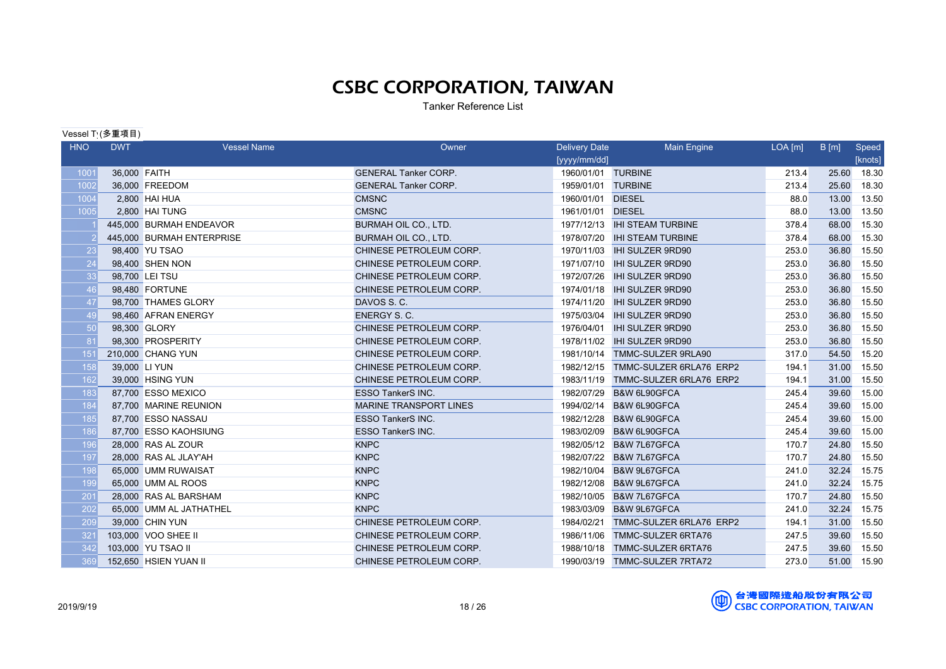Tanker Reference List

Vessel Ty(多重項目)

| <b>HNO</b> | <b>DWT</b>   | <b>Vessel Name</b>        | Owner                         | <b>Delivery Date</b> | Main Engine                        | $LOA$ [m] | B[m]  | Speed   |
|------------|--------------|---------------------------|-------------------------------|----------------------|------------------------------------|-----------|-------|---------|
|            |              |                           |                               | [yyyy/mm/dd]         |                                    |           |       | [knots] |
| 1001       | 36,000 FAITH |                           | <b>GENERAL Tanker CORP.</b>   | 1960/01/01 TURBINE   |                                    | 213.4     | 25.60 | 18.30   |
| 1002       |              | 36,000 FREEDOM            | <b>GENERAL Tanker CORP.</b>   | 1959/01/01 TURBINE   |                                    | 213.4     | 25.60 | 18.30   |
| 1004       |              | 2,800 HAI HUA             | <b>CMSNC</b>                  | 1960/01/01           | <b>DIESEL</b>                      | 88.0      | 13.00 | 13.50   |
| 1005       |              | 2.800 HAI TUNG            | <b>CMSNC</b>                  | 1961/01/01           | <b>DIESEL</b>                      | 88.0      | 13.00 | 13.50   |
|            |              | 445,000 BURMAH ENDEAVOR   | BURMAH OIL CO., LTD.          |                      | 1977/12/13 IHI STEAM TURBINE       | 378.4     | 68.00 | 15.30   |
|            |              | 445,000 BURMAH ENTERPRISE | <b>BURMAH OIL CO., LTD.</b>   | 1978/07/20           | <b>IHI STEAM TURBINE</b>           | 378.4     | 68.00 | 15.30   |
| 23         |              | 98,400 YU TSAO            | CHINESE PETROLEUM CORP.       | 1970/11/03           | <b>IHI SULZER 9RD90</b>            | 253.0     | 36.80 | 15.50   |
| 24         |              | 98,400 SHEN NON           | CHINESE PETROLEUM CORP.       |                      | 1971/07/10 IHI SULZER 9RD90        | 253.0     | 36.80 | 15.50   |
| 33         |              | 98,700 LEI TSU            | CHINESE PETROLEUM CORP.       |                      |                                    | 253.0     | 36.80 | 15.50   |
| 46         |              | 98,480 FORTUNE            | CHINESE PETROLEUM CORP.       |                      |                                    | 253.0     | 36.80 | 15.50   |
| 47         |              | 98.700 THAMES GLORY       | DAVOS S.C.                    | 1974/11/20           | <b>IHI SULZER 9RD90</b>            | 253.0     | 36.80 | 15.50   |
| 49         |              | 98,460 AFRAN ENERGY       | <b>ENERGY S. C.</b>           |                      | 1975/03/04    IHI SULZER 9RD90     | 253.0     | 36.80 | 15.50   |
| 50         |              | 98,300 GLORY              | CHINESE PETROLEUM CORP.       | 1976/04/01           | <b>IHI SULZER 9RD90</b>            | 253.0     | 36.80 | 15.50   |
| 81         |              | 98,300 PROSPERITY         | CHINESE PETROLEUM CORP.       |                      | 1978/11/02    IHI SULZER 9RD90     | 253.0     | 36.80 | 15.50   |
| 151        |              | 210,000 CHANG YUN         | CHINESE PETROLEUM CORP.       |                      | 1981/10/14 TMMC-SULZER 9RLA90      | 317.0     | 54.50 | 15.20   |
| 158        |              | 39,000 LI YUN             | CHINESE PETROLEUM CORP.       |                      | 1982/12/15 TMMC-SULZER 6RLA76 ERP2 | 194.1     | 31.00 | 15.50   |
| 162        |              | 39,000 HSING YUN          | CHINESE PETROLEUM CORP.       |                      | 1983/11/19 TMMC-SULZER 6RLA76 ERP2 | 194.1     | 31.00 | 15.50   |
| 183        |              | 87.700 ESSO MEXICO        | <b>ESSO TankerS INC.</b>      |                      | 1982/07/29 B&W 6L90GFCA            | 245.4     | 39.60 | 15.00   |
| 184        |              | 87,700 MARINE REUNION     | <b>MARINE TRANSPORT LINES</b> |                      | 1994/02/14 B&W 6L90GFCA            | 245.4     | 39.60 | 15.00   |
| 185        |              | 87,700 ESSO NASSAU        | <b>ESSO TankerS INC.</b>      |                      | 1982/12/28 B&W 6L90GFCA            | 245.4     | 39.60 | 15.00   |
| 186        |              | 87,700 ESSO KAOHSIUNG     | <b>ESSO TankerS INC.</b>      |                      | 1983/02/09 B&W 6L90GFCA            | 245.4     | 39.60 | 15.00   |
| 196        |              | 28,000 RAS AL ZOUR        | <b>KNPC</b>                   |                      | 1982/05/12 B&W 7L67GFCA            | 170.7     | 24.80 | 15.50   |
| 197        |              | 28,000 RAS AL JLAY'AH     | <b>KNPC</b>                   |                      | 1982/07/22 B&W 7L67GFCA            | 170.7     | 24.80 | 15.50   |
| 198        |              | 65,000 UMM RUWAISAT       | <b>KNPC</b>                   |                      | 1982/10/04 B&W 9L67GFCA            | 241.0     | 32.24 | 15.75   |
| 199        |              | 65,000 UMM AL ROOS        | <b>KNPC</b>                   |                      | 1982/12/08 B&W 9L67GFCA            | 241.0     | 32.24 | 15.75   |
| 201        |              | 28,000 RAS AL BARSHAM     | <b>KNPC</b>                   |                      | 1982/10/05 B&W 7L67GFCA            | 170.7     | 24.80 | 15.50   |
| 202        |              | 65,000 UMM AL JATHATHEL   | <b>KNPC</b>                   |                      | 1983/03/09 B&W 9L67GFCA            | 241.0     | 32.24 | 15.75   |
| 209        |              | 39,000 CHIN YUN           | CHINESE PETROLEUM CORP.       | 1984/02/21           | TMMC-SULZER 6RLA76 ERP2            | 194.1     | 31.00 | 15.50   |
| 321        |              | 103,000 VOO SHEE II       | CHINESE PETROLEUM CORP.       |                      | 1986/11/06 TMMC-SULZER 6RTA76      | 247.5     | 39.60 | 15.50   |
| 342        |              | 103,000 YU TSAO II        | CHINESE PETROLEUM CORP.       |                      | 1988/10/18 TMMC-SULZER 6RTA76      | 247.5     | 39.60 | 15.50   |
| 369        |              | 152,650 HSIEN YUAN II     | CHINESE PETROLEUM CORP.       |                      | 1990/03/19 TMMC-SULZER 7RTA72      | 273.0     | 51.00 | 15.90   |

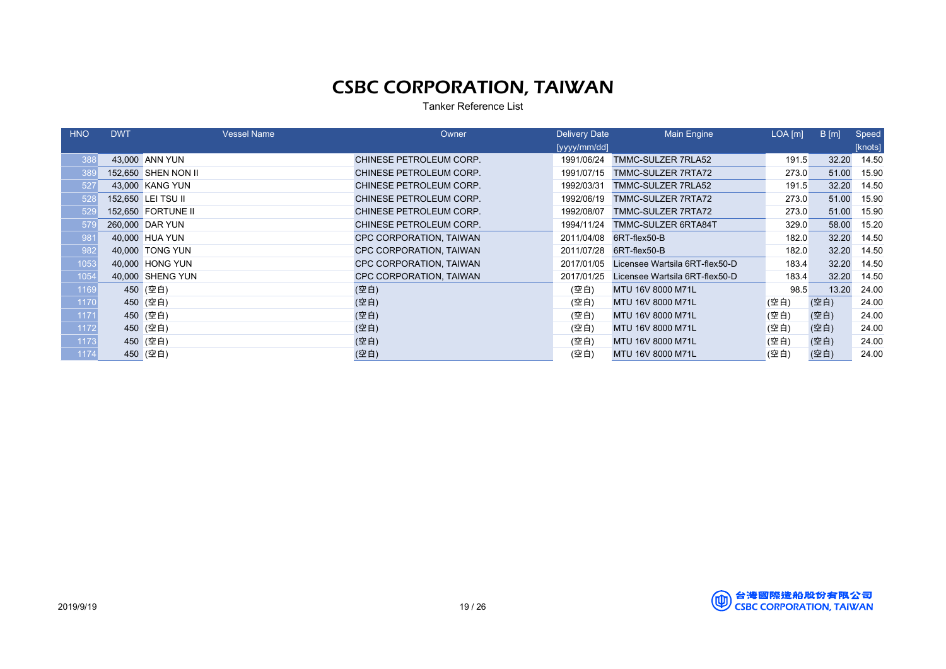Tanker Reference List

| <b>HNO</b> | <b>DWT</b> | <b>Vessel Name</b>  | Owner                          | <b>Delivery Date</b> | Main Engine                    | $LOA$ [m] | B[m]  | Speed   |
|------------|------------|---------------------|--------------------------------|----------------------|--------------------------------|-----------|-------|---------|
|            |            |                     |                                | [yyy/mm/dd]          |                                |           |       | [knots] |
| 388        |            | 43,000 ANN YUN      | CHINESE PETROLEUM CORP.        | 1991/06/24           | TMMC-SULZER 7RLA52             | 191.5     | 32.20 | 14.50   |
| 389        |            | 152,650 SHEN NON II | CHINESE PETROLEUM CORP.        | 1991/07/15           | TMMC-SULZER 7RTA72             | 273.0     | 51.00 | 15.90   |
| 527        |            | 43,000 KANG YUN     | CHINESE PETROLEUM CORP.        | 1992/03/31           | TMMC-SULZER 7RLA52             | 191.5     | 32.20 | 14.50   |
| 528        |            | 152,650 LEI TSU II  | CHINESE PETROLEUM CORP.        | 1992/06/19           | TMMC-SULZER 7RTA72             | 273.0     | 51.00 | 15.90   |
| 529        |            | 152,650 FORTUNE II  | CHINESE PETROLEUM CORP.        | 1992/08/07           | TMMC-SULZER 7RTA72             | 273.0     | 51.00 | 15.90   |
| 579        |            | 260,000 DAR YUN     | CHINESE PETROLEUM CORP.        | 1994/11/24           | TMMC-SULZER 6RTA84T            | 329.0     | 58.00 | 15.20   |
| 981        |            | 40,000 HUA YUN      | CPC CORPORATION, TAIWAN        | 2011/04/08           | 6RT-flex50-B                   | 182.0     | 32.20 | 14.50   |
| 982        |            | 40,000 TONG YUN     | <b>CPC CORPORATION, TAIWAN</b> | 2011/07/28           | 6RT-flex50-B                   | 182.0     | 32.20 | 14.50   |
| 1053       |            | 40,000 HONG YUN     | CPC CORPORATION, TAIWAN        | 2017/01/05           | Licensee Wartsila 6RT-flex50-D | 183.4     | 32.20 | 14.50   |
| 1054       |            | 40,000 SHENG YUN    | CPC CORPORATION, TAIWAN        | 2017/01/25           | Licensee Wartsila 6RT-flex50-D | 183.4     | 32.20 | 14.50   |
| 1169       |            | 450 (空白)            | (空白)                           | (空白)                 | MTU 16V 8000 M71L              | 98.5      | 13.20 | 24.00   |
| 1170       |            | 450 (空白)            | (空白)                           | (空白)                 | MTU 16V 8000 M71L              | (空白)      | (空白)  | 24.00   |
| 1171       |            | 450 (空白)            | (空白)                           | (空白)                 | MTU 16V 8000 M71L              | (空白)      | (空白)  | 24.00   |
| 1172       |            | 450 (空白)            | (空白)                           | (空白)                 | MTU 16V 8000 M71L              | (空白)      | (空白)  | 24.00   |
| 1173       |            | 450 (空白)            | (空白)                           | (空白)                 | MTU 16V 8000 M71L              | (空白)      | (空白)  | 24.00   |
| 1174       |            | 450 (空白)            | (空白)                           | (空白)                 | MTU 16V 8000 M71L              | (空白)      | (空白)  | 24.00   |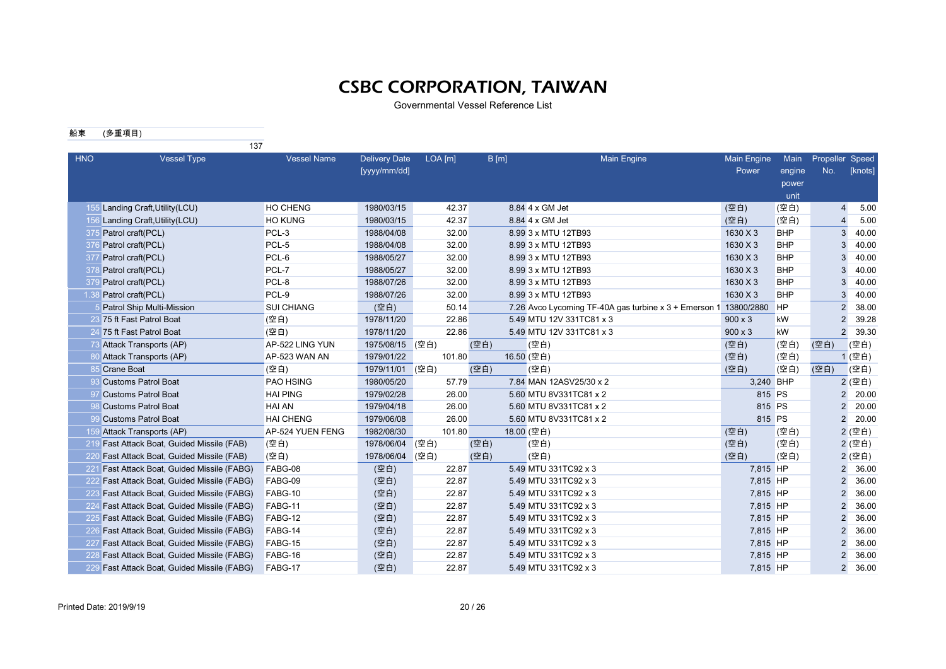Governmental Vessel Reference List

#### 船東 (多重項目)

|            | 137                                         |                    |                                      |         |      |                                                       |                             |                |                        |         |
|------------|---------------------------------------------|--------------------|--------------------------------------|---------|------|-------------------------------------------------------|-----------------------------|----------------|------------------------|---------|
| <b>HNO</b> | <b>Vessel Type</b>                          | <b>Vessel Name</b> | <b>Delivery Date</b><br>[yyyy/mm/dd] | LOA [m] | B[m] | <b>Main Engine</b>                                    | <b>Main Engine</b><br>Power | Main<br>engine | Propeller Speed<br>No. | [knots] |
|            |                                             |                    |                                      |         |      |                                                       |                             | power          |                        |         |
|            |                                             |                    |                                      |         |      |                                                       |                             | unit           |                        |         |
|            | 155 Landing Craft, Utility (LCU)            | <b>HO CHENG</b>    | 1980/03/15                           | 42.37   |      | 8.84 4 x GM Jet                                       | (空白)                        | (空白)           | $\overline{4}$         | 5.00    |
|            | 156 Landing Craft, Utility (LCU)            | <b>HO KUNG</b>     | 1980/03/15                           | 42.37   |      | 8.84 4 x GM Jet                                       | (空白)                        | (空白)           | 4                      | 5.00    |
|            | 375 Patrol craft(PCL)                       | PCL-3              | 1988/04/08                           | 32.00   |      | 8.99 3 x MTU 12TB93                                   | 1630 X 3                    | <b>BHP</b>     | 3                      | 40.00   |
|            | 376 Patrol craft(PCL)                       | PCL-5              | 1988/04/08                           | 32.00   |      | 8.99 3 x MTU 12TB93                                   | 1630 X 3                    | <b>BHP</b>     | 3                      | 40.00   |
|            | 377 Patrol craft(PCL)                       | PCL-6              | 1988/05/27                           | 32.00   |      | 8.99 3 x MTU 12TB93                                   | 1630 X 3                    | <b>BHP</b>     | 3                      | 40.00   |
| 37         | Patrol craft(PCL)                           | PCL-7              | 1988/05/27                           | 32.00   |      | 8.99 3 x MTU 12TB93                                   | 1630 X 3                    | <b>BHP</b>     | 3                      | 40.00   |
| -379       | Patrol craft(PCL)                           | PCL-8              | 1988/07/26                           | 32.00   |      | 8.99 3 x MTU 12TB93                                   | 1630 X 3                    | <b>BHP</b>     | 3                      | 40.00   |
|            | 1.38 Patrol craft(PCL)                      | PCL-9              | 1988/07/26                           | 32.00   |      | 8.99 3 x MTU 12TB93                                   | 1630 X 3                    | <b>BHP</b>     | 3                      | 40.00   |
|            | Patrol Ship Multi-Mission                   | <b>SUI CHIANG</b>  | (空白)                                 | 50.14   |      | 7.26 Avco Lycoming TF-40A gas turbine x 3 + Emerson 1 | 13800/2880                  | <b>HP</b>      | $\overline{2}$         | 38.00   |
|            | 23 75 ft Fast Patrol Boat                   | (空白)               | 1978/11/20                           | 22.86   |      | 5.49 MTU 12V 331TC81 x 3                              | $900 \times 3$              | kW             | $\overline{2}$         | 39.28   |
|            | 24 75 ft Fast Patrol Boat                   | (空白)               | 1978/11/20                           | 22.86   |      | 5.49 MTU 12V 331TC81 x 3                              | $900 \times 3$              | kW             | $\overline{2}$         | 39.30   |
|            | 73 Attack Transports (AP)                   | AP-522 LING YUN    | 1975/08/15                           | (空白)    | (空白) | (空白)                                                  | (空白)                        | (空白)           | (空白)                   | (空白)    |
|            | 80 Attack Transports (AP)                   | AP-523 WAN AN      | 1979/01/22                           | 101.80  |      | 16.50 (空白)                                            | (空白)                        | (空白)           |                        | 1 (空白)  |
|            | 85 Crane Boat                               | (空白)               | 1979/11/01                           | (空白)    | (空白) | (空白)                                                  | (空白)                        | (空白)           | (空白)                   | (空白)    |
|            | 93 Customs Patrol Boat                      | PAO HSING          | 1980/05/20                           | 57.79   |      | 7.84 MAN 12ASV25/30 x 2                               | 3,240 BHP                   |                |                        | 2 (空白)  |
|            | 97 Customs Patrol Boat                      | <b>HAI PING</b>    | 1979/02/28                           | 26.00   |      | 5.60 MTU 8V331TC81 x 2                                | 815 PS                      |                | $\overline{2}$         | 20.00   |
|            | 98 Customs Patrol Boat                      | <b>HAI AN</b>      | 1979/04/18                           | 26.00   |      | 5.60 MTU 8V331TC81 x 2                                | 815 PS                      |                | $\overline{2}$         | 20.00   |
|            | 99 Customs Patrol Boat                      | <b>HAI CHENG</b>   | 1979/06/08                           | 26.00   |      | 5.60 MTU 8V331TC81 x 2                                | 815 PS                      |                | $\overline{2}$         | 20.00   |
|            | 159 Attack Transports (AP)                  | AP-524 YUEN FENG   | 1982/08/30                           | 101.80  |      | 18.00 (空白)                                            | (空白)                        | (空白)           |                        | 2 (空白)  |
|            | 219 Fast Attack Boat, Guided Missile (FAB)  | (空白)               | 1978/06/04                           | (空白)    | (空白) | (空白)                                                  | (空白)                        | (空白)           |                        | 2 (空白)  |
|            | 220 Fast Attack Boat, Guided Missile (FAB)  | (空白)               | 1978/06/04                           | (空白)    | (空白) | (空白)                                                  | (空白)                        | (空白)           |                        | 2 (空白)  |
|            | 221 Fast Attack Boat, Guided Missile (FABG) | FABG-08            | (空白)                                 | 22.87   |      | 5.49 MTU 331TC92 x 3                                  | 7,815 HP                    |                | $\overline{2}$         | 36.00   |
|            | 222 Fast Attack Boat, Guided Missile (FABG) | FABG-09            | (空白)                                 | 22.87   |      | 5.49 MTU 331TC92 x 3                                  | 7,815 HP                    |                | $\overline{2}$         | 36.00   |
|            | 223 Fast Attack Boat, Guided Missile (FABG) | FABG-10            | (空白)                                 | 22.87   |      | 5.49 MTU 331TC92 x 3                                  | 7,815 HP                    |                | $\overline{2}$         | 36.00   |
|            | 224 Fast Attack Boat, Guided Missile (FABG) | FABG-11            | (空白)                                 | 22.87   |      | 5.49 MTU 331TC92 x 3                                  | 7,815 HP                    |                | $\overline{2}$         | 36.00   |
|            | 225 Fast Attack Boat, Guided Missile (FABG) | FABG-12            | (空白)                                 | 22.87   |      | 5.49 MTU 331TC92 x 3                                  | 7,815 HP                    |                | 2                      | 36.00   |
|            | 226 Fast Attack Boat, Guided Missile (FABG) | FABG-14            | (空白)                                 | 22.87   |      | 5.49 MTU 331TC92 x 3                                  | 7,815 HP                    |                | 2                      | 36.00   |
|            | 227 Fast Attack Boat, Guided Missile (FABG) | FABG-15            | (空白)                                 | 22.87   |      | 5.49 MTU 331TC92 x 3                                  | 7,815 HP                    |                | $\overline{2}$         | 36.00   |
|            | 228 Fast Attack Boat, Guided Missile (FABG) | FABG-16            | (空白)                                 | 22.87   |      | 5.49 MTU 331TC92 x 3                                  | 7,815 HP                    |                | $\mathfrak{p}$         | 36.00   |
|            | 229 Fast Attack Boat, Guided Missile (FABG) | FABG-17            | (空白)                                 | 22.87   |      | 5.49 MTU 331TC92 x 3                                  | 7,815 HP                    |                | $\overline{2}$         | 36.00   |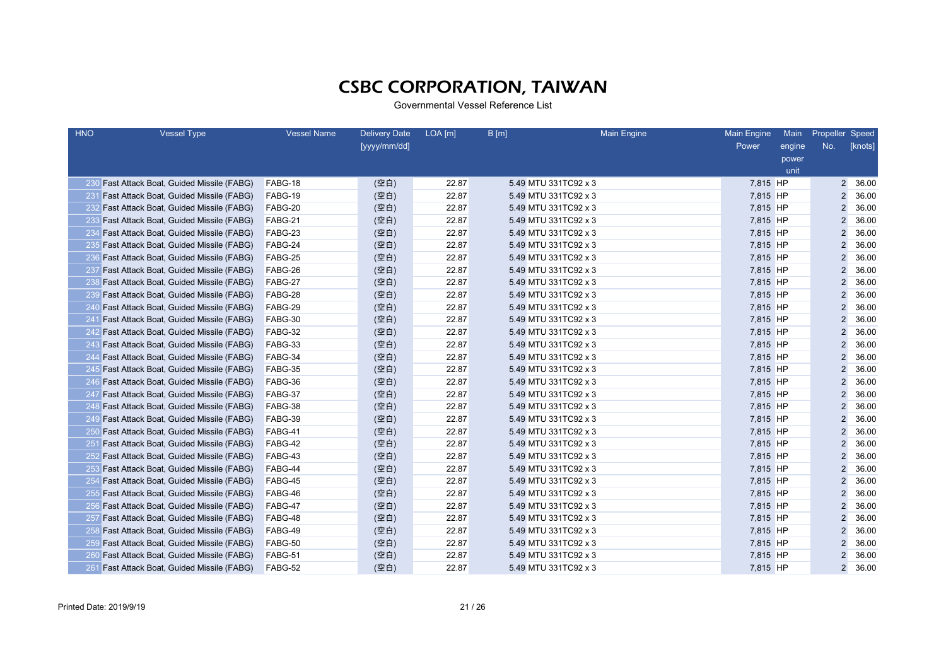| <b>HNO</b> | <b>Vessel Type</b>                             | <b>Vessel Name</b> | <b>Delivery Date</b> | $LOA$ [m] | B[m]                 | <b>Main Engine</b> | <b>Main Engine</b> | Main   | Propeller Speed |         |
|------------|------------------------------------------------|--------------------|----------------------|-----------|----------------------|--------------------|--------------------|--------|-----------------|---------|
|            |                                                |                    | [yyyy/mm/dd]         |           |                      |                    | Power              | engine | No.             | [knots] |
|            |                                                |                    |                      |           |                      |                    |                    | power  |                 |         |
|            |                                                |                    |                      |           |                      |                    |                    | unit   |                 |         |
|            | 230 Fast Attack Boat, Guided Missile (FABG)    | FABG-18            | (空白)                 | 22.87     | 5.49 MTU 331TC92 x 3 |                    | 7,815 HP           |        | $\overline{2}$  | 36.00   |
|            | 231 Fast Attack Boat, Guided Missile (FABG)    | FABG-19            | (空白)                 | 22.87     | 5.49 MTU 331TC92 x 3 |                    | 7,815 HP           |        | $\overline{2}$  | 36.00   |
|            | 232 Fast Attack Boat, Guided Missile (FABG)    | FABG-20            | (空白)                 | 22.87     | 5.49 MTU 331TC92 x 3 |                    | 7,815 HP           |        | $\overline{2}$  | 36.00   |
|            | 233 Fast Attack Boat, Guided Missile (FABG)    | FABG-21            | (空白)                 | 22.87     | 5.49 MTU 331TC92 x 3 |                    | 7,815 HP           |        | $\overline{2}$  | 36.00   |
| 234        | <b>Fast Attack Boat, Guided Missile (FABG)</b> | FABG-23            | (空白)                 | 22.87     | 5.49 MTU 331TC92 x 3 |                    | 7,815 HP           |        | $\overline{2}$  | 36.00   |
| 235        | <b>Fast Attack Boat, Guided Missile (FABG)</b> | FABG-24            | (空白)                 | 22.87     | 5.49 MTU 331TC92 x 3 |                    | 7,815 HP           |        | 2               | 36.00   |
| 236        | Fast Attack Boat, Guided Missile (FABG)        | FABG-25            | (空白)                 | 22.87     | 5.49 MTU 331TC92 x 3 |                    | 7,815 HP           |        | 2               | 36.00   |
| 237        | Fast Attack Boat, Guided Missile (FABG)        | FABG-26            | (空白)                 | 22.87     | 5.49 MTU 331TC92 x 3 |                    | 7,815 HP           |        | $\overline{2}$  | 36.00   |
|            | 238 Fast Attack Boat, Guided Missile (FABG)    | FABG-27            | (空白)                 | 22.87     | 5.49 MTU 331TC92 x 3 |                    | 7,815 HP           |        | $\overline{2}$  | 36.00   |
|            | 239 Fast Attack Boat, Guided Missile (FABG)    | FABG-28            | (空白)                 | 22.87     | 5.49 MTU 331TC92 x 3 |                    | 7,815 HP           |        | $\overline{2}$  | 36.00   |
|            | 240 Fast Attack Boat, Guided Missile (FABG)    | FABG-29            | (空白)                 | 22.87     | 5.49 MTU 331TC92 x 3 |                    | 7,815 HP           |        | $\overline{2}$  | 36.00   |
| 241        | <b>Fast Attack Boat, Guided Missile (FABG)</b> | FABG-30            | (空白)                 | 22.87     | 5.49 MTU 331TC92 x 3 |                    | 7,815 HP           |        | $\overline{2}$  | 36.00   |
|            | 242 Fast Attack Boat, Guided Missile (FABG)    | FABG-32            | (空白)                 | 22.87     | 5.49 MTU 331TC92 x 3 |                    | 7,815 HP           |        | $\overline{2}$  | 36.00   |
|            | 243 Fast Attack Boat, Guided Missile (FABG)    | FABG-33            | (空白)                 | 22.87     | 5.49 MTU 331TC92 x 3 |                    | 7,815 HP           |        | $\overline{2}$  | 36.00   |
|            | 244 Fast Attack Boat, Guided Missile (FABG)    | FABG-34            | (空白)                 | 22.87     | 5.49 MTU 331TC92 x 3 |                    | 7,815 HP           |        | $\overline{2}$  | 36.00   |
|            | 245 Fast Attack Boat, Guided Missile (FABG)    | FABG-35            | (空白)                 | 22.87     | 5.49 MTU 331TC92 x 3 |                    | 7,815 HP           |        | $\overline{2}$  | 36.00   |
|            | 246 Fast Attack Boat, Guided Missile (FABG)    | FABG-36            | (空白)                 | 22.87     | 5.49 MTU 331TC92 x 3 |                    | 7,815 HP           |        | $\overline{2}$  | 36.00   |
| 247        | <b>Fast Attack Boat, Guided Missile (FABG)</b> | FABG-37            | (空白)                 | 22.87     | 5.49 MTU 331TC92 x 3 |                    | 7,815 HP           |        | $\overline{2}$  | 36.00   |
|            | 248 Fast Attack Boat, Guided Missile (FABG)    | FABG-38            | (空白)                 | 22.87     | 5.49 MTU 331TC92 x 3 |                    | 7,815 HP           |        | $\overline{2}$  | 36.00   |
|            | 249 Fast Attack Boat, Guided Missile (FABG)    | FABG-39            | (空白)                 | 22.87     | 5.49 MTU 331TC92 x 3 |                    | 7,815 HP           |        | 2               | 36.00   |
|            | 250 Fast Attack Boat, Guided Missile (FABG)    | FABG-41            | (空白)                 | 22.87     | 5.49 MTU 331TC92 x 3 |                    | 7,815 HP           |        | $\overline{c}$  | 36.00   |
|            | 251 Fast Attack Boat, Guided Missile (FABG)    | FABG-42            | (空白)                 | 22.87     | 5.49 MTU 331TC92 x 3 |                    | 7,815 HP           |        | $\overline{2}$  | 36.00   |
|            | 252 Fast Attack Boat, Guided Missile (FABG)    | FABG-43            | (空白)                 | 22.87     | 5.49 MTU 331TC92 x 3 |                    | 7,815 HP           |        | $\overline{2}$  | 36.00   |
|            | 253 Fast Attack Boat, Guided Missile (FABG)    | FABG-44            | (空白)                 | 22.87     | 5.49 MTU 331TC92 x 3 |                    | 7,815 HP           |        | $\overline{2}$  | 36.00   |
|            | 254 Fast Attack Boat, Guided Missile (FABG)    | FABG-45            | (空白)                 | 22.87     | 5.49 MTU 331TC92 x 3 |                    | 7,815 HP           |        | $\overline{2}$  | 36.00   |
|            | 255 Fast Attack Boat, Guided Missile (FABG)    | FABG-46            | (空白)                 | 22.87     | 5.49 MTU 331TC92 x 3 |                    | 7,815 HP           |        | $\overline{2}$  | 36.00   |
|            | 256 Fast Attack Boat, Guided Missile (FABG)    | FABG-47            | (空白)                 | 22.87     | 5.49 MTU 331TC92 x 3 |                    | 7,815 HP           |        | $\overline{2}$  | 36.00   |
|            | 257 Fast Attack Boat, Guided Missile (FABG)    | FABG-48            | (空白)                 | 22.87     | 5.49 MTU 331TC92 x 3 |                    | 7,815 HP           |        | $\overline{2}$  | 36.00   |
|            | 258 Fast Attack Boat, Guided Missile (FABG)    | FABG-49            | (空白)                 | 22.87     | 5.49 MTU 331TC92 x 3 |                    | 7,815 HP           |        | $\overline{2}$  | 36.00   |
|            | 259 Fast Attack Boat, Guided Missile (FABG)    | FABG-50            | (空白)                 | 22.87     | 5.49 MTU 331TC92 x 3 |                    | 7,815 HP           |        | $\overline{2}$  | 36.00   |
|            | 260 Fast Attack Boat, Guided Missile (FABG)    | FABG-51            | (空白)                 | 22.87     | 5.49 MTU 331TC92 x 3 |                    | 7,815 HP           |        | $\overline{2}$  | 36.00   |
| 261        | <b>Fast Attack Boat, Guided Missile (FABG)</b> | FABG-52            | (空白)                 | 22.87     | 5.49 MTU 331TC92 x 3 |                    | 7,815 HP           |        | $\overline{2}$  | 36.00   |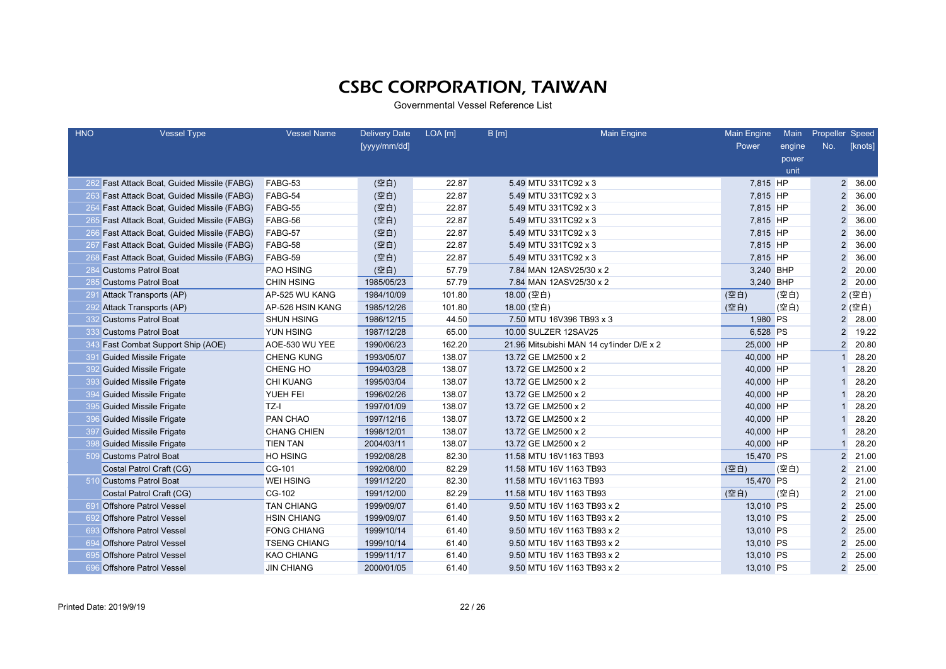| <b>HNO</b> | <b>Vessel Type</b>                          | <b>Vessel Name</b>  | <b>Delivery Date</b> | $LOA$ [m] | B[m]                    | <b>Main Engine</b>                       | <b>Main Engine</b> | Main   | Propeller Speed |         |
|------------|---------------------------------------------|---------------------|----------------------|-----------|-------------------------|------------------------------------------|--------------------|--------|-----------------|---------|
|            |                                             |                     | [yyyy/mm/dd]         |           |                         |                                          | Power              | engine | No.             | [knots] |
|            |                                             |                     |                      |           |                         |                                          |                    | power  |                 |         |
|            |                                             |                     |                      |           |                         |                                          |                    | unit   |                 |         |
|            | 262 Fast Attack Boat, Guided Missile (FABG) | FABG-53             | (空白)                 | 22.87     | 5.49 MTU 331TC92 x 3    |                                          | 7,815 HP           |        | $\overline{2}$  | 36.00   |
|            | 263 Fast Attack Boat, Guided Missile (FABG) | FABG-54             | (空白)                 | 22.87     | 5.49 MTU 331TC92 x 3    |                                          | 7,815 HP           |        | $\overline{2}$  | 36.00   |
|            | 264 Fast Attack Boat, Guided Missile (FABG) | FABG-55             | (空白)                 | 22.87     | 5.49 MTU 331TC92 x 3    |                                          | 7,815 HP           |        | $\overline{2}$  | 36.00   |
|            | 265 Fast Attack Boat, Guided Missile (FABG) | FABG-56             | (空白)                 | 22.87     | 5.49 MTU 331TC92 x 3    |                                          | 7,815 HP           |        | $\overline{2}$  | 36.00   |
|            | 266 Fast Attack Boat, Guided Missile (FABG) | FABG-57             | (空白)                 | 22.87     | 5.49 MTU 331TC92 x 3    |                                          | 7,815 HP           |        | $\overline{2}$  | 36.00   |
|            | 267 Fast Attack Boat, Guided Missile (FABG) | FABG-58             | (空白)                 | 22.87     | 5.49 MTU 331TC92 x 3    |                                          | 7,815 HP           |        | $\overline{2}$  | 36.00   |
| 268        | Fast Attack Boat, Guided Missile (FABG)     | FABG-59             | (空白)                 | 22.87     | 5.49 MTU 331TC92 x 3    |                                          | 7,815 HP           |        | $\overline{2}$  | 36.00   |
| 284        | <b>Customs Patrol Boat</b>                  | PAO HSING           | (空白)                 | 57.79     |                         | 7.84 MAN 12ASV25/30 x 2                  | 3,240 BHP          |        | $\overline{2}$  | 20.00   |
| 285        | <b>Customs Patrol Boat</b>                  | <b>CHIN HSING</b>   | 1985/05/23           | 57.79     |                         | 7.84 MAN 12ASV25/30 x 2                  | 3,240 BHP          |        | $\overline{2}$  | 20.00   |
|            | 291 Attack Transports (AP)                  | AP-525 WU KANG      | 1984/10/09           | 101.80    | 18.00 (空白)              |                                          | (空白)               | (空白)   |                 | 2 (空白)  |
|            | 292 Attack Transports (AP)                  | AP-526 HSIN KANG    | 1985/12/26           | 101.80    | 18.00 (空白)              |                                          | (空白)               | (空白)   |                 | 2 (空白)  |
|            | 332 Customs Patrol Boat                     | <b>SHUN HSING</b>   | 1986/12/15           | 44.50     |                         | 7.50 MTU 16V396 TB93 x 3                 | 1,980 PS           |        | $\overline{2}$  | 28.00   |
|            | 333 Customs Patrol Boat                     | <b>YUN HSING</b>    | 1987/12/28           | 65.00     | 10.00 SULZER 12SAV25    |                                          | 6,528 PS           |        | $\overline{2}$  | 19.22   |
| 343        | Fast Combat Support Ship (AOE)              | AOE-530 WU YEE      | 1990/06/23           | 162.20    |                         | 21.96 Mitsubishi MAN 14 cy1inder D/E x 2 | 25,000 HP          |        | $\overline{2}$  | 20.80   |
|            | 391 Guided Missile Frigate                  | <b>CHENG KUNG</b>   | 1993/05/07           | 138.07    | 13.72 GE LM2500 x 2     |                                          | 40,000 HP          |        |                 | 28.20   |
|            | 392 Guided Missile Frigate                  | <b>CHENG HO</b>     | 1994/03/28           | 138.07    | 13.72 GE LM2500 x 2     |                                          | 40,000 HP          |        |                 | 28.20   |
| 393        | <b>Guided Missile Frigate</b>               | <b>CHI KUANG</b>    | 1995/03/04           | 138.07    | 13.72 GE LM2500 x 2     |                                          | 40,000 HP          |        |                 | 28.20   |
| 394        | <b>Guided Missile Frigate</b>               | <b>YUEH FEI</b>     | 1996/02/26           | 138.07    | 13.72 GE LM2500 x 2     |                                          | 40,000 HP          |        |                 | 28.20   |
| 395        | <b>Guided Missile Frigate</b>               | TZ-I                | 1997/01/09           | 138.07    | 13.72 GE LM2500 x 2     |                                          | 40,000 HP          |        |                 | 28.20   |
| 396        | <b>Guided Missile Frigate</b>               | PAN CHAO            | 1997/12/16           | 138.07    | 13.72 GE LM2500 x 2     |                                          | 40,000 HP          |        |                 | 28.20   |
| 397        | Guided Missile Frigate                      | <b>CHANG CHIEN</b>  | 1998/12/01           | 138.07    | 13.72 GE LM2500 x 2     |                                          | 40,000 HP          |        |                 | 28.20   |
| 398        | <b>Guided Missile Frigate</b>               | <b>TIEN TAN</b>     | 2004/03/11           | 138.07    | 13.72 GE LM2500 x 2     |                                          | 40,000 HP          |        |                 | 28.20   |
|            | 509 Customs Patrol Boat                     | <b>HO HSING</b>     | 1992/08/28           | 82.30     | 11.58 MTU 16V1163 TB93  |                                          | 15,470 PS          |        | $\overline{2}$  | 21.00   |
|            | Costal Patrol Craft (CG)                    | CG-101              | 1992/08/00           | 82.29     | 11.58 MTU 16V 1163 TB93 |                                          | (空白)               | (空白)   | $\overline{2}$  | 21.00   |
|            | 510 Customs Patrol Boat                     | <b>WEI HSING</b>    | 1991/12/20           | 82.30     | 11.58 MTU 16V1163 TB93  |                                          | 15,470 PS          |        | $\overline{2}$  | 21.00   |
|            | Costal Patrol Craft (CG)                    | CG-102              | 1991/12/00           | 82.29     | 11.58 MTU 16V 1163 TB93 |                                          | (空白)               | (空白)   | $\overline{2}$  | 21.00   |
|            | 691 Offshore Patrol Vessel                  | <b>TAN CHIANG</b>   | 1999/09/07           | 61.40     |                         | 9.50 MTU 16V 1163 TB93 x 2               | 13,010 PS          |        | $\overline{2}$  | 25.00   |
| 692        | <b>Offshore Patrol Vessel</b>               | <b>HSIN CHIANG</b>  | 1999/09/07           | 61.40     |                         | 9.50 MTU 16V 1163 TB93 x 2               | 13,010 PS          |        | $\overline{2}$  | 25.00   |
| 693        | <b>Offshore Patrol Vessel</b>               | <b>FONG CHIANG</b>  | 1999/10/14           | 61.40     |                         | 9.50 MTU 16V 1163 TB93 x 2               | 13,010 PS          |        | $\overline{2}$  | 25.00   |
| 694        | <b>Offshore Patrol Vessel</b>               | <b>TSENG CHIANG</b> | 1999/10/14           | 61.40     |                         | 9.50 MTU 16V 1163 TB93 x 2               | 13,010 PS          |        | $\overline{2}$  | 25.00   |
| 695        | <b>Offshore Patrol Vessel</b>               | <b>KAO CHIANG</b>   | 1999/11/17           | 61.40     |                         | 9.50 MTU 16V 1163 TB93 x 2               | 13,010 PS          |        | 2               | 25.00   |
| 696        | <b>Offshore Patrol Vessel</b>               | <b>JIN CHIANG</b>   | 2000/01/05           | 61.40     |                         | 9.50 MTU 16V 1163 TB93 x 2               | 13,010 PS          |        | $\overline{2}$  | 25.00   |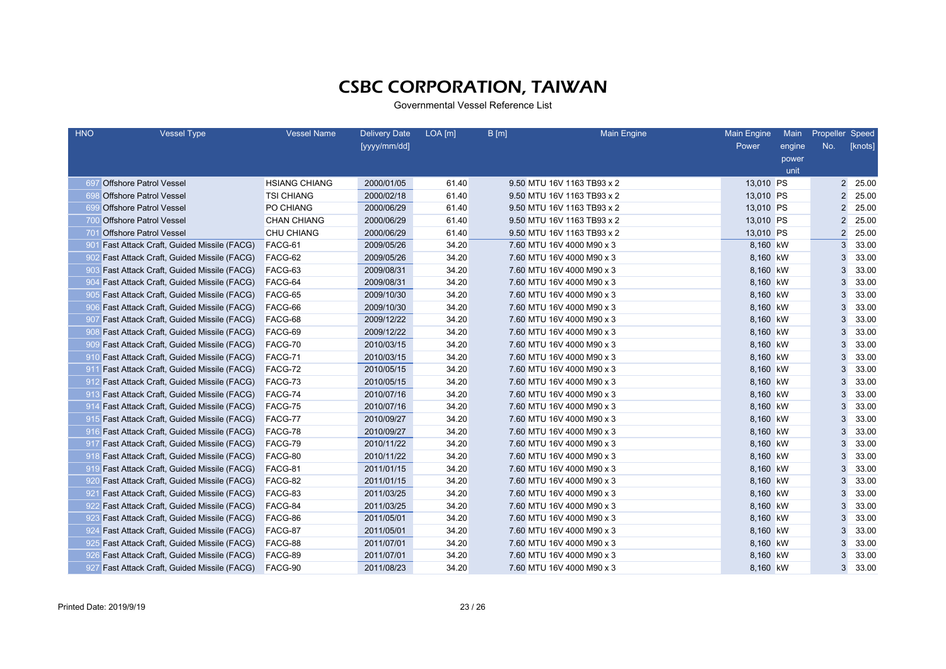| <b>HNO</b>      | <b>Vessel Type</b>                              | <b>Vessel Name</b>   | <b>Delivery Date</b> | $LOA$ [m] | B[m]                       | <b>Main Engine</b> | <b>Main Engine</b> | Main   | Propeller Speed |         |
|-----------------|-------------------------------------------------|----------------------|----------------------|-----------|----------------------------|--------------------|--------------------|--------|-----------------|---------|
|                 |                                                 |                      | [yyyy/mm/dd]         |           |                            |                    | Power              | engine | No.             | [knots] |
|                 |                                                 |                      |                      |           |                            |                    |                    | power  |                 |         |
|                 |                                                 |                      |                      |           |                            |                    |                    | unit   |                 |         |
| -697            | <b>Offshore Patrol Vessel</b>                   | <b>HSIANG CHIANG</b> | 2000/01/05           | 61.40     | 9.50 MTU 16V 1163 TB93 x 2 |                    | 13,010 PS          |        | $\overline{2}$  | 25.00   |
| -69             | <b>Offshore Patrol Vessel</b>                   | <b>TSI CHIANG</b>    | 2000/02/18           | 61.40     | 9.50 MTU 16V 1163 TB93 x 2 |                    | 13,010 PS          |        | $\overline{2}$  | 25.00   |
| 699             | <b>Offshore Patrol Vessel</b>                   | PO CHIANG            | 2000/06/29           | 61.40     | 9.50 MTU 16V 1163 TB93 x 2 |                    | 13,010 PS          |        | $\overline{2}$  | 25.00   |
|                 | 700 Offshore Patrol Vessel                      | <b>CHAN CHIANG</b>   | 2000/06/29           | 61.40     | 9.50 MTU 16V 1163 TB93 x 2 |                    | 13,010 PS          |        | $\overline{2}$  | 25.00   |
| 701             | <b>Offshore Patrol Vessel</b>                   | <b>CHU CHIANG</b>    | 2000/06/29           | 61.40     | 9.50 MTU 16V 1163 TB93 x 2 |                    | 13,010 PS          |        | $\overline{2}$  | 25.00   |
| 901             | <b>Fast Attack Craft, Guided Missile (FACG)</b> | FACG-61              | 2009/05/26           | 34.20     | 7.60 MTU 16V 4000 M90 x 3  |                    | 8,160 kW           |        | 3               | 33.00   |
| 902             | <b>Fast Attack Craft, Guided Missile (FACG)</b> | FACG-62              | 2009/05/26           | 34.20     | 7.60 MTU 16V 4000 M90 x 3  |                    | 8,160 kW           |        | 3               | 33.00   |
| 903             | <b>Fast Attack Craft, Guided Missile (FACG)</b> | FACG-63              | 2009/08/31           | 34.20     | 7.60 MTU 16V 4000 M90 x 3  |                    | 8,160 kW           |        | 3               | 33.00   |
| 90 <sub>4</sub> | Fast Attack Craft, Guided Missile (FACG)        | FACG-64              | 2009/08/31           | 34.20     | 7.60 MTU 16V 4000 M90 x 3  |                    | 8,160 kW           |        | 3               | 33.00   |
| -905            | Fast Attack Craft, Guided Missile (FACG)        | FACG-65              | 2009/10/30           | 34.20     | 7.60 MTU 16V 4000 M90 x 3  |                    | 8,160 kW           |        | 3               | 33.00   |
|                 | 906 Fast Attack Craft, Guided Missile (FACG)    | FACG-66              | 2009/10/30           | 34.20     | 7.60 MTU 16V 4000 M90 x 3  |                    | 8,160 kW           |        | 3               | 33.00   |
| -907            | <b>Fast Attack Craft, Guided Missile (FACG)</b> | FACG-68              | 2009/12/22           | 34.20     | 7.60 MTU 16V 4000 M90 x 3  |                    | 8,160 kW           |        |                 | 33.00   |
| -908            | <b>Fast Attack Craft, Guided Missile (FACG)</b> | FACG-69              | 2009/12/22           | 34.20     | 7.60 MTU 16V 4000 M90 x 3  |                    | 8,160 kW           |        | 3               | 33.00   |
| -909            | <b>Fast Attack Craft, Guided Missile (FACG)</b> | FACG-70              | 2010/03/15           | 34.20     | 7.60 MTU 16V 4000 M90 x 3  |                    | 8,160 kW           |        | 3               | 33.00   |
|                 | 910 Fast Attack Craft, Guided Missile (FACG)    | FACG-71              | 2010/03/15           | 34.20     | 7.60 MTU 16V 4000 M90 x 3  |                    | 8,160 kW           |        | 3               | 33.00   |
| 911             | <b>Fast Attack Craft, Guided Missile (FACG)</b> | FACG-72              | 2010/05/15           | 34.20     | 7.60 MTU 16V 4000 M90 x 3  |                    | 8,160 kW           |        | 3               | 33.00   |
|                 | 912 Fast Attack Craft, Guided Missile (FACG)    | FACG-73              | 2010/05/15           | 34.20     | 7.60 MTU 16V 4000 M90 x 3  |                    | 8,160 kW           |        | 3               | 33.00   |
|                 | 913 Fast Attack Craft, Guided Missile (FACG)    | FACG-74              | 2010/07/16           | 34.20     | 7.60 MTU 16V 4000 M90 x 3  |                    | 8,160 kW           |        | 3               | 33.00   |
| -914            | <b>Fast Attack Craft, Guided Missile (FACG)</b> | FACG-75              | 2010/07/16           | 34.20     | 7.60 MTU 16V 4000 M90 x 3  |                    | 8,160 kW           |        | 3               | 33.00   |
|                 | 915 Fast Attack Craft, Guided Missile (FACG)    | FACG-77              | 2010/09/27           | 34.20     | 7.60 MTU 16V 4000 M90 x 3  |                    | 8,160 kW           |        | 3               | 33.00   |
|                 | 916 Fast Attack Craft, Guided Missile (FACG)    | FACG-78              | 2010/09/27           | 34.20     | 7.60 MTU 16V 4000 M90 x 3  |                    | 8,160 kW           |        | 3               | 33.00   |
| -917            | <b>Fast Attack Craft, Guided Missile (FACG)</b> | FACG-79              | 2010/11/22           | 34.20     | 7.60 MTU 16V 4000 M90 x 3  |                    | 8,160 kW           |        | 3               | 33.00   |
|                 | 918 Fast Attack Craft, Guided Missile (FACG)    | FACG-80              | 2010/11/22           | 34.20     | 7.60 MTU 16V 4000 M90 x 3  |                    | 8,160 kW           |        | 3               | 33.00   |
|                 | 919 Fast Attack Craft, Guided Missile (FACG)    | FACG-81              | 2011/01/15           | 34.20     | 7.60 MTU 16V 4000 M90 x 3  |                    | 8,160 kW           |        | 3               | 33.00   |
|                 | 920 Fast Attack Craft, Guided Missile (FACG)    | FACG-82              | 2011/01/15           | 34.20     | 7.60 MTU 16V 4000 M90 x 3  |                    | 8,160 kW           |        |                 | 33.00   |
| -921            | <b>Fast Attack Craft, Guided Missile (FACG)</b> | FACG-83              | 2011/03/25           | 34.20     | 7.60 MTU 16V 4000 M90 x 3  |                    | 8,160 kW           |        |                 | 33.00   |
|                 | 922 Fast Attack Craft, Guided Missile (FACG)    | FACG-84              | 2011/03/25           | 34.20     | 7.60 MTU 16V 4000 M90 x 3  |                    | 8,160 kW           |        | 3               | 33.00   |
|                 | 923 Fast Attack Craft, Guided Missile (FACG)    | FACG-86              | 2011/05/01           | 34.20     | 7.60 MTU 16V 4000 M90 x 3  |                    | 8,160 kW           |        | 3               | 33.00   |
|                 | 924 Fast Attack Craft, Guided Missile (FACG)    | FACG-87              | 2011/05/01           | 34.20     | 7.60 MTU 16V 4000 M90 x 3  |                    | 8,160 kW           |        | 3               | 33.00   |
|                 | 925 Fast Attack Craft, Guided Missile (FACG)    | FACG-88              | 2011/07/01           | 34.20     | 7.60 MTU 16V 4000 M90 x 3  |                    | 8,160 kW           |        | 3               | 33.00   |
|                 | 926 Fast Attack Craft, Guided Missile (FACG)    | FACG-89              | 2011/07/01           | 34.20     | 7.60 MTU 16V 4000 M90 x 3  |                    | 8,160 kW           |        | 3               | 33.00   |
|                 | 927 Fast Attack Craft, Guided Missile (FACG)    | FACG-90              | 2011/08/23           | 34.20     | 7.60 MTU 16V 4000 M90 x 3  |                    | 8,160 kW           |        | 3               | 33.00   |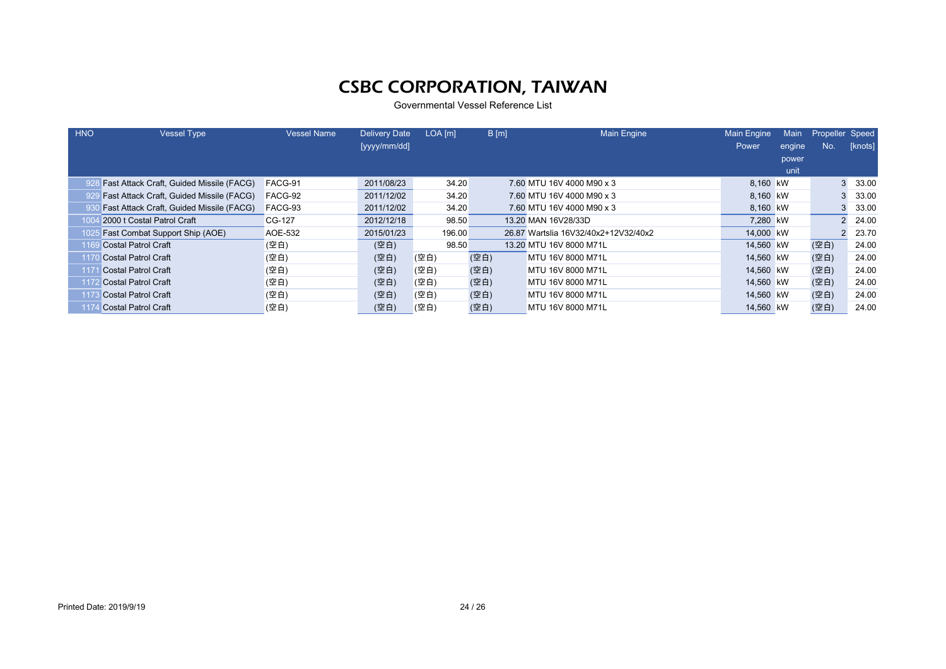| <b>HNO</b> | <b>Vessel Type</b>                              | <b>Vessel Name</b> | <b>Delivery Date</b> | LOA [m] | B[m] | <b>Main Engine</b>                   | <b>Main Engine</b> | Main   | Propeller Speed |         |
|------------|-------------------------------------------------|--------------------|----------------------|---------|------|--------------------------------------|--------------------|--------|-----------------|---------|
|            |                                                 |                    | [yyyy/mm/dd]         |         |      |                                      | Power              | engine | No.             | [knots] |
|            |                                                 |                    |                      |         |      |                                      |                    | power  |                 |         |
|            |                                                 |                    |                      |         |      |                                      |                    | unit   |                 |         |
|            | 928 Fast Attack Craft, Guided Missile (FACG)    | FACG-91            | 2011/08/23           | 34.20   |      | 7.60 MTU 16V 4000 M90 x 3            | 8,160 kW           |        |                 | 33.00   |
|            | <b>Fast Attack Craft, Guided Missile (FACG)</b> | FACG-92            | 2011/12/02           | 34.20   |      | 7.60 MTU 16V 4000 M90 x 3            | 8,160 kW           |        |                 | 33.00   |
|            | <b>Fast Attack Craft, Guided Missile (FACG)</b> | FACG-93            | 2011/12/02           | 34.20   |      | 7.60 MTU 16V 4000 M90 x 3            | 8,160 kW           |        |                 | 33.00   |
| 100        | 2000 t Costal Patrol Craft                      | CG-127             | 2012/12/18           | 98.50   |      | 13.20 MAN 16V28/33D                  | 7.280 kW           |        |                 | 24.00   |
| 1025       | <b>Fast Combat Support Ship (AOE)</b>           | <b>AOE-532</b>     | 2015/01/23           | 196.00  |      | 26.87 Wartslia 16V32/40x2+12V32/40x2 | 14,000 kW          |        |                 | 23.70   |
|            | Costal Patrol Craft                             | (空白)               | (空白)                 | 98.50   |      | 13.20 MTU 16V 8000 M71L              | 14,560 kW          |        | (空白)            | 24.00   |
|            | Costal Patrol Craft                             | (空白)               | (空白)                 | (空白)    | (空白) | MTU 16V 8000 M71L                    | 14,560 kW          |        | (空白)            | 24.00   |
|            | Costal Patrol Craft                             | (空白)               | (空白)                 | (空白)    | (空白) | MTU 16V 8000 M71L                    | 14,560 kW          |        | (空白)            | 24.00   |
|            | Costal Patrol Craft                             | (空白)               | (空白)                 | (空白)    | (空白) | MTU 16V 8000 M71L                    | 14.560 kW          |        | (空白)            | 24.00   |
|            | <b>Costal Patrol Craft</b>                      | (空白)               | (空白)                 | (空白)    | (空白) | MTU 16V 8000 M71L                    | 14,560 kW          |        | (空白)            | 24.00   |
|            | <b>Costal Patrol Craft</b>                      | (空白)               | (空白)                 | (空白)    | (空白) | MTU 16V 8000 M71L                    | 14,560 kW          |        | (空白)            | 24.00   |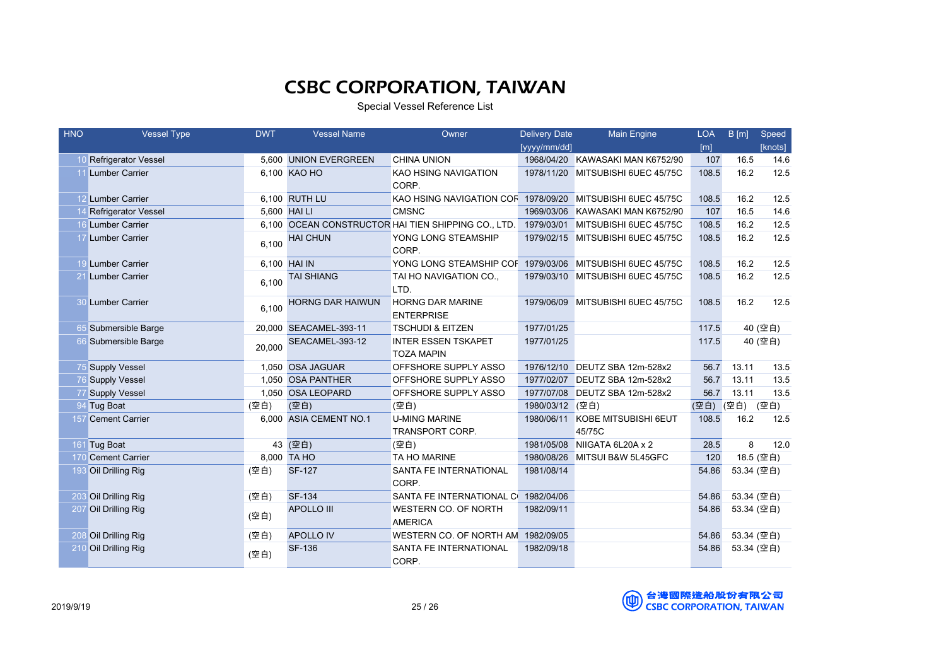Special Vessel Reference List

| <b>HNO</b> | <b>Vessel Type</b>     | <b>DWT</b> | <b>Vessel Name</b>      | Owner                                                                                 | <b>Delivery Date</b> | Main Engine                       | <b>LOA</b> | B[m]       | Speed   |
|------------|------------------------|------------|-------------------------|---------------------------------------------------------------------------------------|----------------------|-----------------------------------|------------|------------|---------|
|            |                        |            |                         |                                                                                       | [yyyy/mm/dd]         |                                   | [m]        |            | [knots] |
|            | 10 Refrigerator Vessel |            | 5,600 UNION EVERGREEN   | <b>CHINA UNION</b>                                                                    |                      | 1968/04/20 KAWASAKI MAN K6752/90  | 107        | 16.5       | 14.6    |
|            | 11 Lumber Carrier      |            | 6.100 KAO HO            | KAO HSING NAVIGATION                                                                  |                      | 1978/11/20 MITSUBISHI 6UEC 45/75C | 108.5      | 16.2       | 12.5    |
|            |                        |            |                         | CORP.                                                                                 |                      |                                   |            |            |         |
|            | 12 Lumber Carrier      |            | 6,100 RUTH LU           | KAO HSING NAVIGATION COF 1978/09/20 MITSUBISHI 6UEC 45/75C                            |                      |                                   | 108.5      | 16.2       | 12.5    |
|            | 14 Refrigerator Vessel |            | 5,600 HAI LI            | <b>CMSNC</b>                                                                          | 1969/03/06           | KAWASAKI MAN K6752/90             | 107        | 16.5       | 14.6    |
|            | 16 Lumber Carrier      |            |                         | 6,100 OCEAN CONSTRUCTOR HAI TIEN SHIPPING CO., LTD. 1979/03/01 MITSUBISHI 6UEC 45/75C |                      |                                   | 108.5      | 16.2       | 12.5    |
|            | 17 Lumber Carrier      | 6.100      | <b>HAI CHUN</b>         | YONG LONG STEAMSHIP<br>CORP.                                                          |                      | 1979/02/15 MITSUBISHI 6UEC 45/75C | 108.5      | 16.2       | 12.5    |
|            | 19 Lumber Carrier      |            | 6,100 HAI IN            | YONG LONG STEAMSHIP COF 1979/03/06 MITSUBISHI 6UEC 45/75C                             |                      |                                   | 108.5      | 16.2       | 12.5    |
|            | <b>Lumber Carrier</b>  | 6.100      | <b>TAI SHIANG</b>       | TAI HO NAVIGATION CO.,<br>LTD.                                                        |                      | 1979/03/10 MITSUBISHI 6UEC 45/75C | 108.5      | 16.2       | 12.5    |
|            | 30 Lumber Carrier      | 6.100      | <b>HORNG DAR HAIWUN</b> | HORNG DAR MARINE<br><b>ENTERPRISE</b>                                                 |                      | 1979/06/09 MITSUBISHI 6UEC 45/75C | 108.5      | 16.2       | 12.5    |
|            | 65 Submersible Barge   |            | 20,000 SEACAMEL-393-11  | <b>TSCHUDI &amp; EITZEN</b>                                                           | 1977/01/25           |                                   | 117.5      | 40 (空白)    |         |
|            | 66 Submersible Barge   | 20,000     | SEACAMEL-393-12         | <b>INTER ESSEN TSKAPET</b><br><b>TOZA MAPIN</b>                                       | 1977/01/25           |                                   | 117.5      |            | 40 (空白) |
|            | 75 Supply Vessel       |            | 1,050 OSA JAGUAR        | OFFSHORE SUPPLY ASSO                                                                  | 1976/12/10           | DEUTZ SBA 12m-528x2               | 56.7       | 13.11      | 13.5    |
|            | 76 Supply Vessel       |            | 1,050 OSA PANTHER       | OFFSHORE SUPPLY ASSO                                                                  |                      | 1977/02/07 DEUTZ SBA 12m-528x2    | 56.7       | 13.11      | 13.5    |
|            | <b>Supply Vessel</b>   |            | 1,050 OSA LEOPARD       | OFFSHORE SUPPLY ASSO                                                                  | 1977/07/08           | DEUTZ SBA 12m-528x2               | 56.7       | 13.11      | 13.5    |
|            | 94 Tug Boat            | (空白)       | (空白)                    | (空白)                                                                                  | 1980/03/12 (空白)      |                                   | (空白)       | (空白) (空白)  |         |
|            | 157 Cement Carrier     |            | 6,000 ASIA CEMENT NO.1  | <b>U-MING MARINE</b>                                                                  | 1980/06/11           | KOBE MITSUBISHI 6EUT              | 108.5      | 16.2       | 12.5    |
|            |                        |            |                         | TRANSPORT CORP.                                                                       |                      | 45/75C                            |            |            |         |
|            | 161 Tug Boat           |            | 43 (空白)                 | (空白)                                                                                  | 1981/05/08           | NIIGATA 6L20A x 2                 | 28.5       | 8          | 12.0    |
|            | 170 Cement Carrier     |            | 8,000 TA HO             | TA HO MARINE                                                                          | 1980/08/26           | MITSUI B&W 5L45GFC                | 120        | 18.5 (空白)  |         |
|            | 193 Oil Drilling Rig   | (空白)       | <b>SF-127</b>           | SANTA FE INTERNATIONAL                                                                | 1981/08/14           |                                   | 54.86      | 53.34 (空白) |         |
|            |                        |            |                         | CORP.                                                                                 |                      |                                   |            |            |         |
|            | 203 Oil Drilling Rig   | (空白)       | <b>SF-134</b>           | SANTA FE INTERNATIONAL C 1982/04/06                                                   |                      |                                   | 54.86      | 53.34 (空白) |         |
|            | 207 Oil Drilling Rig   | (空白)       | <b>APOLLO III</b>       | WESTERN CO. OF NORTH<br><b>AMERICA</b>                                                | 1982/09/11           |                                   | 54.86      | 53.34 (空白) |         |
|            | 208 Oil Drilling Rig   | (空白)       | <b>APOLLO IV</b>        | WESTERN CO. OF NORTH AM 1982/09/05                                                    |                      |                                   | 54.86      | 53.34 (空白) |         |
|            | 210 Oil Drilling Rig   | (空白)       | <b>SF-136</b>           | SANTA FE INTERNATIONAL<br>CORP.                                                       | 1982/09/18           |                                   | 54.86      | 53.34 (空白) |         |